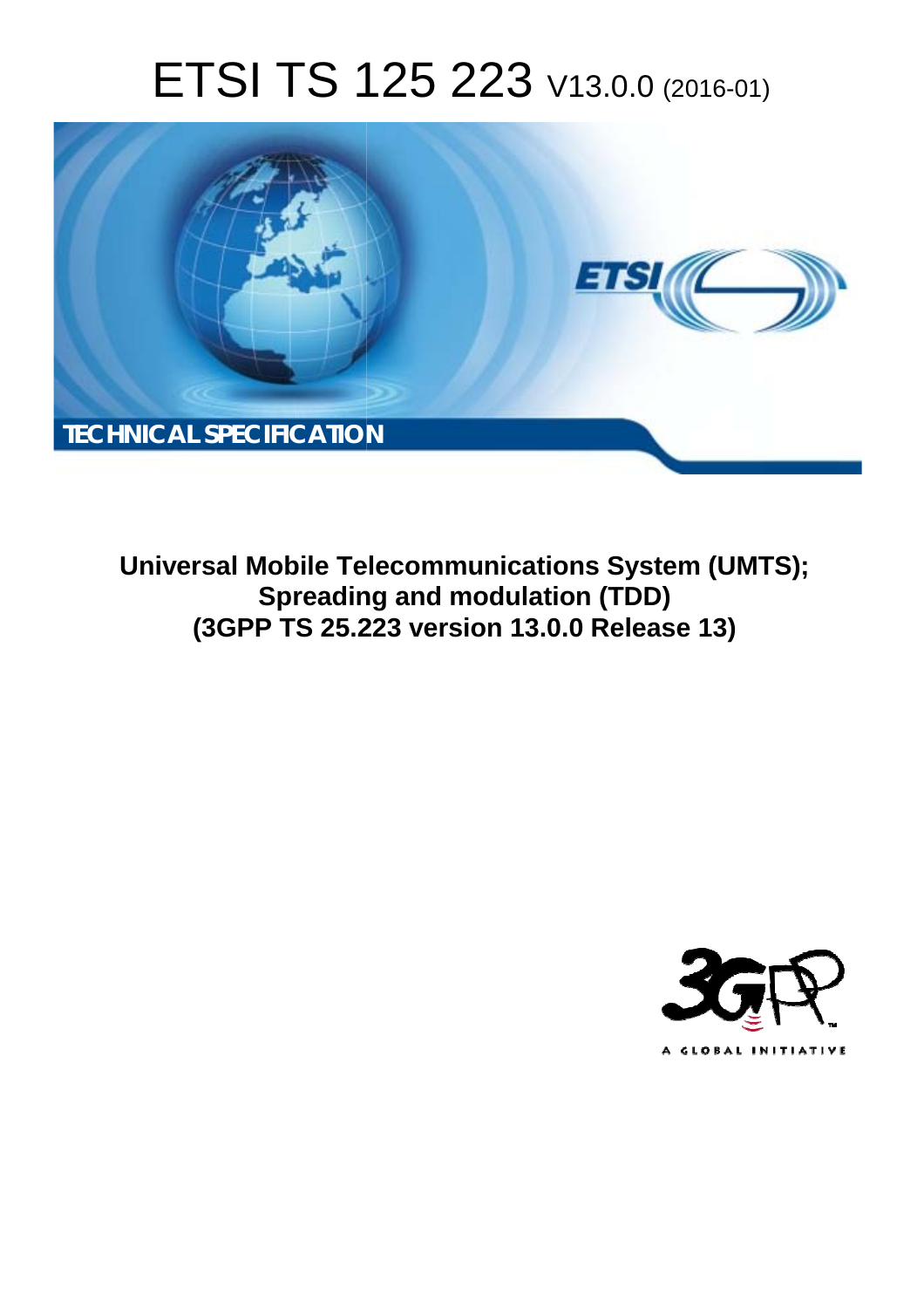# ETSI TS 125 223 V13.0.0 (2016-01)



**Universal Mobile Tel elecommunications System ( (UMTS); Spreadin ing and modulation (TDD) (3GPP TS 25.2 .223 version 13.0.0 Release 13 13)** 

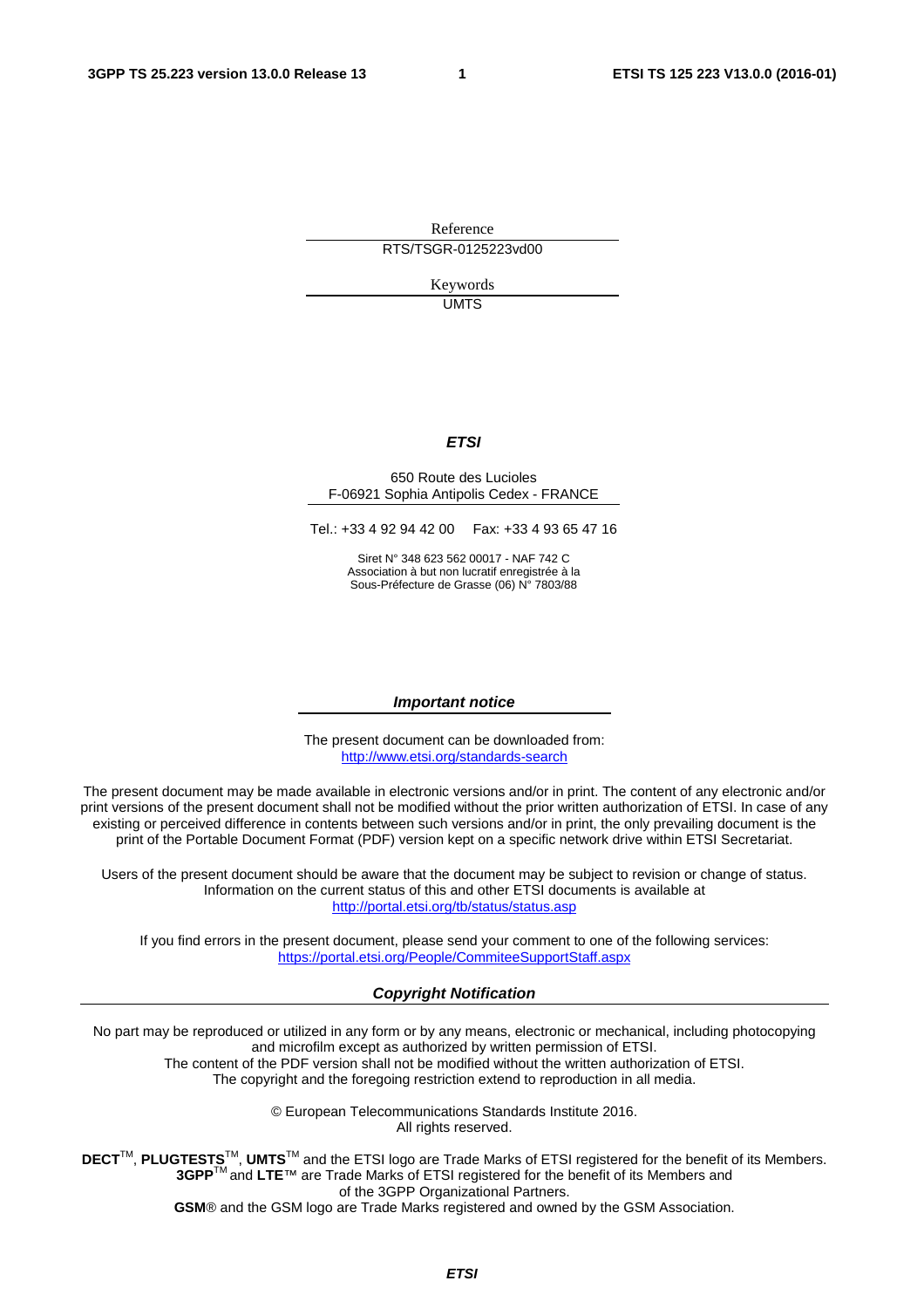Reference RTS/TSGR-0125223vd00

> Keywords UMTS

#### *ETSI*

#### 650 Route des Lucioles F-06921 Sophia Antipolis Cedex - FRANCE

Tel.: +33 4 92 94 42 00 Fax: +33 4 93 65 47 16

Siret N° 348 623 562 00017 - NAF 742 C Association à but non lucratif enregistrée à la Sous-Préfecture de Grasse (06) N° 7803/88

#### *Important notice*

The present document can be downloaded from: <http://www.etsi.org/standards-search>

The present document may be made available in electronic versions and/or in print. The content of any electronic and/or print versions of the present document shall not be modified without the prior written authorization of ETSI. In case of any existing or perceived difference in contents between such versions and/or in print, the only prevailing document is the print of the Portable Document Format (PDF) version kept on a specific network drive within ETSI Secretariat.

Users of the present document should be aware that the document may be subject to revision or change of status. Information on the current status of this and other ETSI documents is available at <http://portal.etsi.org/tb/status/status.asp>

If you find errors in the present document, please send your comment to one of the following services: <https://portal.etsi.org/People/CommiteeSupportStaff.aspx>

#### *Copyright Notification*

No part may be reproduced or utilized in any form or by any means, electronic or mechanical, including photocopying and microfilm except as authorized by written permission of ETSI.

The content of the PDF version shall not be modified without the written authorization of ETSI. The copyright and the foregoing restriction extend to reproduction in all media.

> © European Telecommunications Standards Institute 2016. All rights reserved.

**DECT**TM, **PLUGTESTS**TM, **UMTS**TM and the ETSI logo are Trade Marks of ETSI registered for the benefit of its Members. **3GPP**TM and **LTE**™ are Trade Marks of ETSI registered for the benefit of its Members and of the 3GPP Organizational Partners.

**GSM**® and the GSM logo are Trade Marks registered and owned by the GSM Association.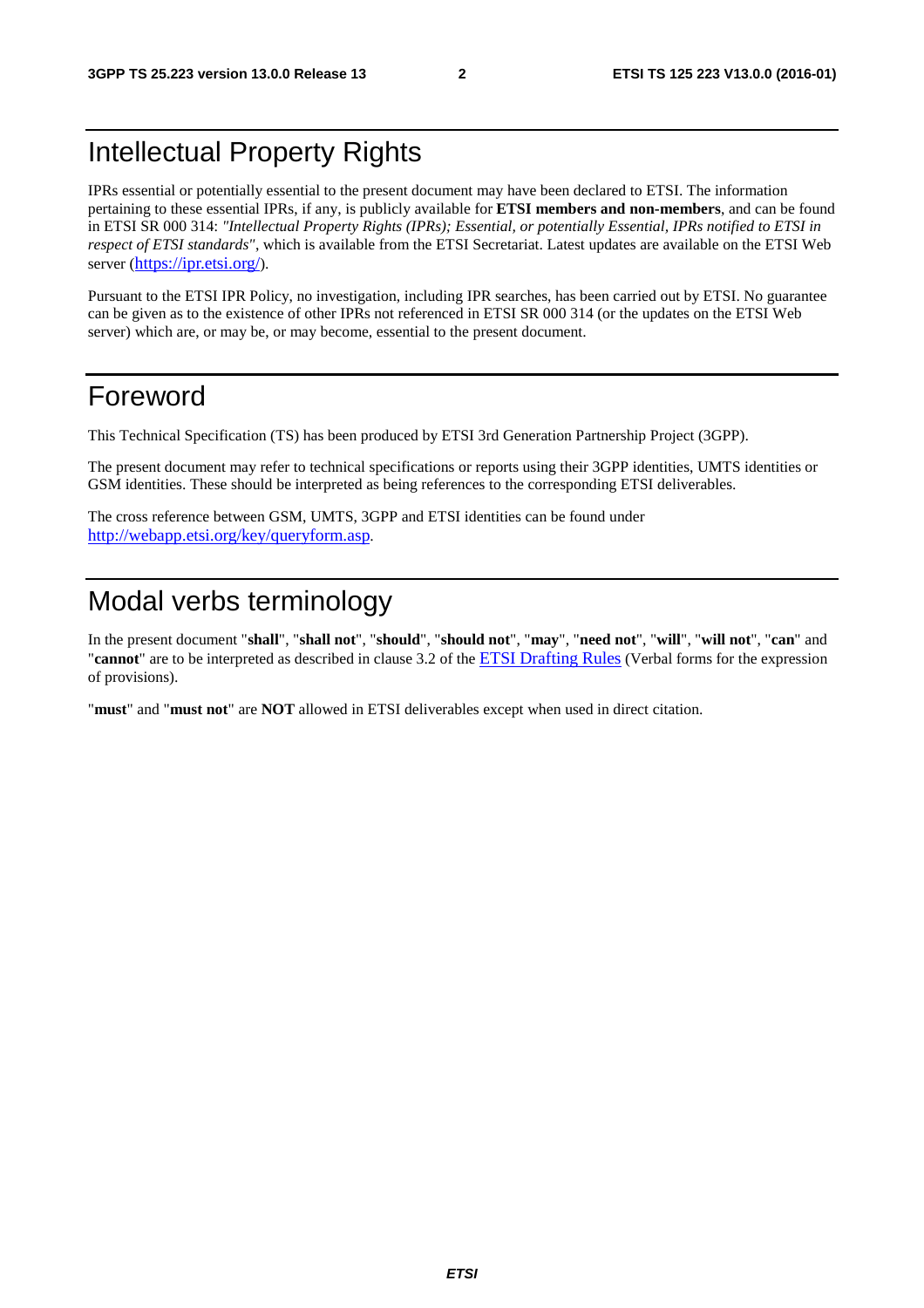# Intellectual Property Rights

IPRs essential or potentially essential to the present document may have been declared to ETSI. The information pertaining to these essential IPRs, if any, is publicly available for **ETSI members and non-members**, and can be found in ETSI SR 000 314: *"Intellectual Property Rights (IPRs); Essential, or potentially Essential, IPRs notified to ETSI in respect of ETSI standards"*, which is available from the ETSI Secretariat. Latest updates are available on the ETSI Web server [\(https://ipr.etsi.org/\)](https://ipr.etsi.org/).

Pursuant to the ETSI IPR Policy, no investigation, including IPR searches, has been carried out by ETSI. No guarantee can be given as to the existence of other IPRs not referenced in ETSI SR 000 314 (or the updates on the ETSI Web server) which are, or may be, or may become, essential to the present document.

# Foreword

This Technical Specification (TS) has been produced by ETSI 3rd Generation Partnership Project (3GPP).

The present document may refer to technical specifications or reports using their 3GPP identities, UMTS identities or GSM identities. These should be interpreted as being references to the corresponding ETSI deliverables.

The cross reference between GSM, UMTS, 3GPP and ETSI identities can be found under [http://webapp.etsi.org/key/queryform.asp.](http://webapp.etsi.org/key/queryform.asp)

# Modal verbs terminology

In the present document "**shall**", "**shall not**", "**should**", "**should not**", "**may**", "**need not**", "**will**", "**will not**", "**can**" and "**cannot**" are to be interpreted as described in clause 3.2 of the [ETSI Drafting Rules](http://portal.etsi.org/Help/editHelp!/Howtostart/ETSIDraftingRules.aspx) (Verbal forms for the expression of provisions).

"**must**" and "**must not**" are **NOT** allowed in ETSI deliverables except when used in direct citation.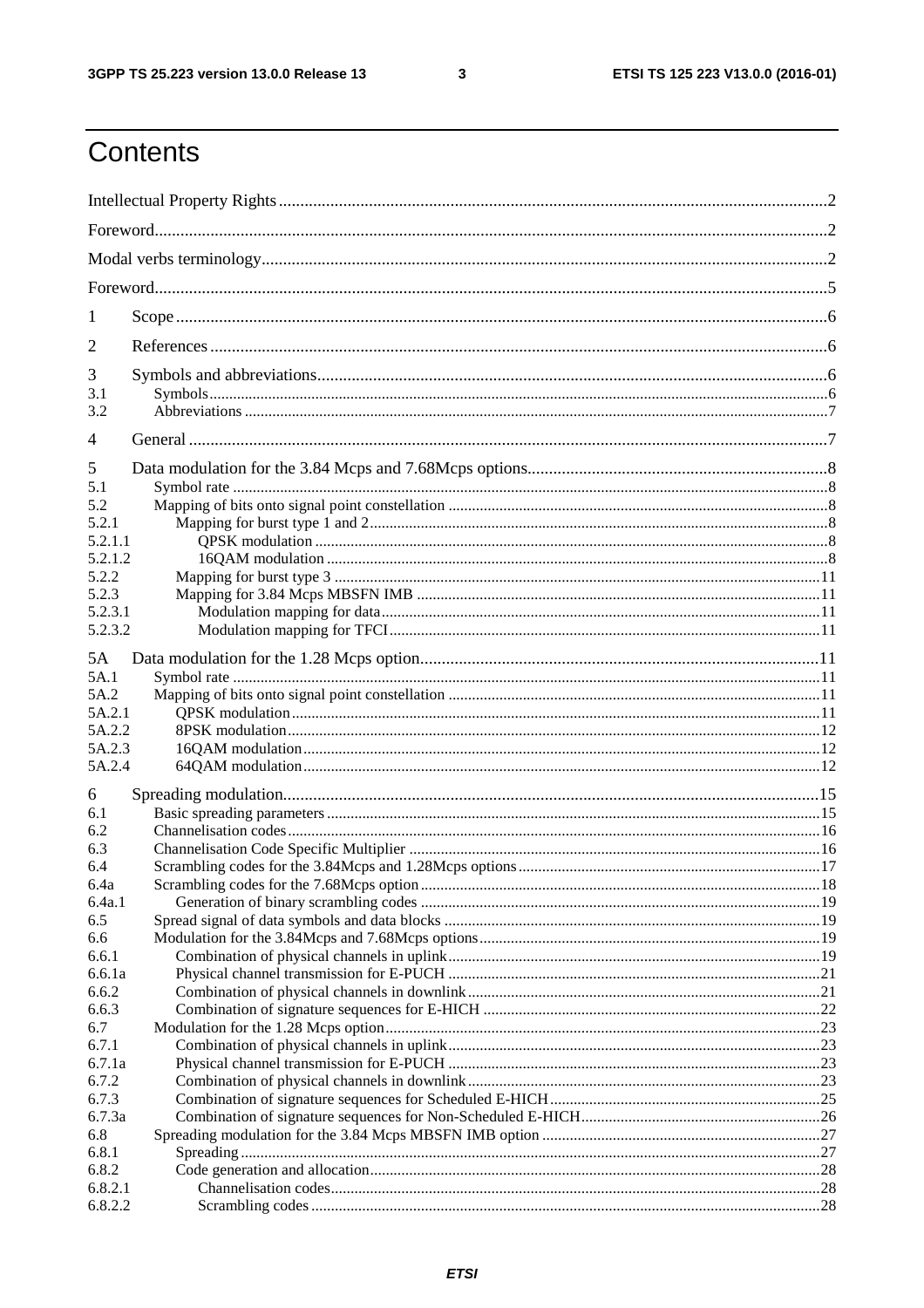$\mathbf{3}$ 

# Contents

| 1          |  |
|------------|--|
| 2          |  |
| 3          |  |
| 3.1<br>3.2 |  |
| 4          |  |
| 5          |  |
| 5.1        |  |
| 5.2        |  |
| 5.2.1      |  |
| 5.2.1.1    |  |
| 5.2.1.2    |  |
| 5.2.2      |  |
| 5.2.3      |  |
| 5.2.3.1    |  |
| 5.2.3.2    |  |
| 5A         |  |
| 5A.1       |  |
| 5A.2       |  |
| 5A.2.1     |  |
| 5A.2.2     |  |
| 5A.2.3     |  |
| 5A.2.4     |  |
| 6          |  |
| 6.1        |  |
| 6.2        |  |
| 6.3        |  |
| 6.4        |  |
| 6.4a       |  |
| 6.4a.1     |  |
| 6.5        |  |
| 6.6        |  |
| 6.6.1      |  |
| 6.6.1a     |  |
| 6.6.2      |  |
| 6.6.3      |  |
| 6.7        |  |
| 6.7.1      |  |
| 6.7.1a     |  |
| 6.7.2      |  |
| 6.7.3      |  |
| 6.7.3a     |  |
| 6.8        |  |
| 6.8.1      |  |
| 6.8.2      |  |
| 6.8.2.1    |  |
| 6.8.2.2    |  |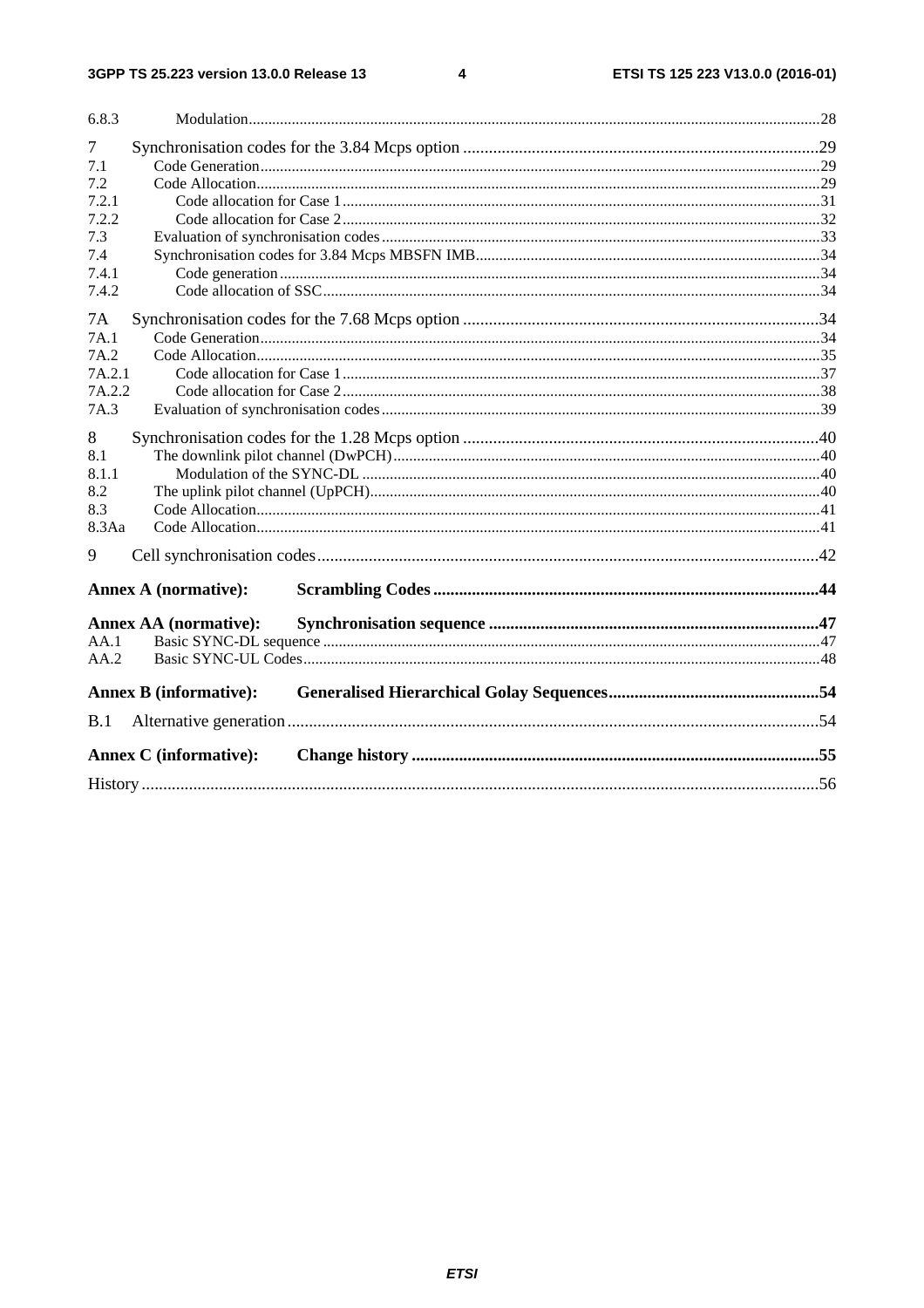#### $\overline{\mathbf{4}}$

| 6.8.3  |                               |  |  |  |
|--------|-------------------------------|--|--|--|
| 7      |                               |  |  |  |
| 7.1    |                               |  |  |  |
| 7.2    |                               |  |  |  |
| 7.2.1  |                               |  |  |  |
| 7.2.2  |                               |  |  |  |
| 7.3    |                               |  |  |  |
| 7.4    |                               |  |  |  |
| 7.4.1  |                               |  |  |  |
| 7.4.2  |                               |  |  |  |
| 7A     |                               |  |  |  |
| 7A.1   |                               |  |  |  |
| 7A.2   |                               |  |  |  |
| 7A.2.1 |                               |  |  |  |
| 7A.2.2 |                               |  |  |  |
| 7A.3   |                               |  |  |  |
| 8      |                               |  |  |  |
| 8.1    |                               |  |  |  |
| 8.1.1  |                               |  |  |  |
| 8.2    |                               |  |  |  |
| 8.3    |                               |  |  |  |
| 8.3Aa  |                               |  |  |  |
| 9      |                               |  |  |  |
|        | <b>Annex A (normative):</b>   |  |  |  |
|        | <b>Annex AA</b> (normative):  |  |  |  |
| AA.1   |                               |  |  |  |
| AA.2   |                               |  |  |  |
|        | <b>Annex B</b> (informative): |  |  |  |
| B.1    |                               |  |  |  |
|        |                               |  |  |  |
|        | <b>Annex C</b> (informative): |  |  |  |
|        |                               |  |  |  |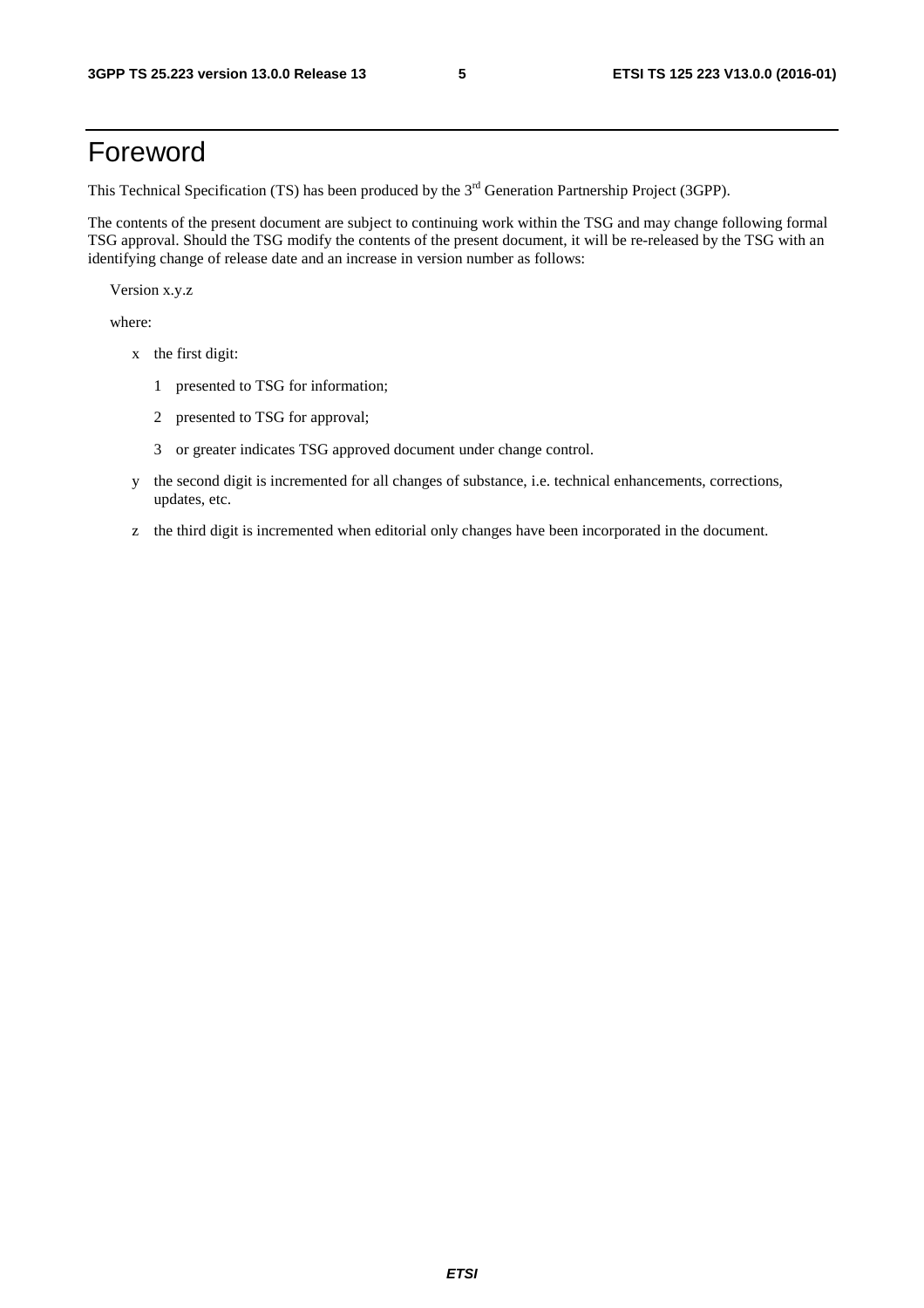# Foreword

This Technical Specification (TS) has been produced by the 3<sup>rd</sup> Generation Partnership Project (3GPP).

The contents of the present document are subject to continuing work within the TSG and may change following formal TSG approval. Should the TSG modify the contents of the present document, it will be re-released by the TSG with an identifying change of release date and an increase in version number as follows:

Version x.y.z

where:

- x the first digit:
	- 1 presented to TSG for information;
	- 2 presented to TSG for approval;
	- 3 or greater indicates TSG approved document under change control.
- y the second digit is incremented for all changes of substance, i.e. technical enhancements, corrections, updates, etc.
- z the third digit is incremented when editorial only changes have been incorporated in the document.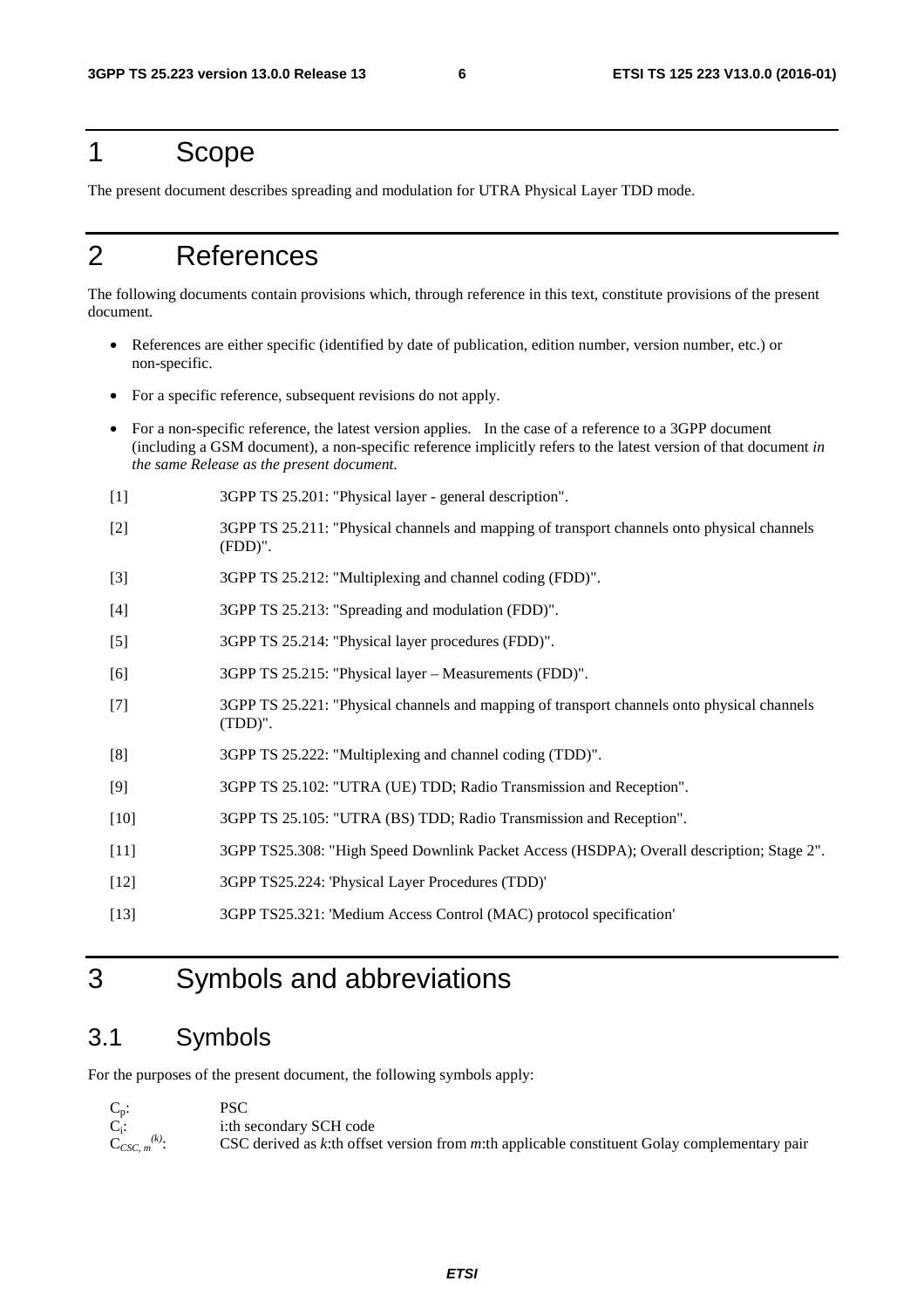# 1 Scope

The present document describes spreading and modulation for UTRA Physical Layer TDD mode.

# 2 References

The following documents contain provisions which, through reference in this text, constitute provisions of the present document.

- References are either specific (identified by date of publication, edition number, version number, etc.) or non-specific.
- For a specific reference, subsequent revisions do not apply.
- For a non-specific reference, the latest version applies. In the case of a reference to a 3GPP document (including a GSM document), a non-specific reference implicitly refers to the latest version of that document *in the same Release as the present document*.
- [1] 3GPP TS 25.201: "Physical layer general description".
- [2] 3GPP TS 25.211: "Physical channels and mapping of transport channels onto physical channels (FDD)".
- [3] 3GPP TS 25.212: "Multiplexing and channel coding (FDD)".
- [4] 3GPP TS 25.213: "Spreading and modulation (FDD)".
- [5] 3GPP TS 25.214: "Physical layer procedures (FDD)".
- [6] 3GPP TS 25.215: "Physical layer Measurements (FDD)".
- [7] 3GPP TS 25.221: "Physical channels and mapping of transport channels onto physical channels (TDD)".
- [8] 3GPP TS 25.222: "Multiplexing and channel coding (TDD)".
- [9] 3GPP TS 25.102: "UTRA (UE) TDD; Radio Transmission and Reception".
- [10] 3GPP TS 25.105: "UTRA (BS) TDD; Radio Transmission and Reception".
- [11] 3GPP TS25.308: "High Speed Downlink Packet Access (HSDPA); Overall description; Stage 2".
- [12] 3GPP TS25.224: 'Physical Layer Procedures (TDD)'
- [13] 3GPP TS25.321: 'Medium Access Control (MAC) protocol specification'

# 3 Symbols and abbreviations

## 3.1 Symbols

For the purposes of the present document, the following symbols apply:

| $C_p$ :              | PSC                                                                                             |
|----------------------|-------------------------------------------------------------------------------------------------|
| $C_i$ :              | i:th secondary SCH code                                                                         |
| $C_{CSC, m}^{(k)}$ : | CSC derived as $k$ :th offset version from m:th applicable constituent Golay complementary pair |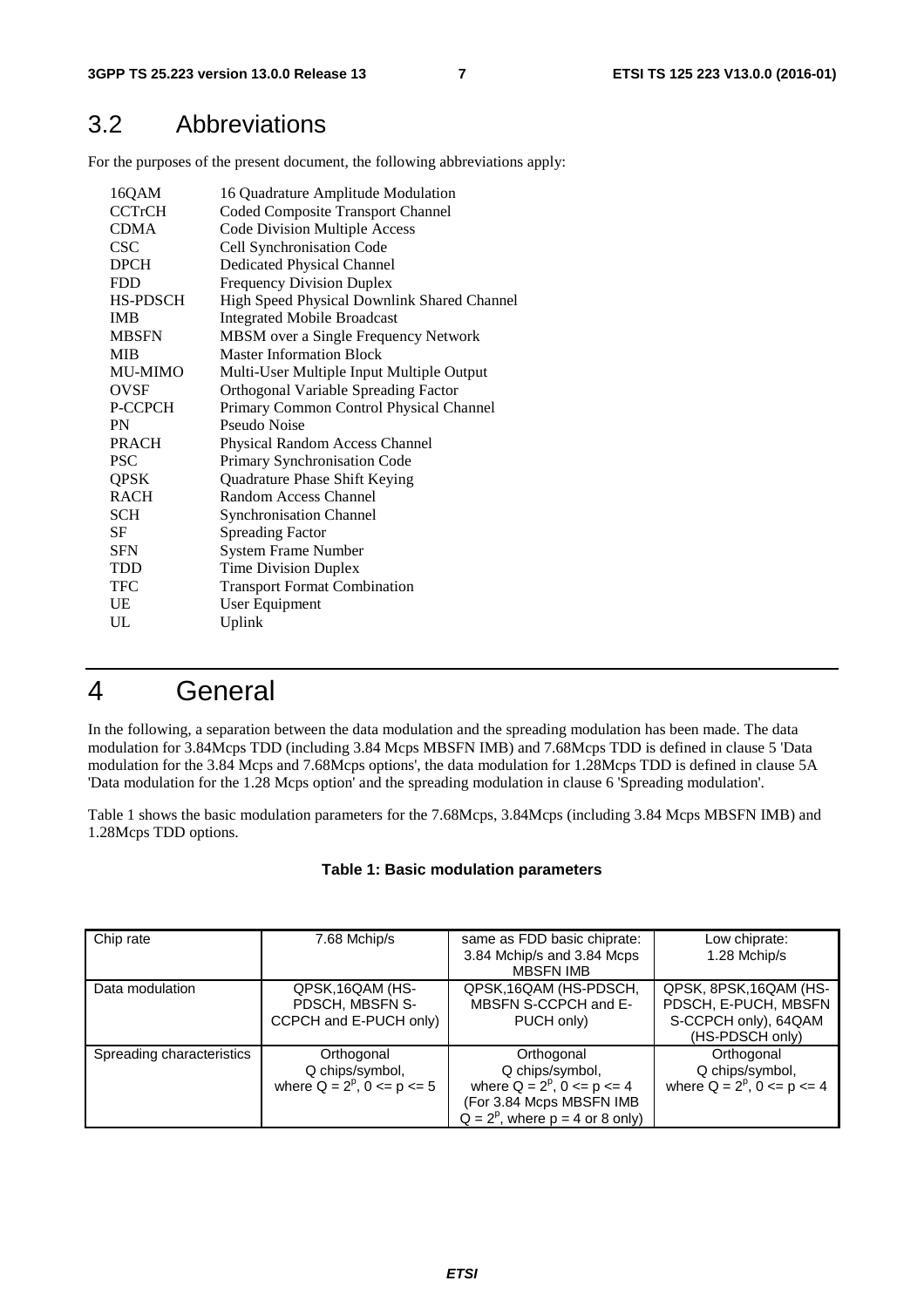# 3.2 Abbreviations

For the purposes of the present document, the following abbreviations apply:

| 16QAM          | 16 Quadrature Amplitude Modulation          |
|----------------|---------------------------------------------|
| <b>CCTrCH</b>  | Coded Composite Transport Channel           |
| <b>CDMA</b>    | Code Division Multiple Access               |
| <b>CSC</b>     | Cell Synchronisation Code                   |
| <b>DPCH</b>    | <b>Dedicated Physical Channel</b>           |
| <b>FDD</b>     | <b>Frequency Division Duplex</b>            |
| HS-PDSCH       | High Speed Physical Downlink Shared Channel |
| <b>IMB</b>     | <b>Integrated Mobile Broadcast</b>          |
| <b>MBSFN</b>   | MBSM over a Single Frequency Network        |
| <b>MIB</b>     | <b>Master Information Block</b>             |
| <b>MU-MIMO</b> | Multi-User Multiple Input Multiple Output   |
| <b>OVSF</b>    | <b>Orthogonal Variable Spreading Factor</b> |
| P-CCPCH        | Primary Common Control Physical Channel     |
| <b>PN</b>      | Pseudo Noise                                |
| <b>PRACH</b>   | Physical Random Access Channel              |
| <b>PSC</b>     | Primary Synchronisation Code                |
| <b>QPSK</b>    | Quadrature Phase Shift Keying               |
| <b>RACH</b>    | Random Access Channel                       |
| <b>SCH</b>     | <b>Synchronisation Channel</b>              |
| SF             | <b>Spreading Factor</b>                     |
| <b>SFN</b>     | <b>System Frame Number</b>                  |
| <b>TDD</b>     | Time Division Duplex                        |
| TFC            | <b>Transport Format Combination</b>         |
| UE             | User Equipment                              |
| UL             | Uplink                                      |

# 4 General

In the following, a separation between the data modulation and the spreading modulation has been made. The data modulation for 3.84Mcps TDD (including 3.84 Mcps MBSFN IMB) and 7.68Mcps TDD is defined in clause 5 'Data modulation for the 3.84 Mcps and 7.68Mcps options', the data modulation for 1.28Mcps TDD is defined in clause 5A 'Data modulation for the 1.28 Mcps option' and the spreading modulation in clause 6 'Spreading modulation'.

Table 1 shows the basic modulation parameters for the 7.68Mcps, 3.84Mcps (including 3.84 Mcps MBSFN IMB) and 1.28Mcps TDD options.

#### **Table 1: Basic modulation parameters**

| Chip rate                 | 7.68 Mchip/s                        | same as FDD basic chiprate:          | Low chiprate:                       |
|---------------------------|-------------------------------------|--------------------------------------|-------------------------------------|
|                           |                                     | 3.84 Mchip/s and 3.84 Mcps           | 1.28 Mchip/s                        |
|                           |                                     | <b>MBSFN IMB</b>                     |                                     |
| Data modulation           | QPSK, 16QAM (HS-                    | QPSK, 16QAM (HS-PDSCH,               | QPSK, 8PSK, 16QAM (HS-              |
|                           | PDSCH, MBSFN S-                     | MBSFN S-CCPCH and E-                 | PDSCH, E-PUCH, MBSFN                |
|                           | CCPCH and E-PUCH only)              | PUCH only)                           | S-CCPCH only), 64QAM                |
|                           |                                     |                                      | (HS-PDSCH only)                     |
| Spreading characteristics | Orthogonal                          | Orthogonal                           | Orthogonal                          |
|                           | Q chips/symbol,                     | Q chips/symbol,                      | Q chips/symbol,                     |
|                           | where $Q = 2^p$ , $0 \leq p \leq 5$ | where $Q = 2^p$ , $0 \leq p \leq 4$  | where $Q = 2^p$ , $0 \leq p \leq 4$ |
|                           |                                     | (For 3.84 Mcps MBSFN IMB             |                                     |
|                           |                                     | $Q = 2^p$ , where $p = 4$ or 8 only) |                                     |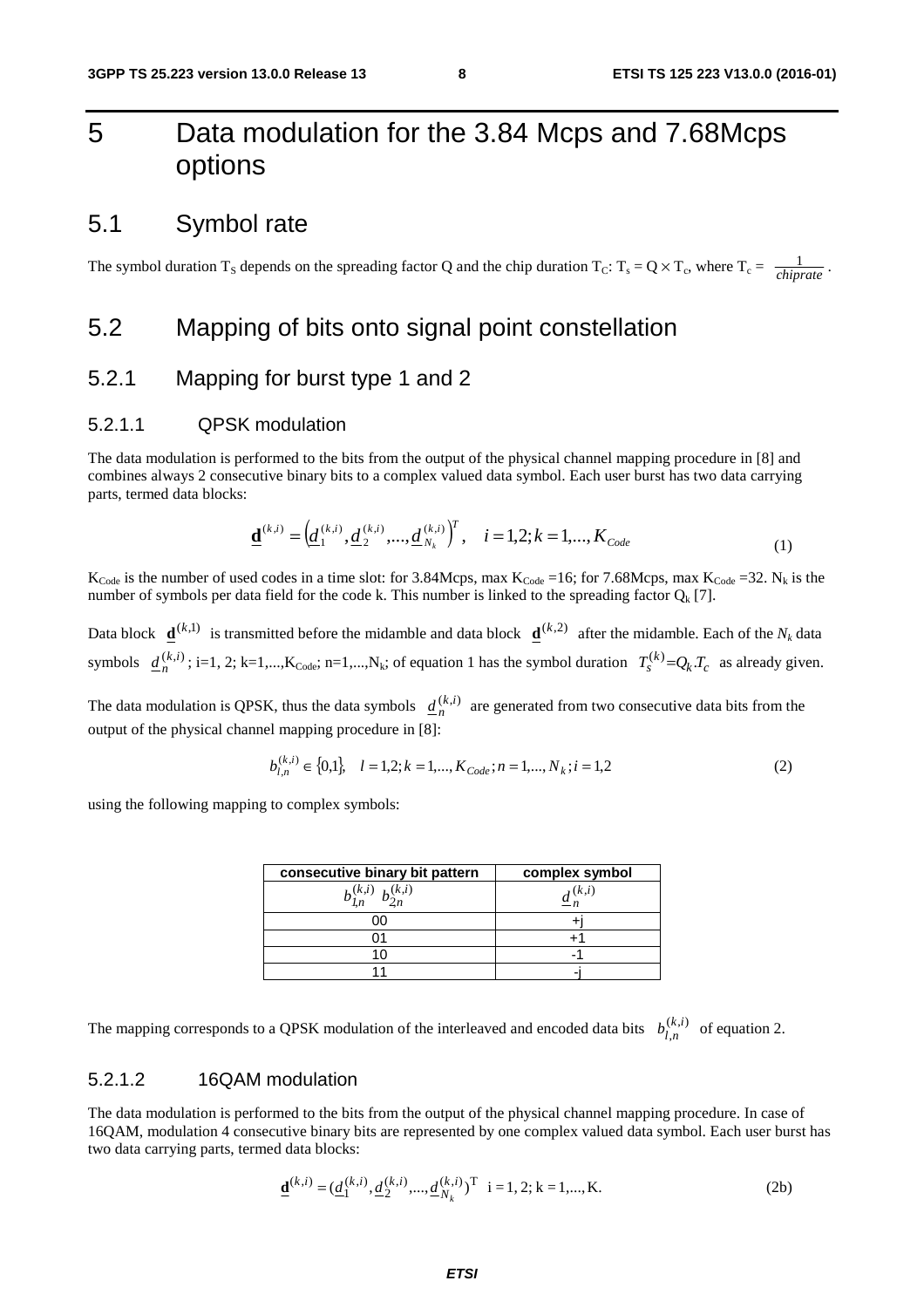# 5 Data modulation for the 3.84 Mcps and 7.68Mcps options

## 5.1 Symbol rate

The symbol duration T<sub>S</sub> depends on the spreading factor Q and the chip duration T<sub>C</sub>: T<sub>s</sub> = Q  $\times$  T<sub>c</sub>, where T<sub>c</sub> =  $\frac{1}{\text{chincts}}$ . *chiprate*

## 5.2 Mapping of bits onto signal point constellation

#### 5.2.1 Mapping for burst type 1 and 2

#### 5.2.1.1 QPSK modulation

The data modulation is performed to the bits from the output of the physical channel mapping procedure in [8] and combines always 2 consecutive binary bits to a complex valued data symbol. Each user burst has two data carrying parts, termed data blocks:

$$
\underline{\mathbf{d}}^{(k,i)} = \left(\underline{d}_1^{(k,i)}, \underline{d}_2^{(k,i)}, \dots, \underline{d}_{N_k}^{(k,i)}\right)^T, \quad i = 1, 2; k = 1, \dots, K_{Code} \tag{1}
$$

 $K_{\text{Code}}$  is the number of used codes in a time slot: for 3.84Mcps, max  $K_{\text{Code}} = 16$ ; for 7.68Mcps, max  $K_{\text{Code}} = 32$ . N<sub>k</sub> is the number of symbols per data field for the code k. This number is linked to the spreading factor  $Q_k$  [7].

Data block  $\underline{\mathbf{d}}^{(k,1)}$  is transmitted before the midamble and data block  $\underline{\mathbf{d}}^{(k,2)}$  after the midamble. Each of the *N<sub>k</sub>* data symbols  $\underline{d}_{n}^{(k,i)}$ ; i=1, 2; k=1,...,K<sub>Code</sub>; n=1,...,N<sub>k</sub>; of equation 1 has the symbol duration  $T_s^{(k)} = Q_k T_c$  as already given.

The data modulation is QPSK, thus the data symbols  $\underline{d}_n^{(k,i)}$  are generated from two consecutive data bits from the output of the physical channel mapping procedure in [8]:

$$
b_{l,n}^{(k,i)} \in \{0,1\}, \quad l = 1,2; k = 1,...,K_{Code}; n = 1,...,N_k; i = 1,2
$$
\n
$$
(2)
$$

using the following mapping to complex symbols:

| consecutive binary bit pattern    | complex symbol            |
|-----------------------------------|---------------------------|
| $b_{1n}^{(k,i)}$ $b_{2n}^{(k,i)}$ | $\underline{d}^{(k,i)}_n$ |
|                                   |                           |
|                                   |                           |
|                                   |                           |
|                                   |                           |

The mapping corresponds to a QPSK modulation of the interleaved and encoded data bits  $b_{i,n}^{(k,i)}$  of equation 2. ,  $b_{l,n}^{(k,i)}$ 

#### 5.2.1.2 16QAM modulation

The data modulation is performed to the bits from the output of the physical channel mapping procedure. In case of 16QAM, modulation 4 consecutive binary bits are represented by one complex valued data symbol. Each user burst has two data carrying parts, termed data blocks:

$$
\underline{\mathbf{d}}^{(k,i)} = (\underline{d}_1^{(k,i)}, \underline{d}_2^{(k,i)}, ..., \underline{d}_{N_k}^{(k,i)})^{\mathrm{T}} \quad i = 1, 2; k = 1, ..., K. \tag{2b}
$$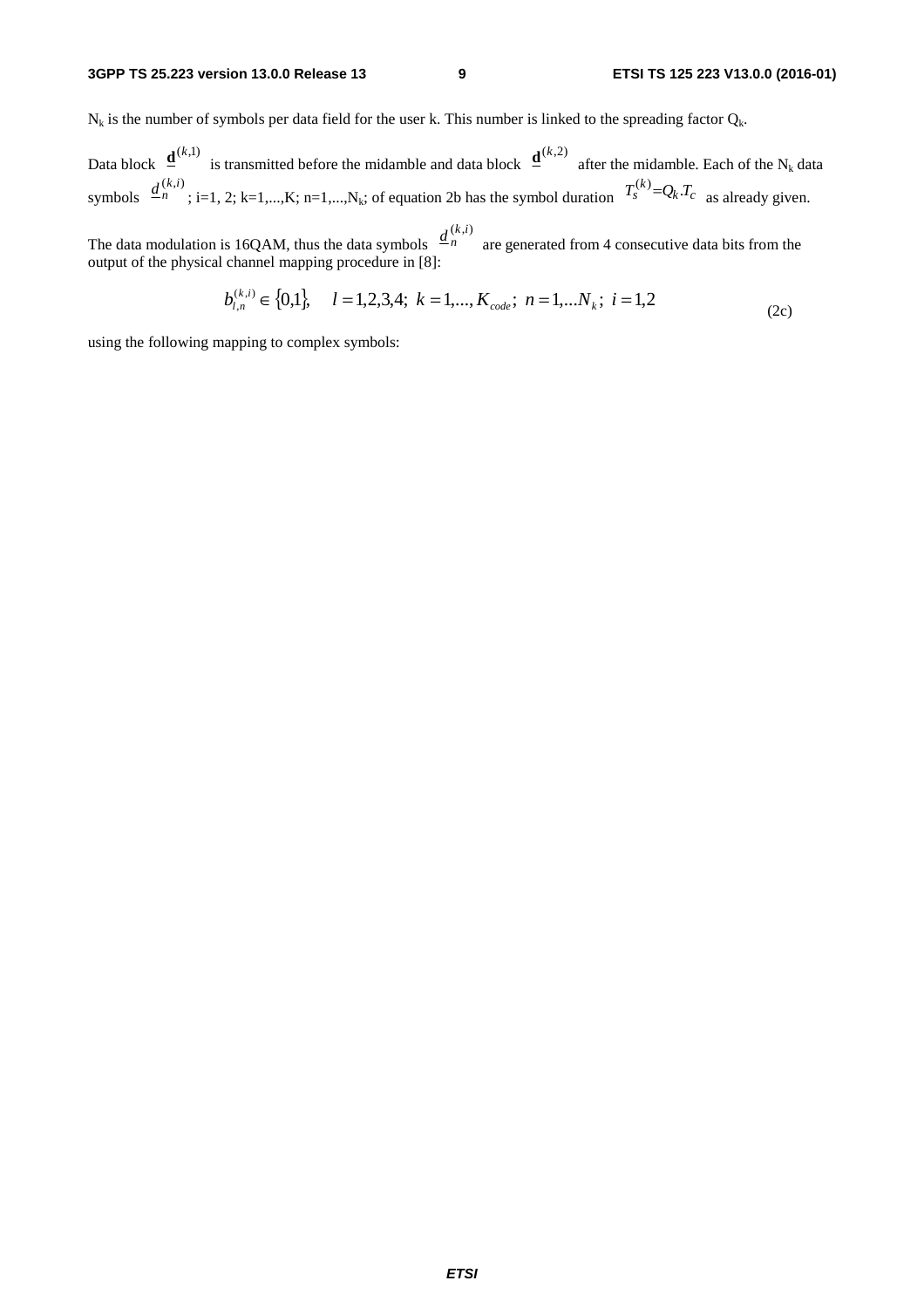$N_k$  is the number of symbols per data field for the user k. This number is linked to the spreading factor  $Q_k$ .

Data block  $\mathbf{\underline{d}}^{(k,1)}$  is transmitted before the midamble and data block  $\mathbf{\underline{d}}^{(k,2)}$  after the midamble. Each of the N<sub>k</sub> data symbols  $\frac{u_n}{v}$  ; i=1, 2; k=1,...,K; n=1,...,N<sub>k</sub>; of equation 2b has the symbol duration  $\frac{u_n}{v} = -\frac{u_n}{c}$  as already given.  $\frac{d^{(k,i)}}{dt}$ : i=1, 2; k=1,...,K; n=1,...,N<sub>1</sub>; of equation 2b has the symbol duration  $T_s^{(k)} = Q_k T_c$ 

 $\underline{d}^{(k,i)}_{n}$ 

The data modulation is 16QAM, thus the data symbols  $\frac{a_n}{a_n}$  are generated from 4 consecutive data bits from the output of the physical channel mapping procedure in [8]:

$$
b_{l,n}^{(k,i)} \in \{0,1\}, \quad l = 1,2,3,4; \ k = 1,...,K_{code}; \ n = 1,...N_k; \ i = 1,2
$$
\n<sup>(2c)</sup>

using the following mapping to complex symbols: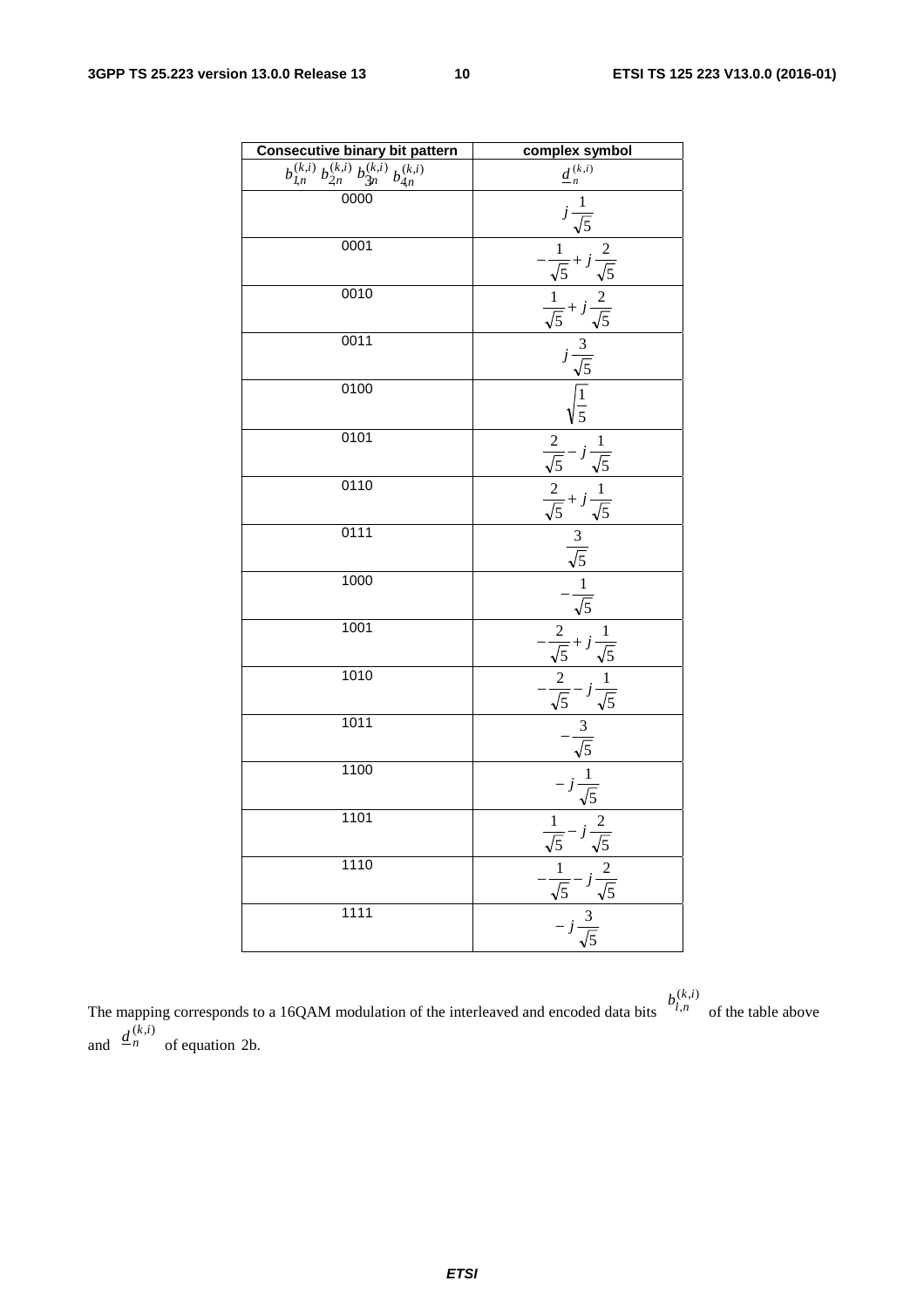| <b>Consecutive binary bit pattern</b>                                        | complex symbol                                                                                                                                                                                                                                                      |
|------------------------------------------------------------------------------|---------------------------------------------------------------------------------------------------------------------------------------------------------------------------------------------------------------------------------------------------------------------|
| $\overline{b_{l,n}^{(k,i)}\,b_{2n}^{(k,i)}}\,b_{3n}^{(k,i)}\,b_{4n}^{(k,i)}$ | $\underline{d}^{\,(k,i)}_{\,n}$                                                                                                                                                                                                                                     |
| 0000                                                                         |                                                                                                                                                                                                                                                                     |
| 0001                                                                         |                                                                                                                                                                                                                                                                     |
| 0010                                                                         |                                                                                                                                                                                                                                                                     |
| 0011                                                                         |                                                                                                                                                                                                                                                                     |
| 0100                                                                         | $\frac{a_n}{j}$<br>$j\frac{1}{\sqrt{5}}$<br>$-\frac{1}{\sqrt{5}} + j\frac{2}{\sqrt{5}}$<br>$\frac{1}{\sqrt{5}} + j\frac{2}{\sqrt{5}}$<br>$j\frac{3}{\sqrt{5}}$<br>$\sqrt{\frac{1}{5}}$                                                                              |
| 0101                                                                         | $\frac{\frac{2}{\sqrt{5}} - j\frac{1}{\sqrt{5}}}{\frac{2}{\sqrt{5}} + j\frac{1}{\sqrt{5}}}$ $\frac{3}{\sqrt{5}}$ $\frac{1}{\sqrt{5}}$ $\frac{1}{\sqrt{5}}$ $\frac{1}{\sqrt{5}}$ $\frac{1}{\sqrt{5}}$ $\frac{1}{\sqrt{5}}$ $\frac{1}{\sqrt{5}}$ $\frac{1}{\sqrt{5}}$ |
| 0110                                                                         |                                                                                                                                                                                                                                                                     |
| 0111                                                                         |                                                                                                                                                                                                                                                                     |
| 1000                                                                         |                                                                                                                                                                                                                                                                     |
| 1001                                                                         | $\frac{2}{\sqrt{5}} + j\frac{1}{\sqrt{5}}$<br>$\frac{2}{\sqrt{5}} - j\frac{1}{\sqrt{5}}$<br>$\frac{3}{\sqrt{5}}$<br>$\frac{-j}{\sqrt{5}}$<br>$\frac{1}{\sqrt{5}}$                                                                                                   |
| 1010                                                                         |                                                                                                                                                                                                                                                                     |
| 1011                                                                         |                                                                                                                                                                                                                                                                     |
| 1100                                                                         |                                                                                                                                                                                                                                                                     |
| 1101                                                                         |                                                                                                                                                                                                                                                                     |
| 1110                                                                         |                                                                                                                                                                                                                                                                     |
| 1111                                                                         | $rac{1}{\sqrt{5}} - j\frac{2}{\sqrt{5}}$<br>$-\frac{1}{\sqrt{5}} - j\frac{2}{\sqrt{5}}$<br>$- j\frac{3}{\sqrt{5}}$                                                                                                                                                  |

 $(k, i)$ 

The mapping corresponds to a 16QAM modulation of the interleaved and encoded data bits  $\mu_n$  of the table above and  $\frac{u}{n}$  of equation 2b. ,  $b_{l,n}^{(k,i)}$  $\underline{d}^{(k,i)}_{n}$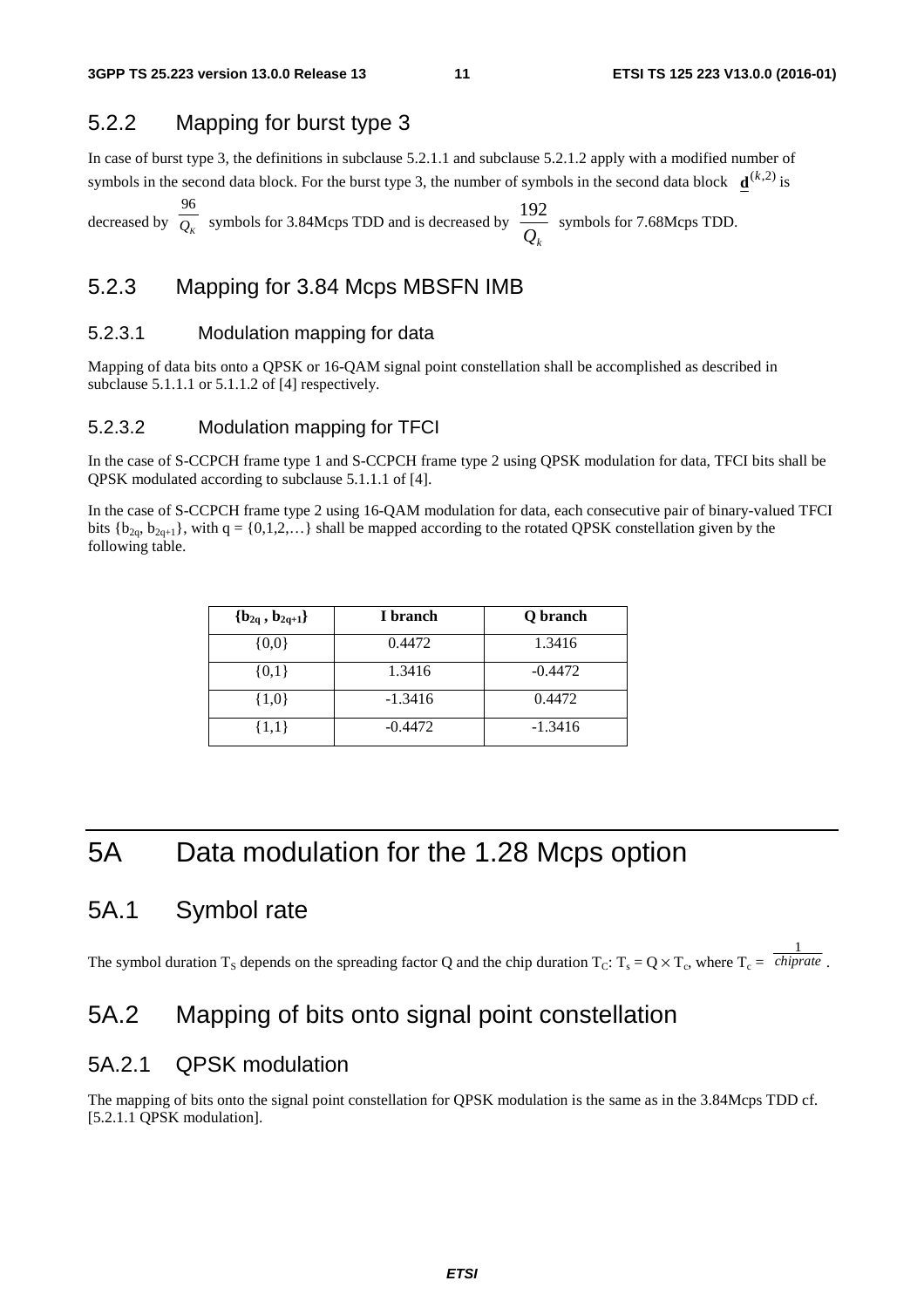#### 5.2.2 Mapping for burst type 3

In case of burst type 3, the definitions in subclause 5.2.1.1 and subclause 5.2.1.2 apply with a modified number of symbols in the second data block. For the burst type 3, the number of symbols in the second data block  $\mathbf{d}^{(k,2)}$  is

decreased by  $\overline{Q_k}$  symbols for 3.84Mcps TDD and is decreased by  $\overline{Q_k}$  $\frac{96}{Q_K}$  symbols for 3.84Mcps TDD and is decreased by  $\frac{192}{Q_S}$  symbols for 7.68Mcps TDD. 96

#### 5.2.3 Mapping for 3.84 Mcps MBSFN IMB

#### 5.2.3.1 Modulation mapping for data

Mapping of data bits onto a QPSK or 16-QAM signal point constellation shall be accomplished as described in subclause 5.1.1.1 or 5.1.1.2 of [4] respectively.

#### 5.2.3.2 Modulation mapping for TFCI

In the case of S-CCPCH frame type 1 and S-CCPCH frame type 2 using QPSK modulation for data, TFCI bits shall be QPSK modulated according to subclause 5.1.1.1 of [4].

In the case of S-CCPCH frame type 2 using 16-QAM modulation for data, each consecutive pair of binary-valued TFCI bits  ${b_{2q}, b_{2q+1}}$ , with  $q = {0,1,2,...}$  shall be mapped according to the rotated QPSK constellation given by the following table.

| ${b_{2q} , b_{2q+1}}$ | I branch  | Q branch  |
|-----------------------|-----------|-----------|
| $\{0,0\}$             | 0.4472    | 1.3416    |
| $\{0,1\}$             | 1.3416    | $-0.4472$ |
| $\{1,0\}$             | $-1.3416$ | 0.4472    |
| $\{1,1\}$             | $-0.4472$ | $-1.3416$ |

# 5A Data modulation for the 1.28 Mcps option

## 5A.1 Symbol rate

The symbol duration T<sub>S</sub> depends on the spreading factor Q and the chip duration T<sub>C</sub>: T<sub>s</sub> = Q  $\times$  T<sub>c</sub>, where T<sub>c</sub> = *chiprate*. 1 *chiprate*

## 5A.2 Mapping of bits onto signal point constellation

## 5A.2.1 QPSK modulation

The mapping of bits onto the signal point constellation for QPSK modulation is the same as in the 3.84Mcps TDD cf. [5.2.1.1 QPSK modulation].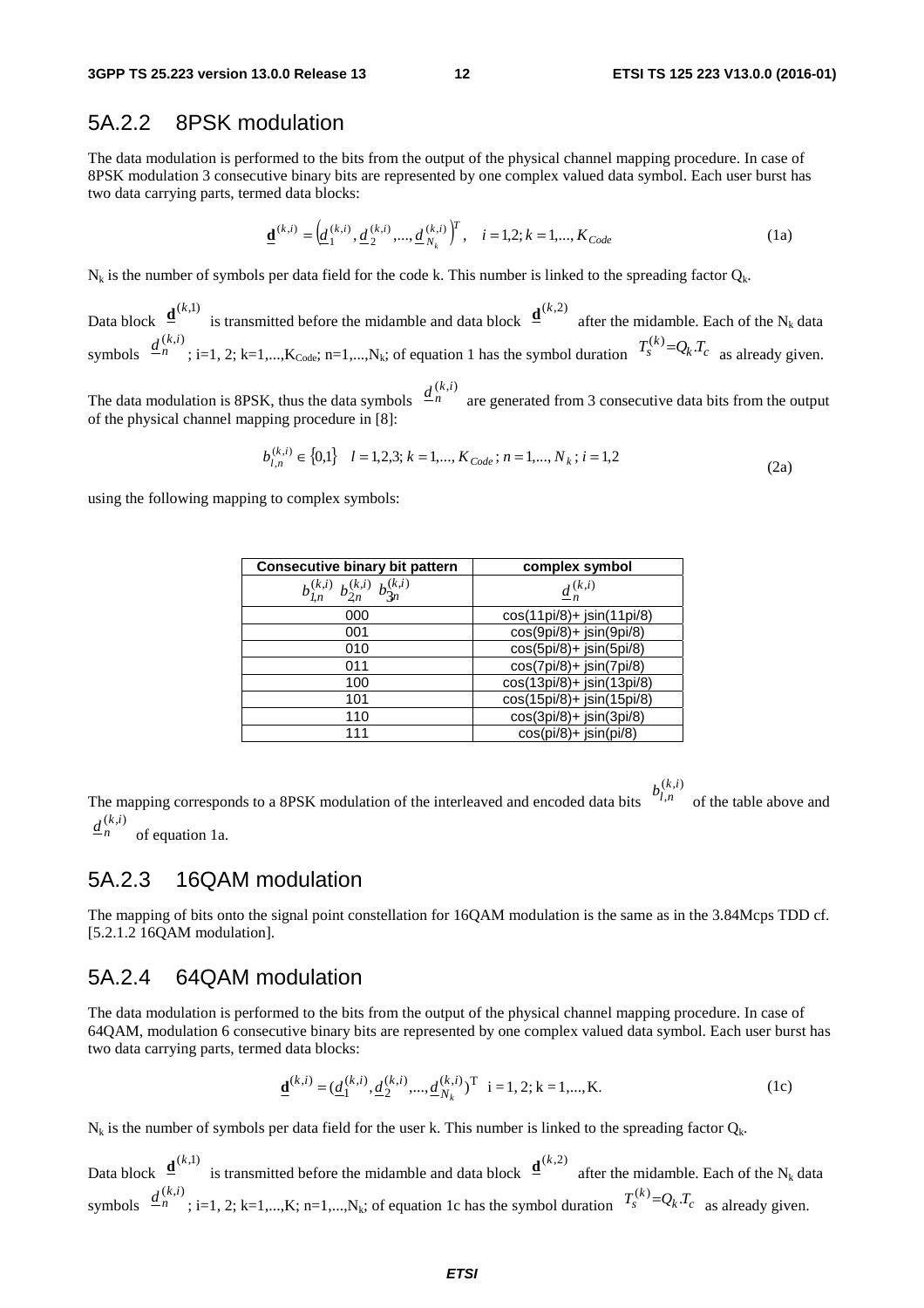### 5A.2.2 8PSK modulation

The data modulation is performed to the bits from the output of the physical channel mapping procedure. In case of 8PSK modulation 3 consecutive binary bits are represented by one complex valued data symbol. Each user burst has two data carrying parts, termed data blocks:

$$
\underline{\mathbf{d}}^{(k,i)} = \left(\underline{d}_1^{(k,i)}, \underline{d}_2^{(k,i)}, \dots, \underline{d}_{N_k}^{(k,i)}\right)^T, \quad i = 1, 2; k = 1, \dots, K_{Code}
$$
 (1a)

 $N_k$  is the number of symbols per data field for the code k. This number is linked to the spreading factor  $Q_k$ .

Data block  $\mathbf{\underline{d}}^{(k,1)}$  is transmitted before the midamble and data block  $\mathbf{\underline{d}}^{(k,2)}$  after the midamble. Each of the N<sub>k</sub> data symbols  $\frac{u}{n}$  ; i=1, 2; k=1,...,K<sub>Code</sub>; n=1,...,N<sub>k</sub>; of equation 1 has the symbol duration  $\frac{u}{s}$   $\frac{-Q_k u}{s}$  as already given.  $\frac{d^{(k,i)}}{dt}$  : i=1, 2; k=1,...,K<sub>Codn</sub>; n=1,...,N<sub>k</sub>; of equation 1 has the symbol duration  $T_s^{(k)}=Q_kT_c$ 

The data modulation is 8PSK, thus the data symbols  $\frac{a_n}{n}$  are generated from 3 consecutive data bits from the output of the physical channel mapping procedure in [8]:  $\underline{d}^{(k,i)}_{n}$ 

$$
b_{l,n}^{(k,i)} \in \{0,1\} \quad l = 1,2,3; k = 1,..., K_{Code}; n = 1,..., N_k; i = 1,2
$$
\n
$$
(2a)
$$

using the following mapping to complex symbols:

| <b>Consecutive binary bit pattern</b>                | complex symbol              |
|------------------------------------------------------|-----------------------------|
| $b_{2n}^{(k,i)} b_{3n}^{(k,i)}$<br>$b_{l,n}^{(k,i)}$ | $\underline{d}_{n}^{(k,i)}$ |
| 000                                                  | cos(11pi/8)+ jsin(11pi/8)   |
| 001                                                  | cos(9pi/8)+ jsin(9pi/8)     |
| 010                                                  | cos(5pi/8)+ jsin(5pi/8)     |
| 011                                                  | cos(7pi/8)+ jsin(7pi/8)     |
| 100                                                  | cos(13pi/8)+ jsin(13pi/8)   |
| 101                                                  | cos(15pi/8)+ jsin(15pi/8)   |
| 110                                                  | cos(3pi/8)+ jsin(3pi/8)     |
| 111                                                  | $cos(pi/8) + jsin(pi/8)$    |

The mapping corresponds to a 8PSK modulation of the interleaved and encoded data bits  $\int_{t}^{t}$  of the table above and  $(k, i)$ ,  $b_{l,n}^{(k,i)}$ (*k*,*i*)  $\underline{d}^{(k,i)}_n$ 

of equation 1a.

#### 5A.2.3 16QAM modulation

The mapping of bits onto the signal point constellation for 16QAM modulation is the same as in the 3.84Mcps TDD cf. [5.2.1.2 16QAM modulation].

#### 5A.2.4 64QAM modulation

The data modulation is performed to the bits from the output of the physical channel mapping procedure. In case of 64QAM, modulation 6 consecutive binary bits are represented by one complex valued data symbol. Each user burst has two data carrying parts, termed data blocks:

$$
\underline{\mathbf{d}}^{(k,i)} = (\underline{d}_1^{(k,i)}, \underline{d}_2^{(k,i)}, ..., \underline{d}_{N_k}^{(k,i)})^{\mathrm{T}} \quad i = 1, 2; k = 1, ..., K. \tag{1c}
$$

 $N_k$  is the number of symbols per data field for the user k. This number is linked to the spreading factor  $Q_k$ .

Data block  $\mathbf{\underline{d}}^{(k,1)}$  is transmitted before the midamble and data block  $\mathbf{\underline{d}}^{(k,2)}$  after the midamble. Each of the N<sub>k</sub> data symbols  $\frac{u}{n}$  ; i=1, 2; k=1,...,K; n=1,...,N<sub>k</sub>; of equation 1c has the symbol duration  $\frac{u}{s} = Q_k \cdot c$  as already given.  $\frac{d^{(k,i)}}{dt}$  : i=1, 2; k=1,...,K; n=1,...,N<sub>k</sub>; of equation 1c has the symbol duration  $T_s^{(k)} = Q_k T_c$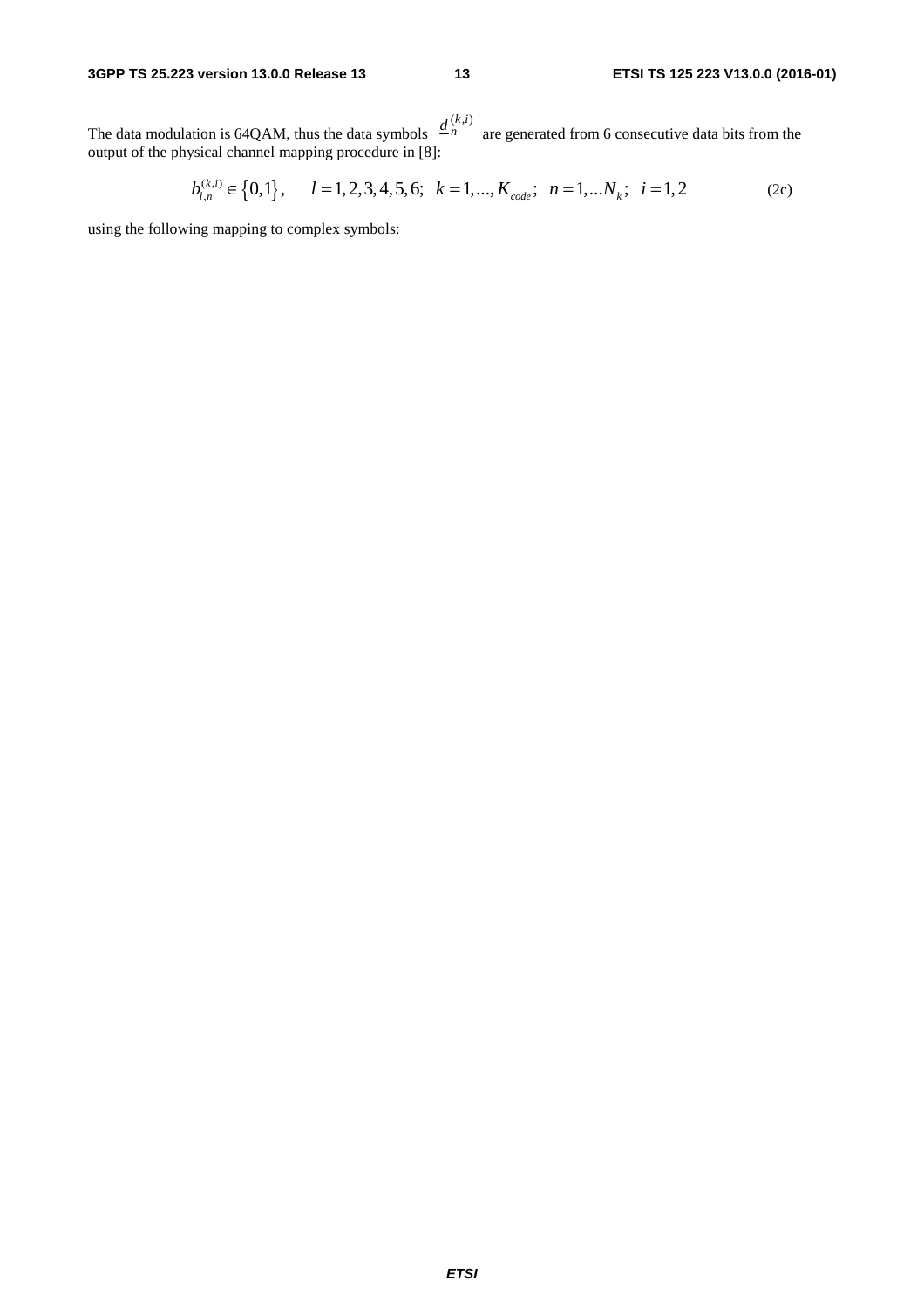The data modulation is 64QAM, thus the data symbols  $\frac{a_n}{a_n}$  are generated from 6 consecutive data bits from the output of the physical channel mapping procedure in [8]:  $\underline{d}^{(k,i)}_{n}$ 

$$
b_{l,n}^{(k,i)} \in \{0,1\}, \qquad l = 1, 2, 3, 4, 5, 6; \quad k = 1, \dots, K_{code}; \quad n = 1, \dots N_k; \quad i = 1, 2 \tag{2c}
$$

using the following mapping to complex symbols: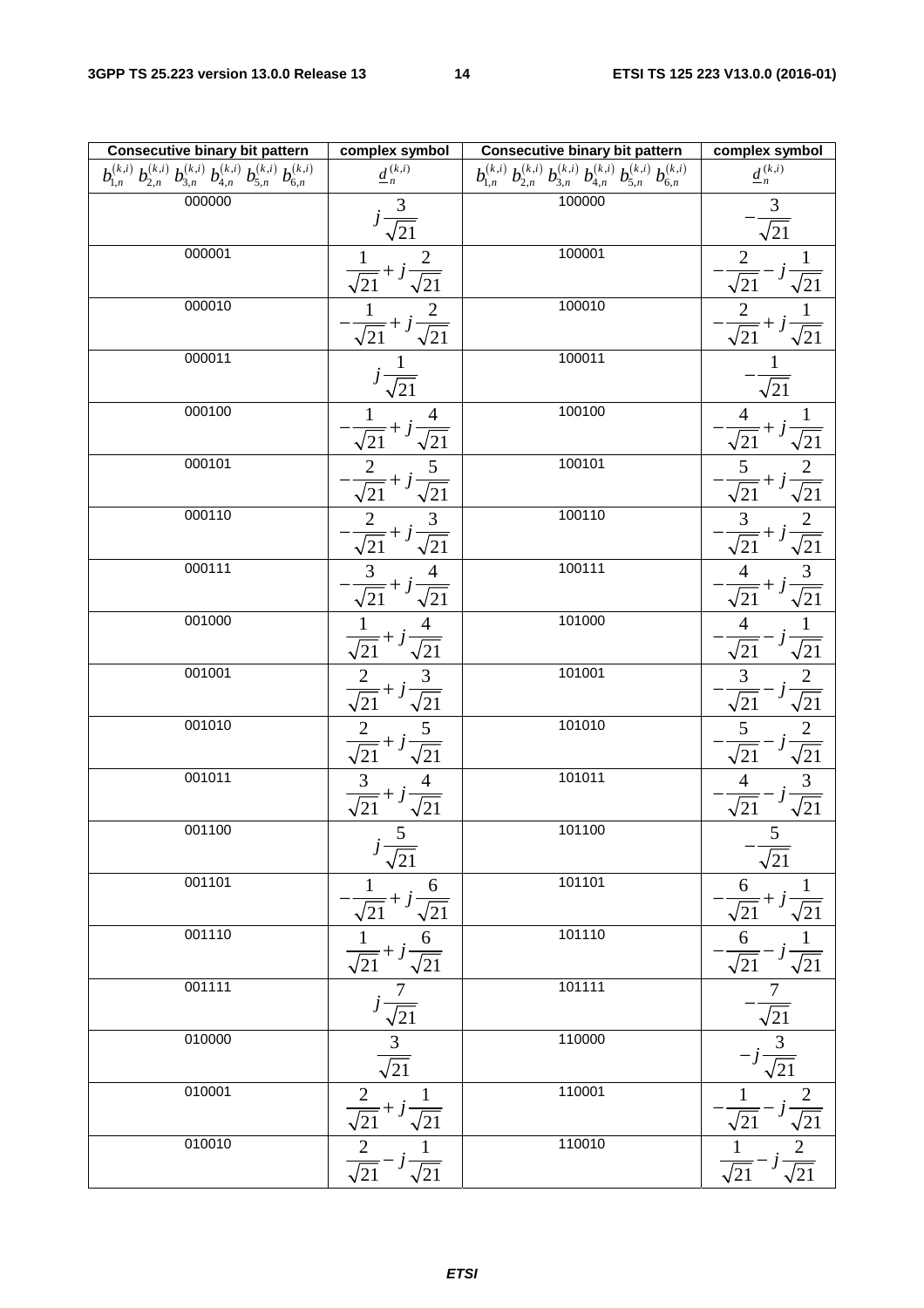| <b>Consecutive binary bit pattern</b>                                                                       | complex symbol                                                                                  | <b>Consecutive binary bit pattern</b>                                                                                                                                   | complex symbol                                                                                                                                         |
|-------------------------------------------------------------------------------------------------------------|-------------------------------------------------------------------------------------------------|-------------------------------------------------------------------------------------------------------------------------------------------------------------------------|--------------------------------------------------------------------------------------------------------------------------------------------------------|
| $b_{1,n}^{(k,i)}$ $b_{2,n}^{(k,i)}$ $b_{3,n}^{(k,i)}$ $b_{4,n}^{(k,i)}$ $b_{5,n}^{(k,i)}$ $b_{6,n}^{(k,i)}$ | $\underline{d}^{\,(k,i)}_{\,n}$                                                                 | $\overline{b_{\mathbf{l},n}^{(k,i)}\,b_{\mathbf{2},n}^{(k,i)}\,b_{\mathbf{3},n}^{(k,i)}}\,b_{\mathbf{4},n}^{(k,i)}\,b_{\mathbf{5},n}^{(k,i)}\,b_{\mathbf{6},n}^{(k,i)}$ | $\underline{d}^{\,(k,i)}_{\,n}$                                                                                                                        |
| 000000                                                                                                      | $j\frac{3}{\sqrt{21}}$                                                                          | 100000                                                                                                                                                                  | $\mathfrak{Z}$                                                                                                                                         |
|                                                                                                             |                                                                                                 |                                                                                                                                                                         | $\overline{\sqrt{21}}$                                                                                                                                 |
| 000001                                                                                                      |                                                                                                 | 100001                                                                                                                                                                  | $\overline{c}$<br>$\mathbf{1}$                                                                                                                         |
|                                                                                                             | $\frac{1}{\sqrt{21}}+j\frac{2}{\sqrt{21}}$                                                      |                                                                                                                                                                         | $\sqrt{21}$<br>$\overline{21}$                                                                                                                         |
| 000010                                                                                                      |                                                                                                 | 100010                                                                                                                                                                  | $\overline{c}$                                                                                                                                         |
|                                                                                                             | =+ j-<br>$\overline{\sqrt{21}}$<br>'21                                                          |                                                                                                                                                                         | =+1<br>/21<br>$\sqrt{21}$                                                                                                                              |
| 000011                                                                                                      | 1                                                                                               | 100011                                                                                                                                                                  | $\mathbf 1$                                                                                                                                            |
|                                                                                                             | $\sqrt{21}$                                                                                     |                                                                                                                                                                         | $\sqrt{21}$                                                                                                                                            |
| 000100                                                                                                      | 4                                                                                               | 100100                                                                                                                                                                  |                                                                                                                                                        |
|                                                                                                             | $\sqrt{21}$<br>21                                                                               |                                                                                                                                                                         | $rac{1}{\sqrt{21}}$<br>$= + j$<br>21                                                                                                                   |
| 000101                                                                                                      | 5<br>$\overline{c}$                                                                             | 100101                                                                                                                                                                  | $\overline{2}$<br>5                                                                                                                                    |
|                                                                                                             | $^{21}$<br>$\sqrt{21}$                                                                          |                                                                                                                                                                         | $= +$<br>/21                                                                                                                                           |
| 000110                                                                                                      | $\overline{\mathbf{3}}$                                                                         | 100110                                                                                                                                                                  |                                                                                                                                                        |
|                                                                                                             | $rac{\frac{2}{2}}{\sqrt{21}}+j$<br>$\sqrt{21}$                                                  |                                                                                                                                                                         | $\frac{\sqrt{21}}{2}$ $\frac{\sqrt{21}}{\sqrt{21}}$<br>$\frac{3}{\sqrt{21}}+j$                                                                         |
| 000111                                                                                                      | 3<br>4                                                                                          | 100111                                                                                                                                                                  | $\overline{3}$<br>4                                                                                                                                    |
|                                                                                                             | $\sqrt{21}$ + j<br>$\sqrt{21}$                                                                  |                                                                                                                                                                         | $= +$<br>$^{121}$<br>$\sqrt{21}$                                                                                                                       |
| 001000                                                                                                      |                                                                                                 | 101000                                                                                                                                                                  | $\overline{4}$                                                                                                                                         |
|                                                                                                             | $\sqrt{21}$ + j<br>$\sqrt{21}$                                                                  |                                                                                                                                                                         | $\sqrt{21}$<br>$\sqrt{21}$                                                                                                                             |
| 001001                                                                                                      |                                                                                                 | 101001                                                                                                                                                                  | $\frac{3}{5}$                                                                                                                                          |
|                                                                                                             | $\frac{2}{\sqrt{21}}+j\frac{3}{\sqrt{21}}$                                                      |                                                                                                                                                                         | $\frac{2}{\sqrt{21}}$<br>$^{'}21$                                                                                                                      |
| 001010                                                                                                      | 5                                                                                               | 101010                                                                                                                                                                  | 5                                                                                                                                                      |
|                                                                                                             | $\frac{2}{\sqrt{21}+j}$<br>$\sqrt{21}$                                                          |                                                                                                                                                                         | $\frac{2}{\sqrt{21}}$<br>$\sqrt{21}$                                                                                                                   |
| 001011                                                                                                      |                                                                                                 | 101011                                                                                                                                                                  | $\overline{4}$                                                                                                                                         |
|                                                                                                             | $\frac{3}{\sqrt{21}}+j\frac{4}{\sqrt{21}}$                                                      |                                                                                                                                                                         | $\frac{3}{\sqrt{21}}$<br>$\sqrt{21}$                                                                                                                   |
| 001100                                                                                                      | $5\overline{)}$                                                                                 | 101100                                                                                                                                                                  | 5.                                                                                                                                                     |
|                                                                                                             | $\overline{\sqrt{21}}$                                                                          |                                                                                                                                                                         | $\sqrt{21}$                                                                                                                                            |
| 001101                                                                                                      |                                                                                                 | 101101                                                                                                                                                                  |                                                                                                                                                        |
|                                                                                                             | $\frac{1}{\sqrt{21}} + j\frac{6}{\sqrt{21}}$<br>$\frac{1}{\sqrt{21}} + j\frac{6}{\sqrt{21}}$    |                                                                                                                                                                         |                                                                                                                                                        |
| 001110                                                                                                      |                                                                                                 | 101110                                                                                                                                                                  |                                                                                                                                                        |
|                                                                                                             |                                                                                                 |                                                                                                                                                                         |                                                                                                                                                        |
| 001111                                                                                                      |                                                                                                 | 101111                                                                                                                                                                  |                                                                                                                                                        |
|                                                                                                             |                                                                                                 |                                                                                                                                                                         |                                                                                                                                                        |
| 010000                                                                                                      |                                                                                                 | 110000                                                                                                                                                                  |                                                                                                                                                        |
|                                                                                                             | $\frac{\frac{7}{j\frac{7}{\sqrt{21}}}}{\frac{3}{\sqrt{21}}}$                                    |                                                                                                                                                                         | $\frac{\frac{6}{\sqrt{21}} + j\frac{1}{\sqrt{21}}}{\frac{6}{\sqrt{21}} - j\frac{1}{\sqrt{21}}}}$ $\frac{-\frac{7}{\sqrt{21}}}{-j\frac{3}{\sqrt{21}}}}$ |
| 010001                                                                                                      |                                                                                                 | 110001                                                                                                                                                                  |                                                                                                                                                        |
|                                                                                                             | $\frac{\frac{2}{\sqrt{21}} + j\frac{1}{\sqrt{21}}}{\frac{2}{\sqrt{21}} - j\frac{1}{\sqrt{21}}}$ |                                                                                                                                                                         | $\frac{1}{\sqrt{21}} - j\frac{2}{\sqrt{21}}$ $\frac{1}{\sqrt{21}} - j\frac{2}{\sqrt{21}}$                                                              |
| 010010                                                                                                      |                                                                                                 | 110010                                                                                                                                                                  |                                                                                                                                                        |
|                                                                                                             |                                                                                                 |                                                                                                                                                                         |                                                                                                                                                        |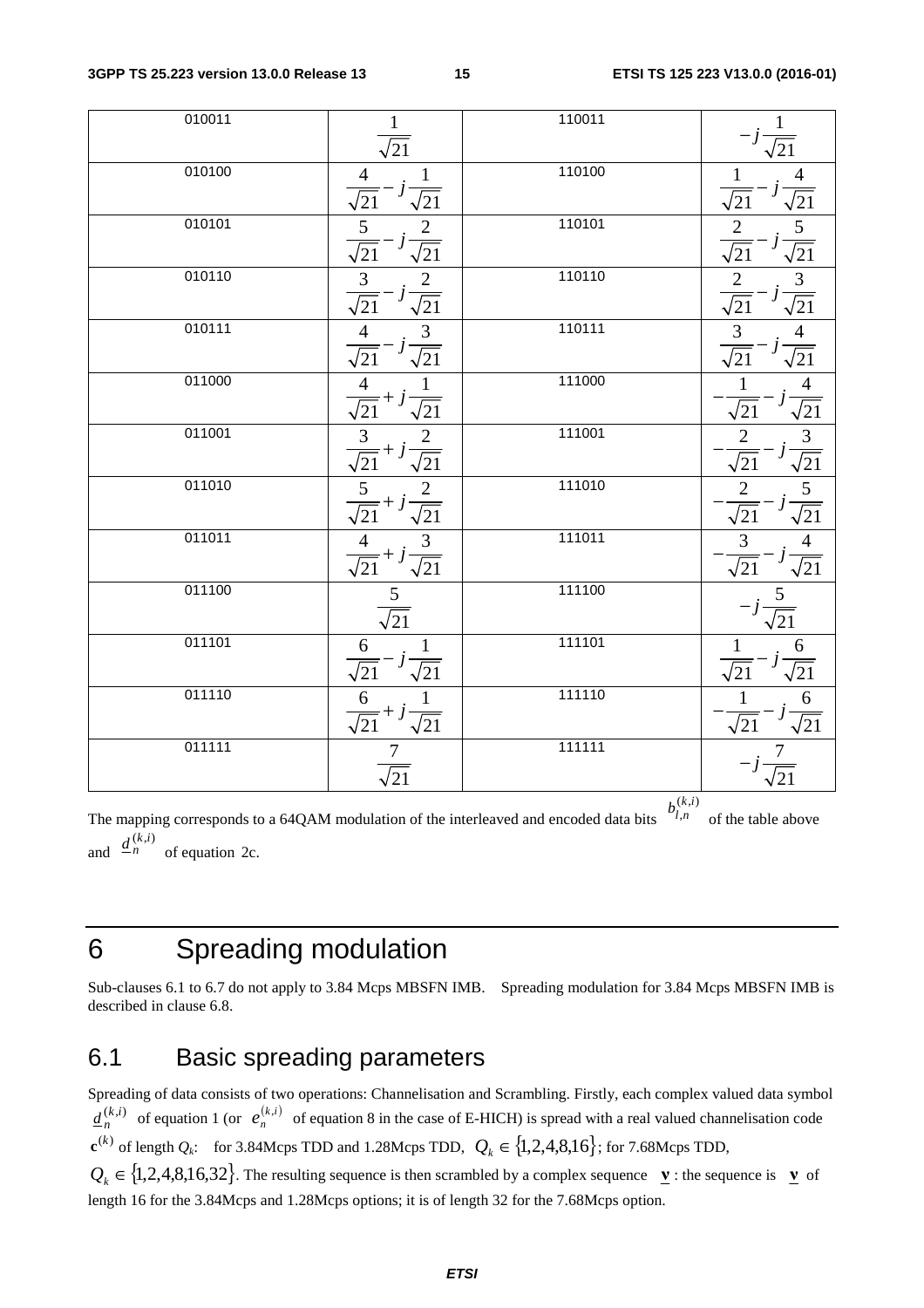| 010011 |                                                                                                                                                                                                   | 110011 |                                                                                                                                                            |
|--------|---------------------------------------------------------------------------------------------------------------------------------------------------------------------------------------------------|--------|------------------------------------------------------------------------------------------------------------------------------------------------------------|
|        | $\sqrt{21}$                                                                                                                                                                                       |        |                                                                                                                                                            |
| 010100 | $i\frac{1}{\sqrt{21}}$<br>$\frac{4}{5}$<br>$\sqrt{21}$ <sup>-j</sup>                                                                                                                              | 110100 | $\overline{4}$                                                                                                                                             |
| 010101 | $\frac{5}{\sqrt{21}}-j\frac{2}{\sqrt{21}}$                                                                                                                                                        | 110101 | $\frac{\frac{1}{\sqrt{21}}-j}{\frac{2}{\sqrt{21}}-}$                                                                                                       |
| 010110 |                                                                                                                                                                                                   | 110110 |                                                                                                                                                            |
| 010111 | $\frac{\frac{3}{3}}{\sqrt{21}} - j\frac{2}{\sqrt{21}}$<br>$\frac{4}{\sqrt{21}} - j\frac{3}{\sqrt{21}}$                                                                                            | 110111 | $\frac{\sqrt{21}}{5}$ $\frac{\sqrt{21}}{3}$ $\frac{\sqrt{21}}{4}$ $\frac{4}{\sqrt{21}}$<br>$\frac{\frac{2}{2}}{\frac{\sqrt{21}}{3}}$ $\frac{3}{\sqrt{21}}$ |
| 011000 | $\frac{\frac{\sqrt{21}}{4} + j\frac{1}{\sqrt{21}}}{\frac{3}{\sqrt{21}} + j\frac{2}{\sqrt{21}}}}$ $\frac{\frac{3}{\sqrt{21}} + j\frac{2}{\sqrt{21}}}{\frac{4}{\sqrt{21}} + j\frac{3}{\sqrt{21}}}}$ | 111000 | $\frac{1}{\sqrt{21}}$<br>$\frac{\frac{4}{\sqrt{21}}}{\frac{3}{\sqrt{21}}}}$ $\frac{\frac{1}{\sqrt{21}}}{\frac{4}{\sqrt{21}}}$                              |
| 011001 |                                                                                                                                                                                                   | 111001 |                                                                                                                                                            |
| 011010 |                                                                                                                                                                                                   | 111010 |                                                                                                                                                            |
| 011011 |                                                                                                                                                                                                   | 111011 | $\frac{2}{\sqrt{21}}$<br>$\frac{2}{\sqrt{21}}$<br>$\frac{1}{3}$<br>$\frac{3}{\sqrt{21}}$                                                                   |
| 011100 | $rac{5}{\sqrt{21}}$                                                                                                                                                                               | 111100 | $\frac{5}{\sqrt{21}}$                                                                                                                                      |
| 011101 | $\frac{6}{1}$                                                                                                                                                                                     | 111101 | $\sqrt{21}$<br>$\sqrt{21}$                                                                                                                                 |
| 011110 | $\frac{6}{\sqrt{21}} - j\frac{1}{\sqrt{21}}$ $\frac{6}{\sqrt{21}} + j\frac{1}{\sqrt{21}}$ $\frac{7}{\sqrt{21}}$                                                                                   | 111110 | $\frac{1}{j}$<br>$\frac{1}{\sqrt{21}}$                                                                                                                     |
| 011111 |                                                                                                                                                                                                   | 111111 |                                                                                                                                                            |
|        |                                                                                                                                                                                                   | k(k,i) |                                                                                                                                                            |

The mapping corresponds to a 64QAM modulation of the interleaved and encoded data bits  $\epsilon^{l,n}$  of the table above and  $\frac{u}{n}$  of equation 2c. ,  $b_{l,n}^{(k,i)}$  $\underline{d}^{(k,i)}_{n}$ 

# 6 Spreading modulation

Sub-clauses 6.1 to 6.7 do not apply to 3.84 Mcps MBSFN IMB. Spreading modulation for 3.84 Mcps MBSFN IMB is described in clause 6.8.

## 6.1 Basic spreading parameters

Spreading of data consists of two operations: Channelisation and Scrambling. Firstly, each complex valued data symbol  $\underline{d}_{n}^{(k,i)}$  of equation 1 (or  $e_{n}^{(k,i)}$  of equation 8 in the case of E-HICH) is spread with a real valued channelisation code  $\mathbf{c}^{(k)}$  of length  $Q_k$ : for 3.84Mcps TDD and 1.28Mcps TDD,  $Q_k \in \{1, 2, 4, 8, 16\}$ ; for 7.68Mcps TDD,  $Q_k \in \{1, 2, 4, 8, 16, 32\}$ . The resulting sequence is then scrambled by a complex sequence  $\underline{v}$  : the sequence is  $\underline{v}$  of length 16 for the 3.84Mcps and 1.28Mcps options; it is of length 32 for the 7.68Mcps option.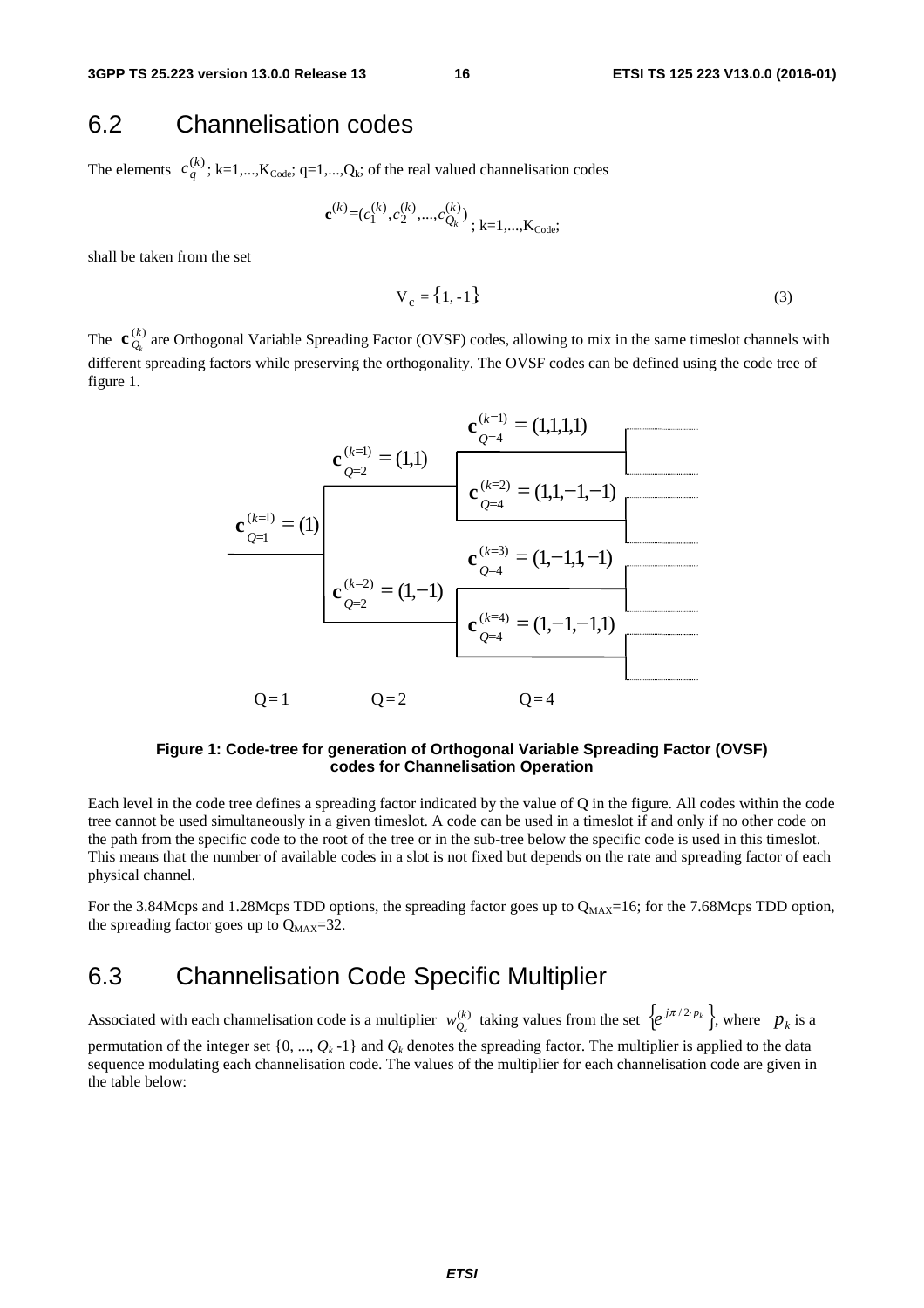## 6.2 Channelisation codes

The elements  $c_q^{(k)}$ ; k=1,...,K<sub>Code</sub>; q=1,...,Q<sub>k</sub>; of the real valued channelisation codes

$$
\mathbf{c}^{(k)} = (c_1^{(k)}, c_2^{(k)}, \dots, c_{Q_k}^{(k)})
$$
; k=1,...,K<sub>Code</sub>;

shall be taken from the set

$$
V_c = \{1, -1\} \tag{3}
$$

The  $\mathbf{c}_{Q_k}^{(k)}$  are Orthogonal Variable Spreading Factor (OVSF) codes, allowing to mix in the same timeslot channels with different spreading factors while preserving the orthogonality. The OVSF codes can be defined using the code tree of figure 1.



#### **Figure 1: Code-tree for generation of Orthogonal Variable Spreading Factor (OVSF) codes for Channelisation Operation**

Each level in the code tree defines a spreading factor indicated by the value of Q in the figure. All codes within the code tree cannot be used simultaneously in a given timeslot. A code can be used in a timeslot if and only if no other code on the path from the specific code to the root of the tree or in the sub-tree below the specific code is used in this timeslot. This means that the number of available codes in a slot is not fixed but depends on the rate and spreading factor of each physical channel.

For the 3.84Mcps and 1.28Mcps TDD options, the spreading factor goes up to  $Q_{MAX}=16$ ; for the 7.68Mcps TDD option, the spreading factor goes up to  $Q_{MAX}=32$ .

# 6.3 Channelisation Code Specific Multiplier

Associated with each channelisation code is a multiplier  $w_0^{(k)}$  taking values from the set  $\{e^{j\pi/2 p_k}\}\,$ , where  $p_k$  is a permutation of the integer set  $\{0, ..., Q_k -1\}$  and  $Q_k$  denotes the spreading factor. The multiplier is applied to the data sequence modulating each channelisation code. The values of the multiplier for each channelisation code are given in the table below:  $w_{Q_k}^{(k)}$  taking values from the set  $\{e^{j\pi/2 \cdot p_k}\}\,$ , where  $p_k$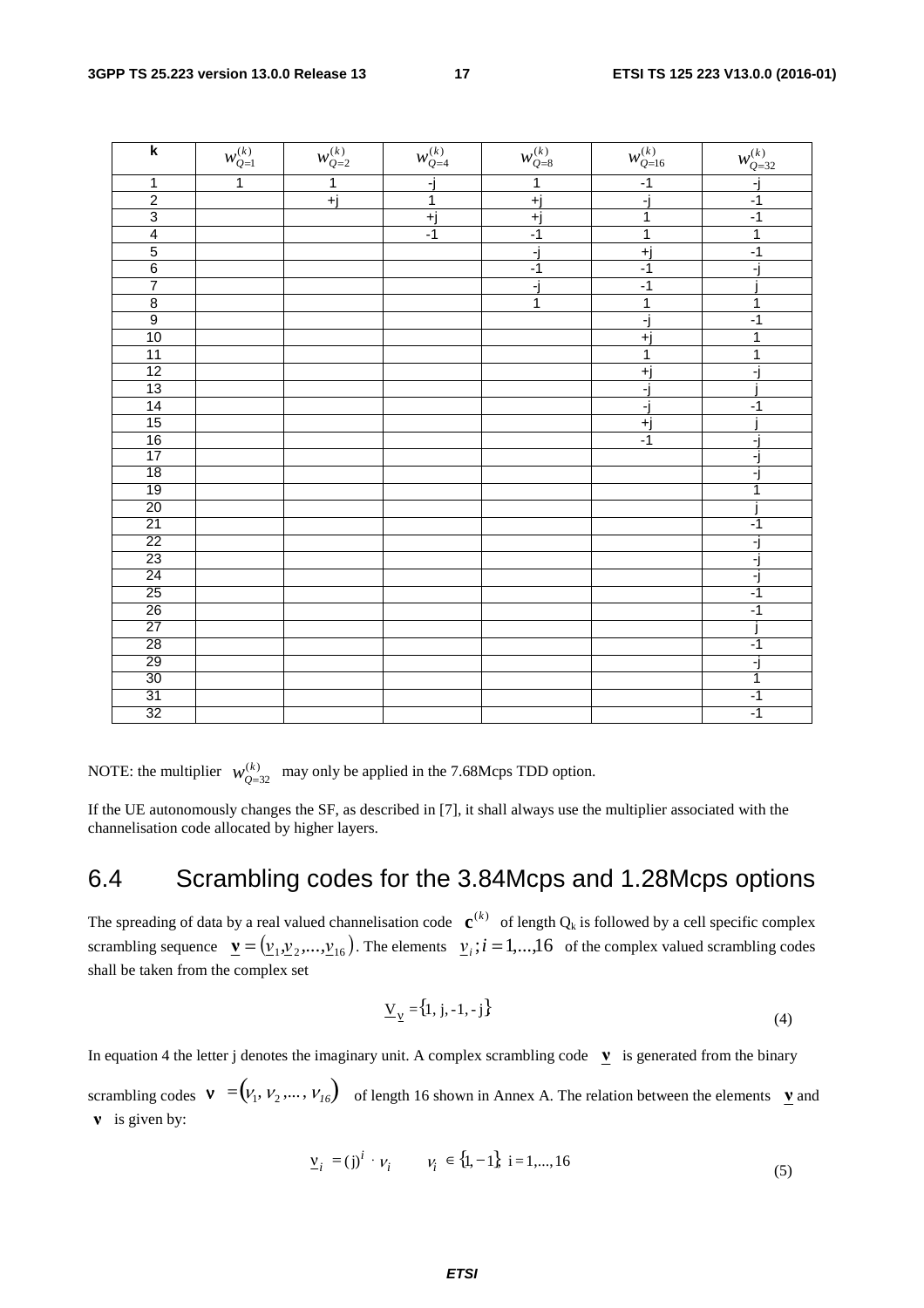| k                           | $\boldsymbol{w}_{\mathcal{Q}=1}^{(k)}$ | $w_{\mathcal{Q}=2}^{(k)}$ | $w_{Q=4}^{\left(k\right)}$ | $w_{Q=8}^{\left(k\right)}$ | $w_{Q=16}^{(k)}$ | $w_{\mathcal{Q}=32}^{(k)}$ |
|-----------------------------|----------------------------------------|---------------------------|----------------------------|----------------------------|------------------|----------------------------|
| $\overline{1}$              | $\overline{1}$                         | $\overline{1}$            | -j                         | $\overline{1}$             | $-1$             | ٦j                         |
|                             |                                        | $+$ j                     | $\overline{1}$             | $+j$                       | ۰i               | $-1$                       |
| $\frac{2}{3}$ $\frac{4}{5}$ |                                        |                           | +j                         | $+j$                       | 1                | $-1$                       |
|                             |                                        |                           | $-1$                       | $-1$                       | $\overline{1}$   | 1                          |
|                             |                                        |                           |                            | Fj                         | $+j$             | $-1$                       |
| $\frac{6}{7}$               |                                        |                           |                            | $-1$                       | $-1$             | $\overline{a}$             |
|                             |                                        |                           |                            | Fj                         | $-1$             |                            |
| $\frac{8}{9}$               |                                        |                           |                            | 1                          | 1                | 1                          |
|                             |                                        |                           |                            |                            | ٦j               | $-1$                       |
| 10                          |                                        |                           |                            |                            | $+j$             | 1                          |
| 11                          |                                        |                           |                            |                            | $\overline{1}$   | 1                          |
| 12                          |                                        |                           |                            |                            | +j               | ۳                          |
| 13                          |                                        |                           |                            |                            | ۰j               |                            |
| 14                          |                                        |                           |                            |                            | -j               | $-1$                       |
| 15                          |                                        |                           |                            |                            | $+j$             |                            |
| $\frac{16}{17}$             |                                        |                           |                            |                            | $-1$             | -                          |
|                             |                                        |                           |                            |                            |                  | F)                         |
| 18                          |                                        |                           |                            |                            |                  | FJ                         |
| 19                          |                                        |                           |                            |                            |                  | 1                          |
| 20                          |                                        |                           |                            |                            |                  |                            |
| $\overline{21}$             |                                        |                           |                            |                            |                  | $-1$                       |
| $\overline{22}$             |                                        |                           |                            |                            |                  | ۰j                         |
| 23                          |                                        |                           |                            |                            |                  | Fj                         |
| 24                          |                                        |                           |                            |                            |                  | ۰j                         |
| 25                          |                                        |                           |                            |                            |                  | $-1$                       |
| 26                          |                                        |                           |                            |                            |                  | $-1$                       |
| $\overline{27}$             |                                        |                           |                            |                            |                  |                            |
| 28                          |                                        |                           |                            |                            |                  | $-1$                       |
| 29                          |                                        |                           |                            |                            |                  | ۰j                         |
| 30                          |                                        |                           |                            |                            |                  | 1                          |
| 31                          |                                        |                           |                            |                            |                  | $-1$                       |
| 32                          |                                        |                           |                            |                            |                  | $-1$                       |

NOTE: the multiplier  $w_{Q=32}^{(k)}$  $w_{Q=32}^{(k)}$  may only be applied in the 7.68Mcps TDD option.

If the UE autonomously changes the SF, as described in [7], it shall always use the multiplier associated with the channelisation code allocated by higher layers.

# 6.4 Scrambling codes for the 3.84Mcps and 1.28Mcps options

The spreading of data by a real valued channelisation code  $\mathbf{c}^{(k)}$  of length  $Q_k$  is followed by a cell specific complex scrambling sequence  $\underline{\mathbf{v}} = (\underline{v}_1, \underline{v}_2, ..., \underline{v}_{16})$ . The elements  $\underline{v}_i$ ;  $i = 1,...,16$  of the complex valued scrambling codes shall be taken from the complex set

$$
\underline{V}_{\underline{V}} = \{1, j, -1, -j\}
$$
\n(4)

In equation 4 the letter j denotes the imaginary unit. A complex scrambling code  $\bf{v}$  is generated from the binary

scrambling codes  $\mathbf{v} = (v_1, v_2, ..., v_{16})$  of length 16 shown in Annex A. The relation between the elements  $\mathbf{v}$  and **v** is given by:

$$
\underline{\mathbf{v}}_i = (j)^i \cdot \mathbf{v}_i \qquad \mathbf{v}_i \in \{1, -1\} \text{ i = 1, ..., 16} \tag{5}
$$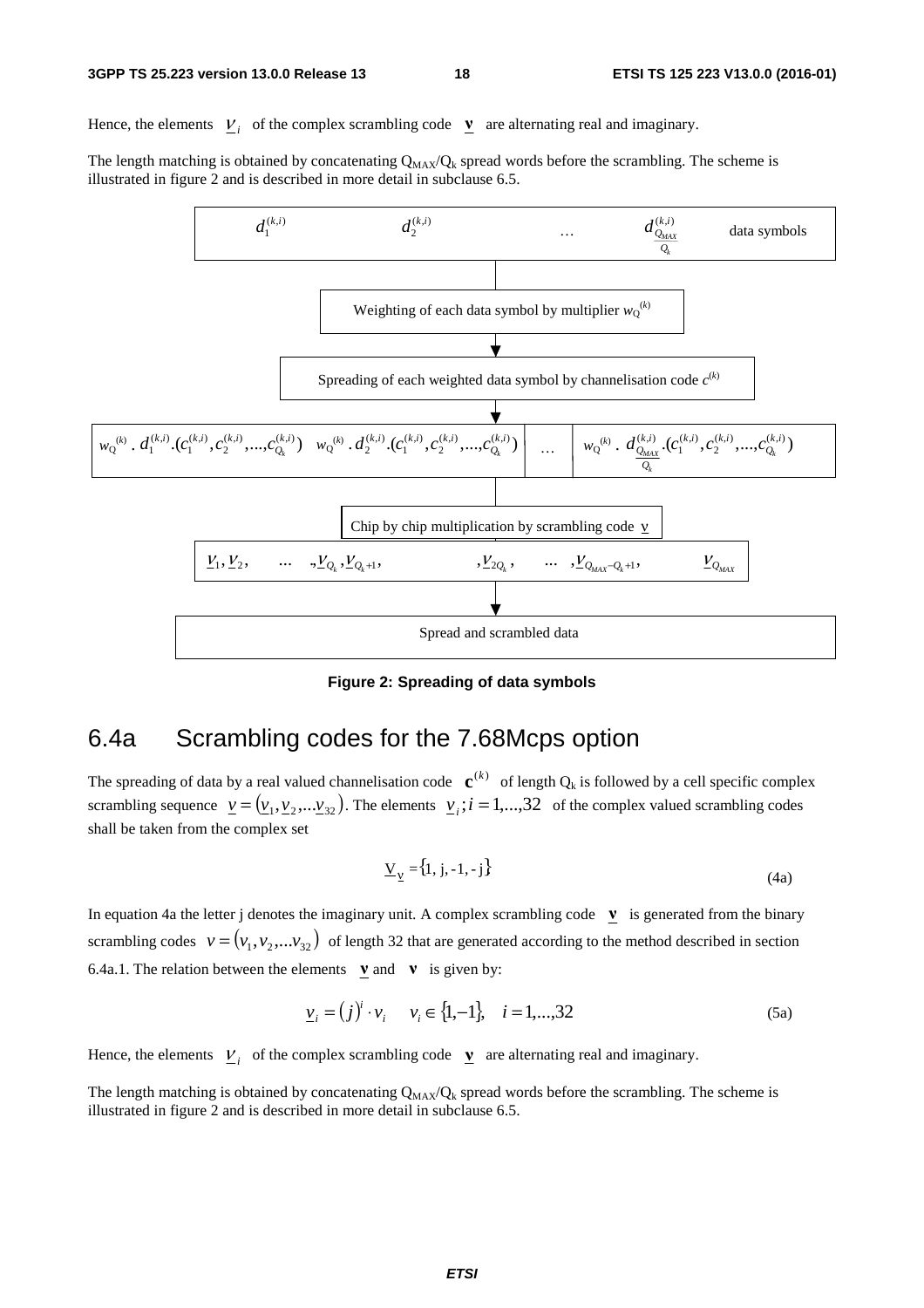Hence, the elements  $V_i$  of the complex scrambling code  $V$  are alternating real and imaginary.

The length matching is obtained by concatenating  $Q_{MAX}/Q_k$  spread words before the scrambling. The scheme is illustrated in figure 2 and is described in more detail in subclause 6.5.



**Figure 2: Spreading of data symbols** 

## 6.4a Scrambling codes for the 7.68Mcps option

The spreading of data by a real valued channelisation code  $\mathbf{c}^{(k)}$  of length  $Q_k$  is followed by a cell specific complex scrambling sequence  $\underline{v} = (\underline{v}_1, \underline{v}_2, \dots, \underline{v}_{32})$ . The elements  $\underline{v}_i$ ;  $i = 1, \dots, 32$  of the complex valued scrambling codes shall be taken from the complex set

$$
\underline{V}_{\underline{V}} = \{1, j, -1, -j\}
$$
\n(4a)

In equation 4a the letter j denotes the imaginary unit. A complex scrambling code  $\mathbf{v}$  is generated from the binary scrambling codes  $v = (v_1, v_2,...v_{32})$  of length 32 that are generated according to the method described in section 6.4a.1. The relation between the elements  $\mathbf{v}$  and  $\mathbf{v}$  is given by:

$$
\underline{v}_i = (j)^i \cdot v_i \qquad v_i \in \{1, -1\}, \quad i = 1, \dots, 32 \tag{5a}
$$

Hence, the elements  $V_i$  of the complex scrambling code  $V$  are alternating real and imaginary.

The length matching is obtained by concatenating  $Q_{MAX}/Q_k$  spread words before the scrambling. The scheme is illustrated in figure 2 and is described in more detail in subclause 6.5.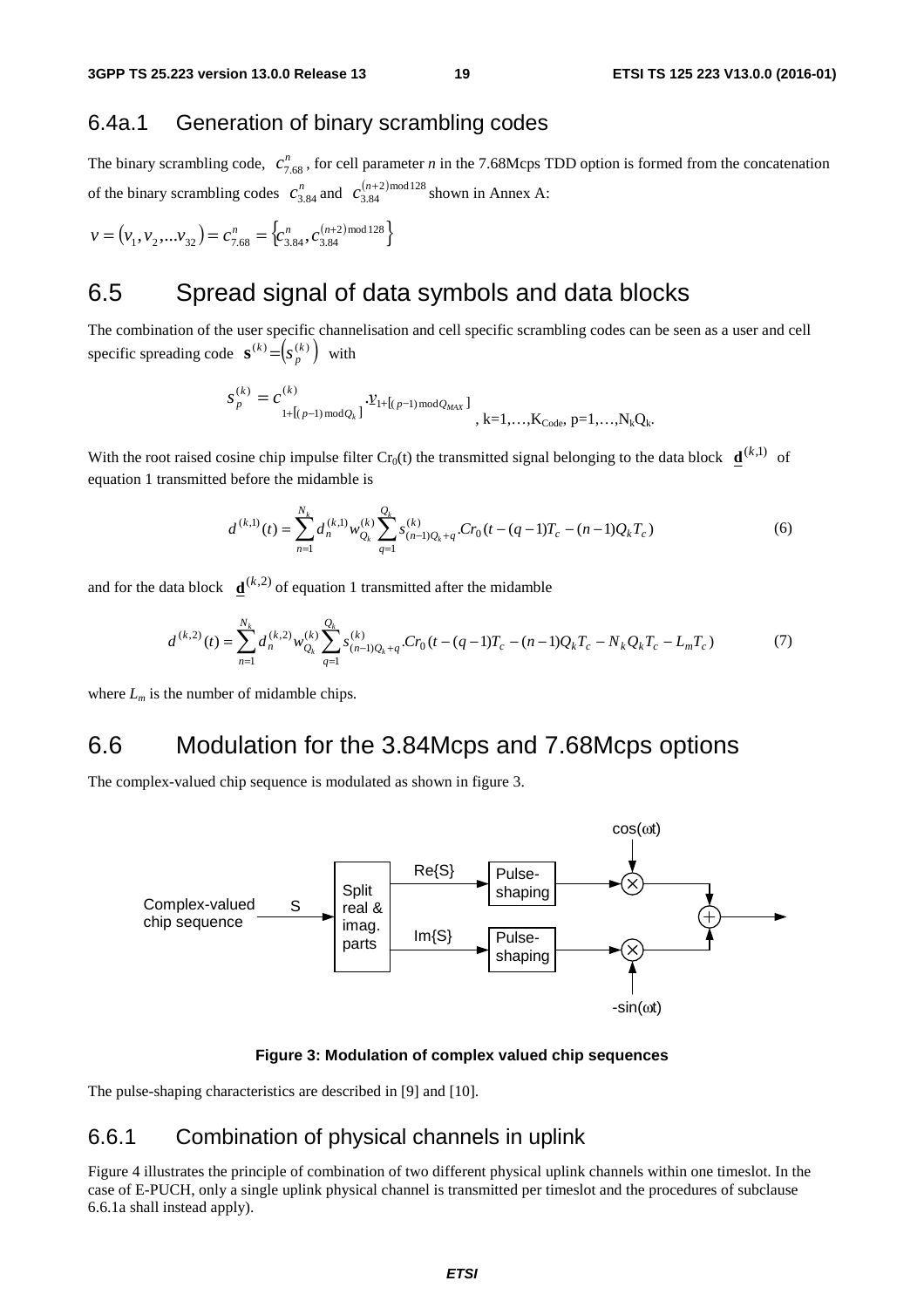## 6.4a.1 Generation of binary scrambling codes

The binary scrambling code,  $c_{7.68}^n$ , for cell parameter *n* in the 7.68Mcps TDD option is formed from the concatenation of the binary scrambling codes  $c_{3.84}^n$  and  $c_{3.84}^{(n+2) \text{ mod } 128}$  shown in Annex A:

$$
v = (v_1, v_2,...v_{32}) = c_{7.68}^n = \left\{c_{3.84}^n, c_{3.84}^{(n+2) \text{ mod } 128} \right\}
$$

# 6.5 Spread signal of data symbols and data blocks

The combination of the user specific channelisation and cell specific scrambling codes can be seen as a user and cell specific spreading code  $\mathbf{s}^{(k)} = (s_p^{(k)})$  with

$$
S_p^{(k)} = C_{1+[(p-1) \mod Q_k]}^{(k)} \cdot \mathcal{V}_{1+[(p-1) \mod Q_{MAX}]}^{(k)} \cdot k=1,\dots,K_{Code},p=1,\dots,N_kQ_k.
$$

With the root raised cosine chip impulse filter  $Cr_0(t)$  the transmitted signal belonging to the data block  $\underline{\mathbf{d}}^{(k,1)}$  of equation 1 transmitted before the midamble is

$$
d^{(k,1)}(t) = \sum_{n=1}^{N_k} d_n^{(k,1)} w_{Q_k}^{(k)} \sum_{q=1}^{Q_k} s_{(n-1)Q_k+q}^{(k)} C r_0 (t - (q-1)T_c - (n-1)Q_k T_c)
$$
(6)

and for the data block  $\mathbf{d}^{(k,2)}$  of equation 1 transmitted after the midamble

$$
d^{(k,2)}(t) = \sum_{n=1}^{N_k} d_n^{(k,2)} w_{Q_k}^{(k)} \sum_{q=1}^{Q_k} s_{(n-1)Q_k+q}^{(k)} C r_0 (t - (q-1)T_c - (n-1)Q_k T_c - N_k Q_k T_c - L_m T_c)
$$
(7)

where *Lm* is the number of midamble chips*.*

## 6.6 Modulation for the 3.84Mcps and 7.68Mcps options

The complex-valued chip sequence is modulated as shown in figure 3.



#### **Figure 3: Modulation of complex valued chip sequences**

The pulse-shaping characteristics are described in [9] and [10].

#### 6.6.1 Combination of physical channels in uplink

Figure 4 illustrates the principle of combination of two different physical uplink channels within one timeslot. In the case of E-PUCH, only a single uplink physical channel is transmitted per timeslot and the procedures of subclause 6.6.1a shall instead apply).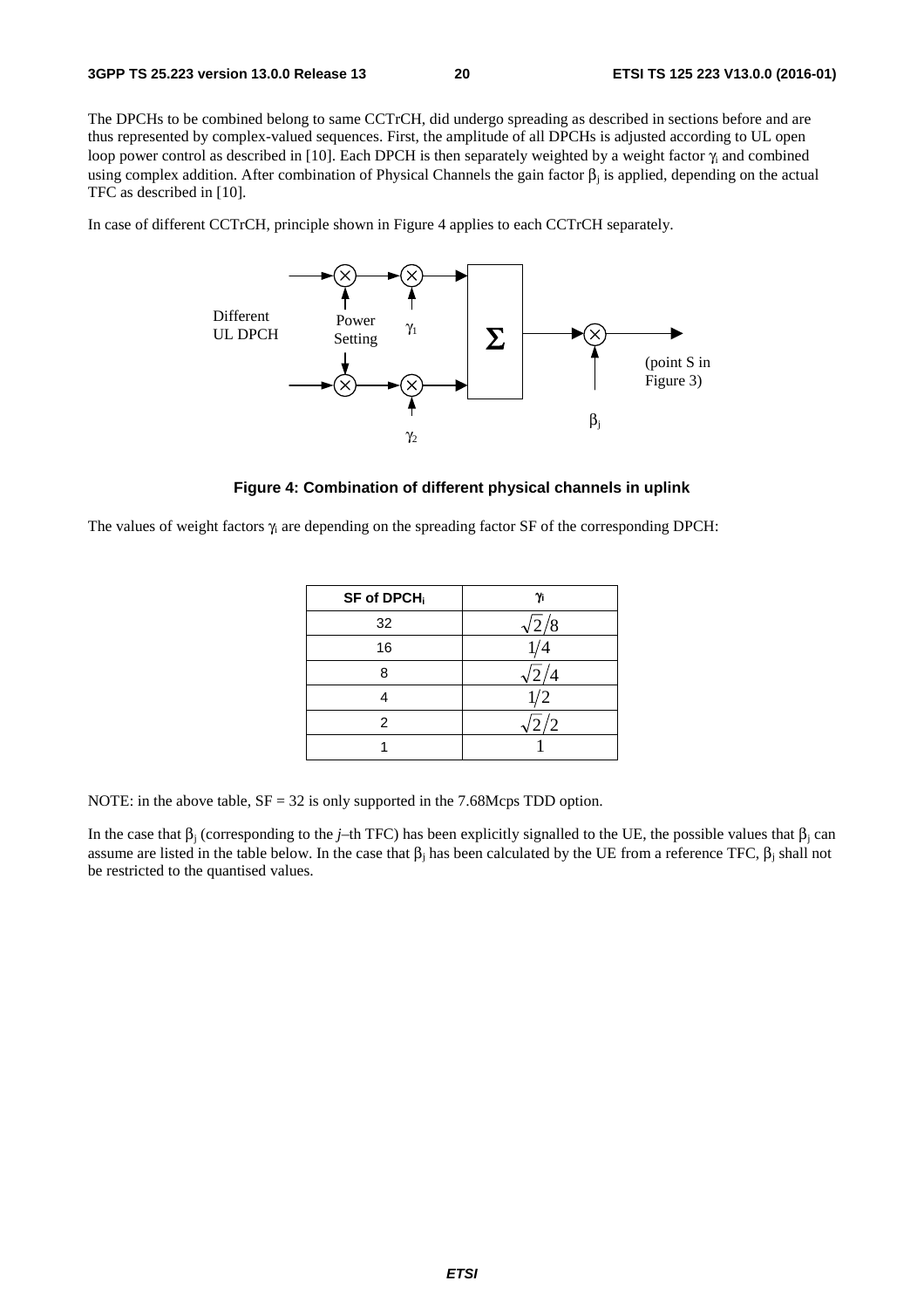The DPCHs to be combined belong to same CCTrCH, did undergo spreading as described in sections before and are thus represented by complex-valued sequences. First, the amplitude of all DPCHs is adjusted according to UL open loop power control as described in [10]. Each DPCH is then separately weighted by a weight factor  $\gamma_i$  and combined using complex addition. After combination of Physical Channels the gain factor  $β<sub>i</sub>$  is applied, depending on the actual TFC as described in [10].

In case of different CCTrCH, principle shown in Figure 4 applies to each CCTrCH separately.



#### **Figure 4: Combination of different physical channels in uplink**

The values of weight factors  $\gamma_i$  are depending on the spreading factor SF of the corresponding DPCH:

| SF of DPCH <sub>i</sub> | Υï                |
|-------------------------|-------------------|
| 32                      | /8<br>$\sqrt{2}$  |
| 16                      |                   |
| ጸ                       |                   |
|                         | 1/2               |
| 2                       | $^{^{\prime }}$ 2 |
|                         |                   |

NOTE: in the above table,  $SF = 32$  is only supported in the 7.68Mcps TDD option.

In the case that  $β<sub>i</sub>$  (corresponding to the *j*–th TFC) has been explicitly signalled to the UE, the possible values that  $β<sub>i</sub>$  can assume are listed in the table below. In the case that  $\beta_i$  has been calculated by the UE from a reference TFC,  $\beta_i$  shall not be restricted to the quantised values.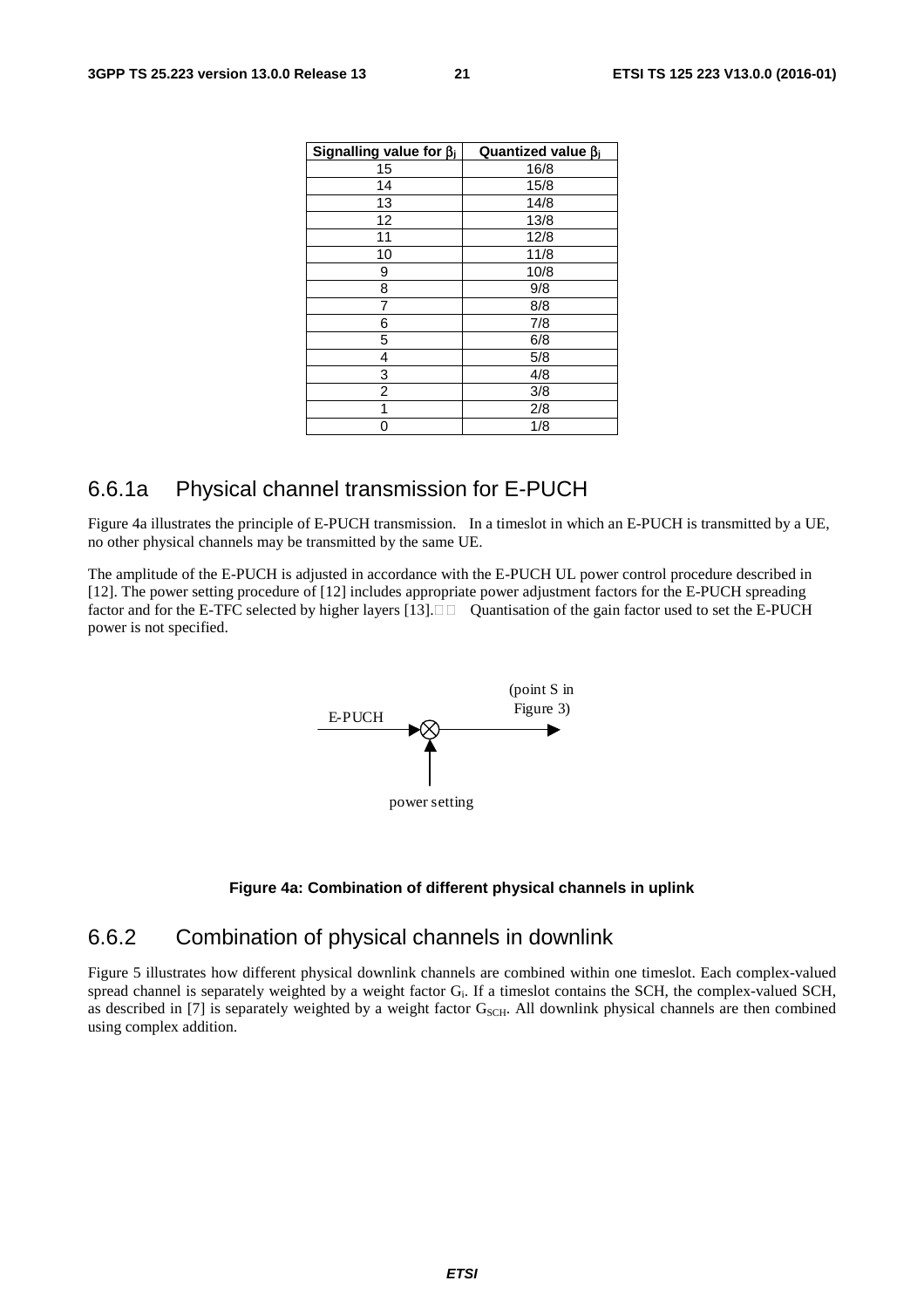| Signalling value for $\beta$ | Quantized value $\beta_i$ |
|------------------------------|---------------------------|
| 15                           | 16/8                      |
| 14                           | 15/8                      |
| 13                           | 14/8                      |
| 12                           | 13/8                      |
| 11                           | 12/8                      |
| 10                           | 11/8                      |
| 9                            | 10/8                      |
| 8                            | 9/8                       |
| 7                            | 8/8                       |
| 6                            | 7/8                       |
| 5                            | 6/8                       |
| 4                            | 5/8                       |
| 3                            | 4/8                       |
| 2                            | 3/8                       |
| 1                            | 2/8                       |
|                              | 1/8                       |

## 6.6.1a Physical channel transmission for E-PUCH

Figure 4a illustrates the principle of E-PUCH transmission. In a timeslot in which an E-PUCH is transmitted by a UE, no other physical channels may be transmitted by the same UE.

The amplitude of the E-PUCH is adjusted in accordance with the E-PUCH UL power control procedure described in [12]. The power setting procedure of [12] includes appropriate power adjustment factors for the E-PUCH spreading factor and for the E-TFC selected by higher layers [13].  $\Box$  Quantisation of the gain factor used to set the E-PUCH power is not specified.



#### **Figure 4a: Combination of different physical channels in uplink**

### 6.6.2 Combination of physical channels in downlink

Figure 5 illustrates how different physical downlink channels are combined within one timeslot. Each complex-valued spread channel is separately weighted by a weight factor G<sub>i</sub>. If a timeslot contains the SCH, the complex-valued SCH, as described in [7] is separately weighted by a weight factor  $G_{\text{SCH}}$ . All downlink physical channels are then combined using complex addition.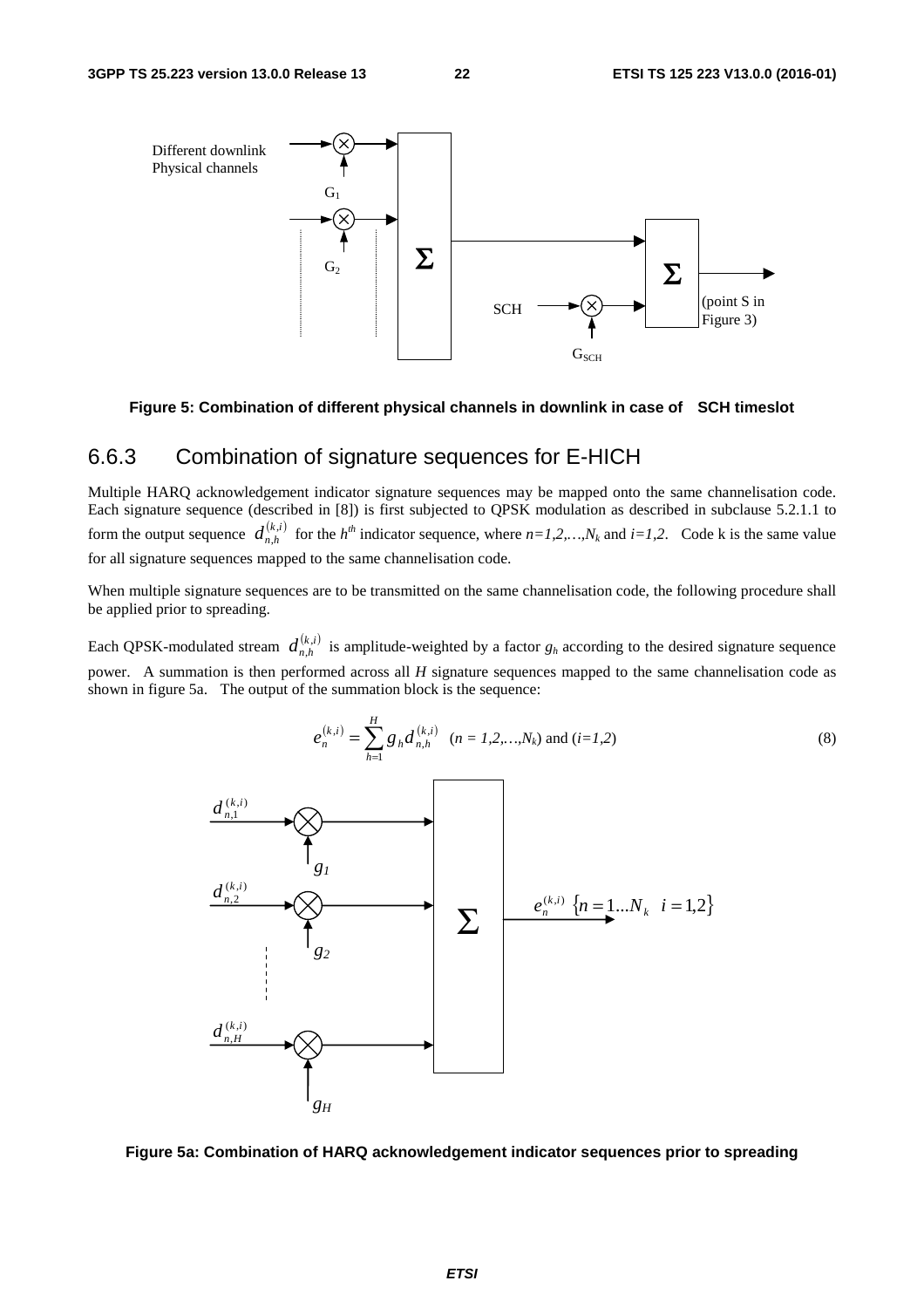

#### **Figure 5: Combination of different physical channels in downlink in case of SCH timeslot**

## 6.6.3 Combination of signature sequences for E-HICH

Multiple HARQ acknowledgement indicator signature sequences may be mapped onto the same channelisation code. Each signature sequence (described in [8]) is first subjected to QPSK modulation as described in subclause 5.2.1.1 to form the output sequence  $d_{n,h}^{(k,i)}$  for the  $h^{th}$  indicator sequence, where  $n=1,2,...,N_k$  and  $i=1,2$ . Code k is the same value for all signature sequences mapped to the same channelisation code.

When multiple signature sequences are to be transmitted on the same channelisation code, the following procedure shall be applied prior to spreading.

Each QPSK-modulated stream  $d_{n,h}^{(k,i)}$  is amplitude-weighted by a factor  $g_h$  according to the desired signature sequence power. A summation is then performed across all *H* signature sequences mapped to the same channelisation code as shown in figure 5a. The output of the summation block is the sequence:

$$
e_n^{(k,i)} = \sum_{h=1}^{H} g_h d_{n,h}^{(k,i)} \quad (n = 1, 2, ..., N_k) \text{ and } (i = 1, 2)
$$
 (8)



**Figure 5a: Combination of HARQ acknowledgement indicator sequences prior to spreading**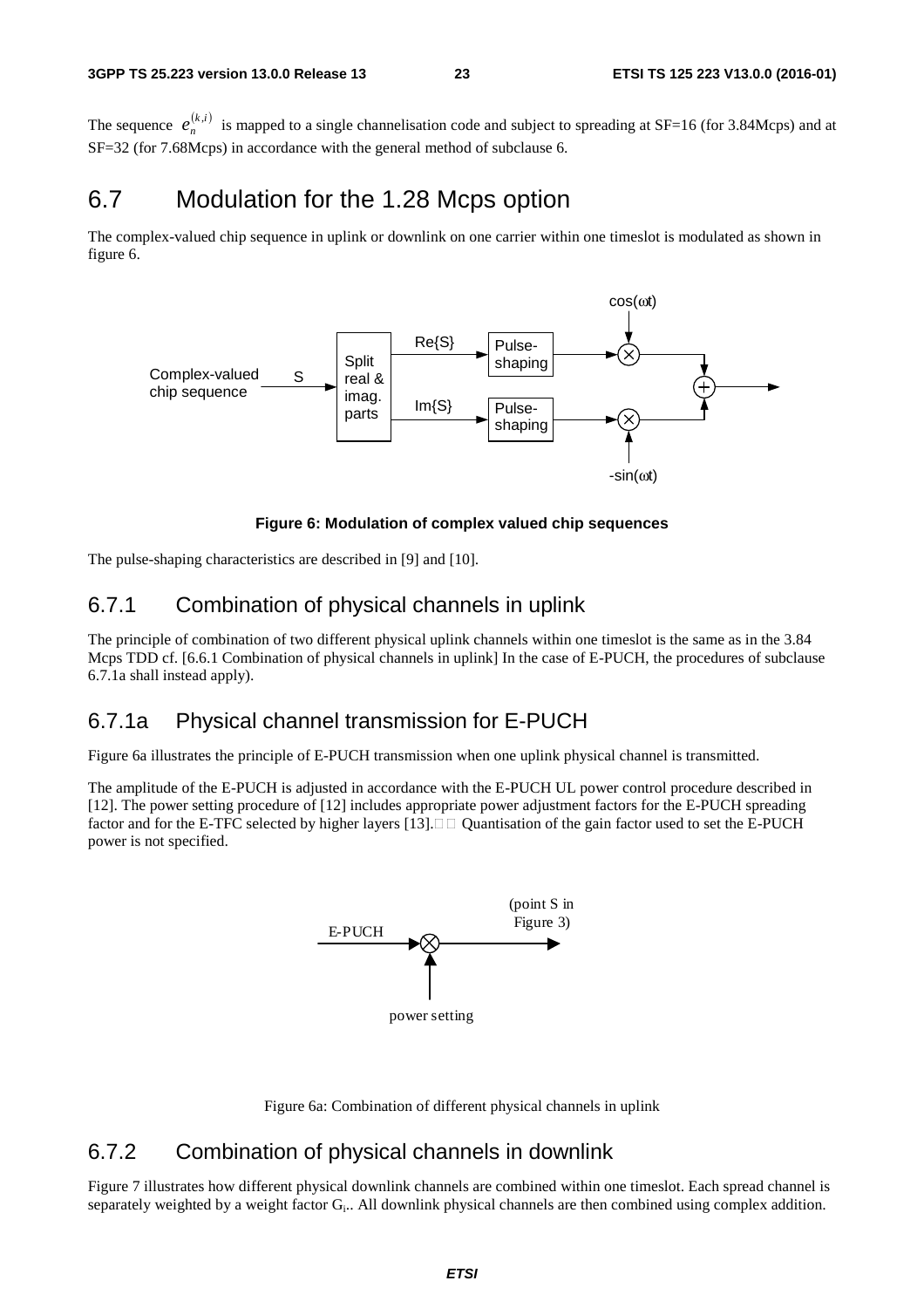The sequence  $e_n^{(k,i)}$  is mapped to a single channelisation code and subject to spreading at SF=16 (for 3.84Mcps) and at SF=32 (for 7.68Mcps) in accordance with the general method of subclause 6.

## 6.7 Modulation for the 1.28 Mcps option

The complex-valued chip sequence in uplink or downlink on one carrier within one timeslot is modulated as shown in figure 6.



**Figure 6: Modulation of complex valued chip sequences** 

The pulse-shaping characteristics are described in [9] and [10].

## 6.7.1 Combination of physical channels in uplink

The principle of combination of two different physical uplink channels within one timeslot is the same as in the 3.84 Mcps TDD cf. [6.6.1 Combination of physical channels in uplink] In the case of E-PUCH, the procedures of subclause 6.7.1a shall instead apply).

## 6.7.1a Physical channel transmission for E-PUCH

Figure 6a illustrates the principle of E-PUCH transmission when one uplink physical channel is transmitted.

The amplitude of the E-PUCH is adjusted in accordance with the E-PUCH UL power control procedure described in [12]. The power setting procedure of [12] includes appropriate power adjustment factors for the E-PUCH spreading factor and for the E-TFC selected by higher layers  $[13]$ .  $\Box$  Quantisation of the gain factor used to set the E-PUCH power is not specified.



Figure 6a: Combination of different physical channels in uplink

## 6.7.2 Combination of physical channels in downlink

Figure 7 illustrates how different physical downlink channels are combined within one timeslot. Each spread channel is separately weighted by a weight factor G<sub>i</sub>.. All downlink physical channels are then combined using complex addition.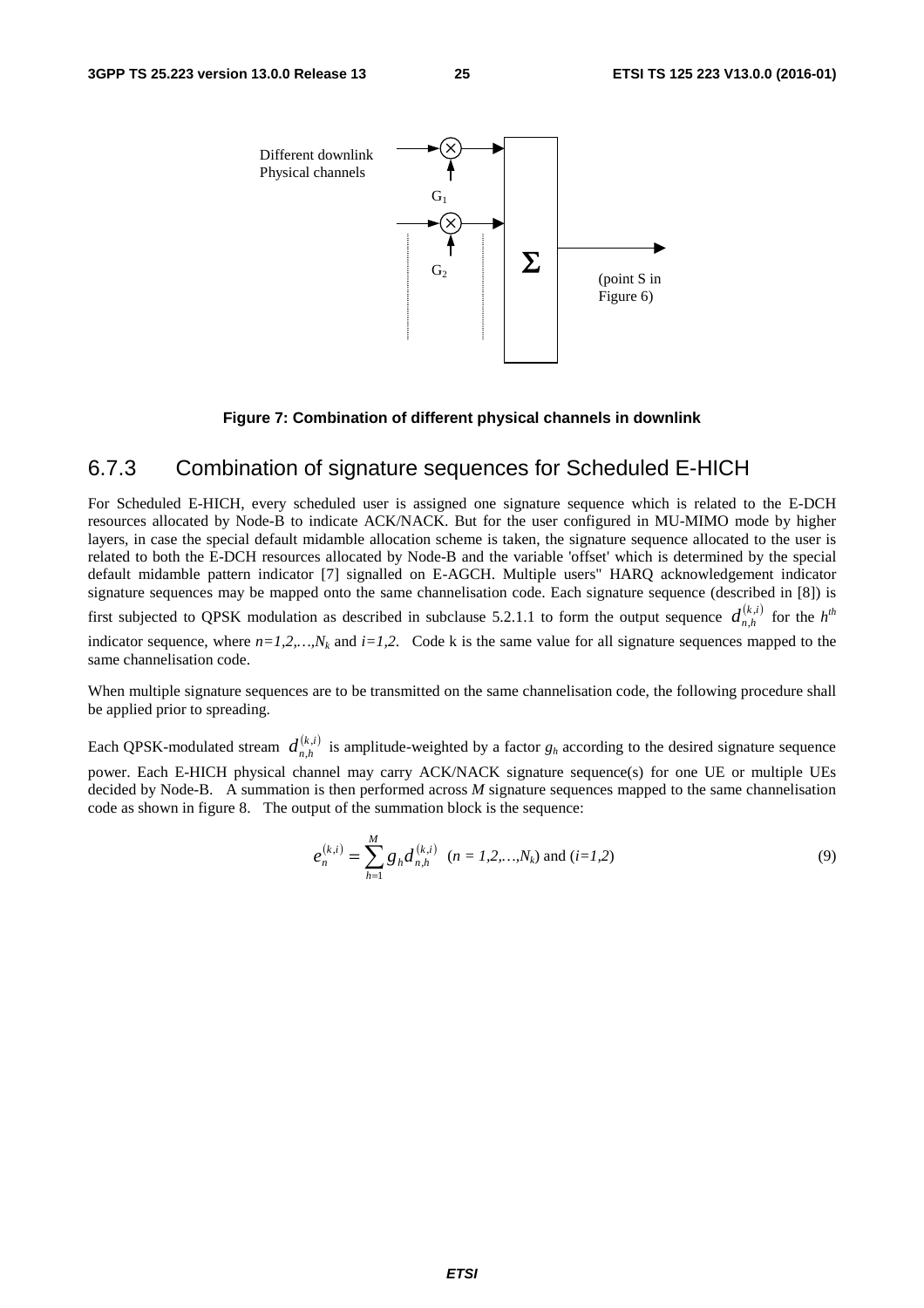

**Figure 7: Combination of different physical channels in downlink** 

### 6.7.3 Combination of signature sequences for Scheduled E-HICH

For Scheduled E-HICH, every scheduled user is assigned one signature sequence which is related to the E-DCH resources allocated by Node-B to indicate ACK/NACK. But for the user configured in MU-MIMO mode by higher layers, in case the special default midamble allocation scheme is taken, the signature sequence allocated to the user is related to both the E-DCH resources allocated by Node-B and the variable 'offset' which is determined by the special default midamble pattern indicator [7] signalled on E-AGCH. Multiple users" HARQ acknowledgement indicator signature sequences may be mapped onto the same channelisation code. Each signature sequence (described in [8]) is first subjected to QPSK modulation as described in subclause 5.2.1.1 to form the output sequence  $d_{n,h}^{(k,i)}$  for the  $h^{th}$ indicator sequence, where  $n=1,2,...,N_k$  and  $i=1,2$ . Code k is the same value for all signature sequences mapped to the same channelisation code.

When multiple signature sequences are to be transmitted on the same channelisation code, the following procedure shall be applied prior to spreading.

Each QPSK-modulated stream  $d_{n,h}^{(k,i)}$  is amplitude-weighted by a factor  $g_h$  according to the desired signature sequence power. Each E-HICH physical channel may carry ACK/NACK signature sequence(s) for one UE or multiple UEs decided by Node-B. A summation is then performed across M signature sequences mapped to the same channelisation code as shown in figure 8. The output of the summation block is the sequence:

$$
e_n^{(k,i)} = \sum_{h=1}^{M} g_h d_{n,h}^{(k,i)} \quad (n = 1, 2, ..., N_k) \text{ and } (i = 1, 2)
$$
 (9)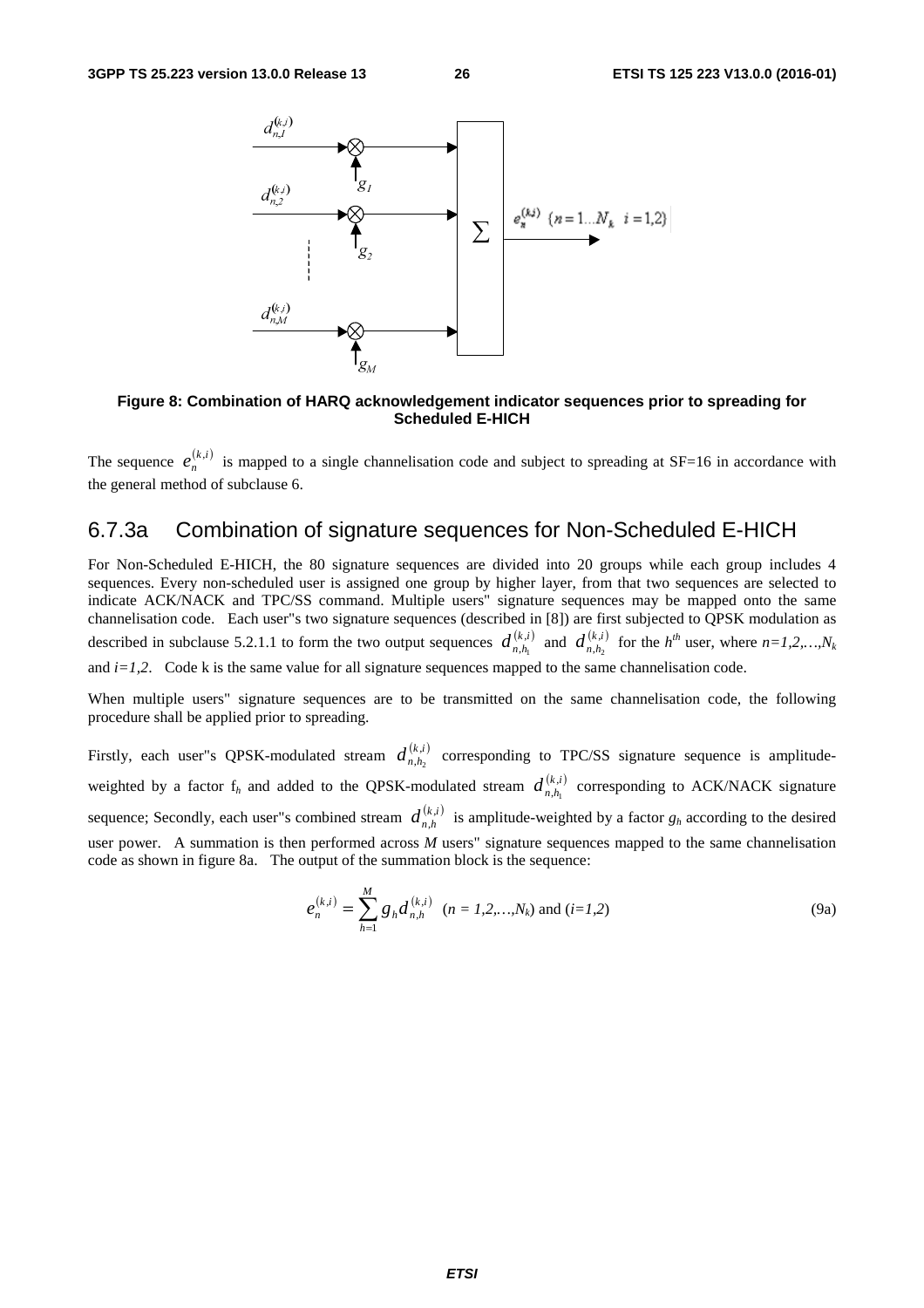

**Figure 8: Combination of HARQ acknowledgement indicator sequences prior to spreading for Scheduled E-HICH** 

The sequence  $e_n^{(k,i)}$  is mapped to a single channelisation code and subject to spreading at SF=16 in accordance with the general method of subclause 6.

## 6.7.3a Combination of signature sequences for Non-Scheduled E-HICH

For Non-Scheduled E-HICH, the 80 signature sequences are divided into 20 groups while each group includes 4 sequences. Every non-scheduled user is assigned one group by higher layer, from that two sequences are selected to indicate ACK/NACK and TPC/SS command. Multiple users" signature sequences may be mapped onto the same channelisation code. Each user"s two signature sequences (described in [8]) are first subjected to QPSK modulation as described in subclause 5.2.1.1 to form the two output sequences  $d_{n,h_1}^{(k,i)}$  and  $d_{n,h_2}^{(k,i)}$  for the  $h^{th}$  user, where  $n=1,2,...,N_k$ and  $i=1,2$ . Code k is the same value for all signature sequences mapped to the same channelisation code.

When multiple users" signature sequences are to be transmitted on the same channelisation code, the following procedure shall be applied prior to spreading.

Firstly, each user"s QPSK-modulated stream  $d_{n,h_2}^{(k,i)}$  corresponding to TPC/SS signature sequence is amplitudeweighted by a factor  $f_h$  and added to the QPSK-modulated stream  $d_{n,h_1}^{(k,i)}$  corresponding to ACK/NACK signature sequence; Secondly, each user"s combined stream  $d_{n,h}^{(k,i)}$  is amplitude-weighted by a factor  $g_h$  according to the desired user power. A summation is then performed across *M* users" signature sequences mapped to the same channelisation code as shown in figure 8a. The output of the summation block is the sequence:

$$
e_n^{(k,i)} = \sum_{h=1}^{M} g_h d_{n,h}^{(k,i)} \quad (n = 1, 2, ..., N_k) \text{ and } (i = 1, 2)
$$
 (9a)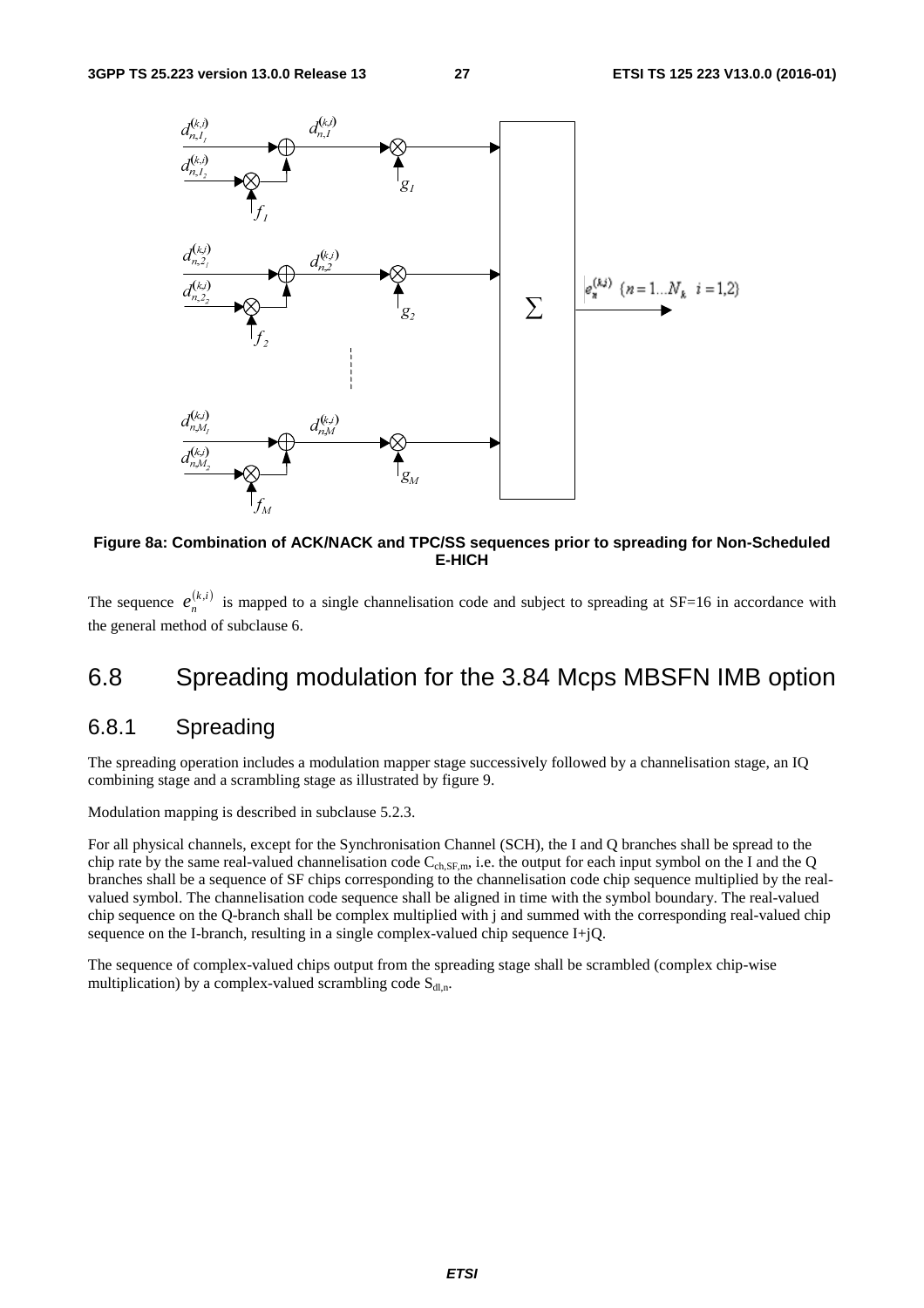

**Figure 8a: Combination of ACK/NACK and TPC/SS sequences prior to spreading for Non-Scheduled E-HICH** 

The sequence  $e_n^{(k,i)}$  is mapped to a single channelisation code and subject to spreading at SF=16 in accordance with the general method of subclause 6.

## 6.8 Spreading modulation for the 3.84 Mcps MBSFN IMB option

## 6.8.1 Spreading

The spreading operation includes a modulation mapper stage successively followed by a channelisation stage, an IQ combining stage and a scrambling stage as illustrated by figure 9.

Modulation mapping is described in subclause 5.2.3.

For all physical channels, except for the Synchronisation Channel (SCH), the I and Q branches shall be spread to the chip rate by the same real-valued channelisation code  $C_{ch, SF,m}$ , i.e. the output for each input symbol on the I and the Q branches shall be a sequence of SF chips corresponding to the channelisation code chip sequence multiplied by the realvalued symbol. The channelisation code sequence shall be aligned in time with the symbol boundary. The real-valued chip sequence on the Q-branch shall be complex multiplied with j and summed with the corresponding real-valued chip sequence on the I-branch, resulting in a single complex-valued chip sequence I+jQ.

The sequence of complex-valued chips output from the spreading stage shall be scrambled (complex chip-wise multiplication) by a complex-valued scrambling code  $S_{dl,n}$ .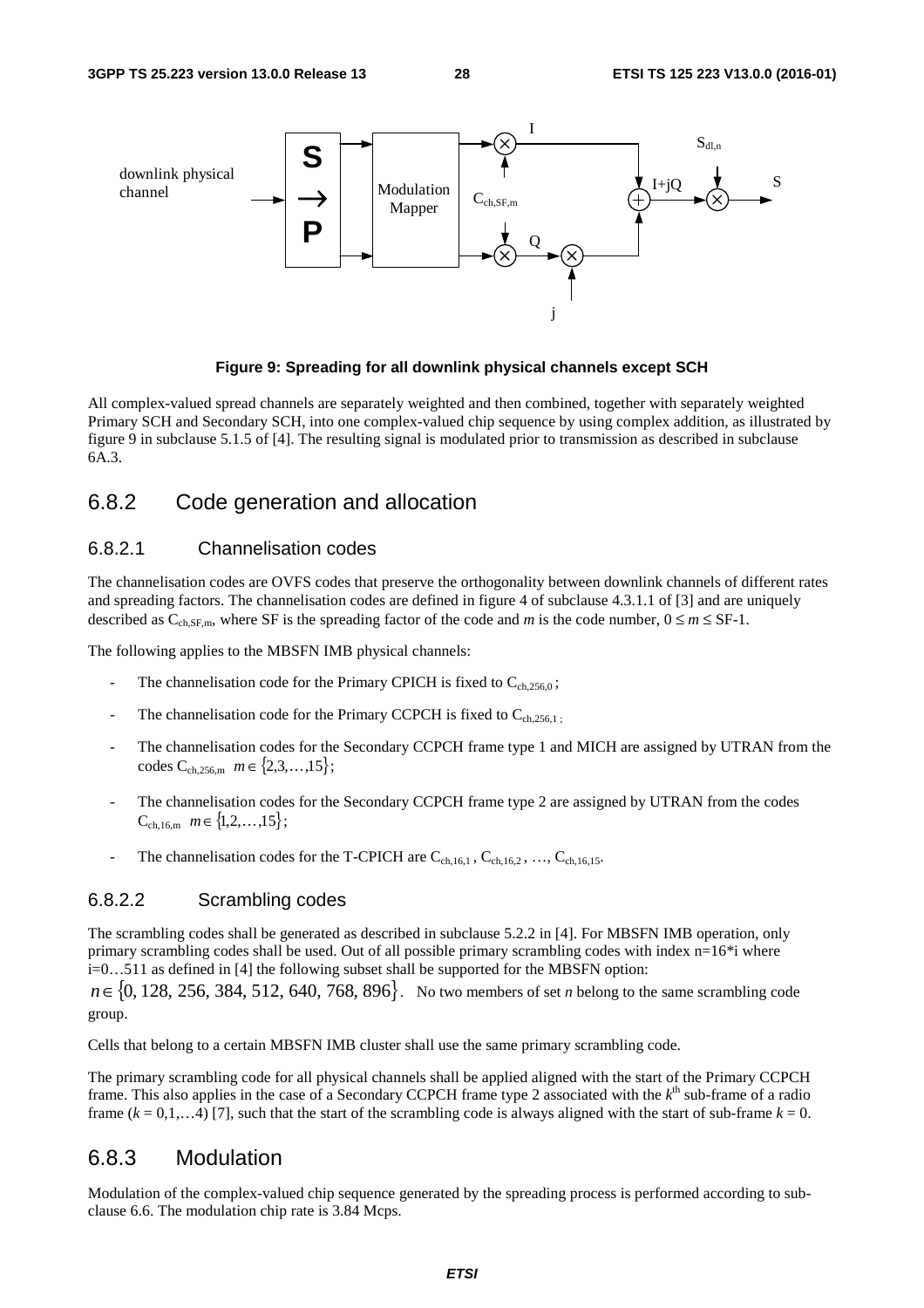

#### **Figure 9: Spreading for all downlink physical channels except SCH**

All complex-valued spread channels are separately weighted and then combined, together with separately weighted Primary SCH and Secondary SCH, into one complex-valued chip sequence by using complex addition, as illustrated by figure 9 in subclause 5.1.5 of [4]. The resulting signal is modulated prior to transmission as described in subclause 6A.3.

## 6.8.2 Code generation and allocation

#### 6.8.2.1 Channelisation codes

The channelisation codes are OVFS codes that preserve the orthogonality between downlink channels of different rates and spreading factors. The channelisation codes are defined in figure 4 of subclause 4.3.1.1 of [3] and are uniquely described as  $C_{ch, SF,m}$ , where SF is the spreading factor of the code and *m* is the code number,  $0 \le m \le SF-1$ .

The following applies to the MBSFN IMB physical channels:

- The channelisation code for the Primary CPICH is fixed to  $C_{ch,256,0}$ ;
- The channelisation code for the Primary CCPCH is fixed to  $C_{ch,256,1}$ .
- The channelisation codes for the Secondary CCPCH frame type 1 and MICH are assigned by UTRAN from the codes  $C_{ch,256,m}$   $m \in \{2,3,\ldots,15\}$ ;
- The channelisation codes for the Secondary CCPCH frame type 2 are assigned by UTRAN from the codes  $C_{ch,16,m}$   $m \in \{1,2,\ldots,15\};$
- The channelisation codes for the T-CPICH are  $C_{ch,16,1}$ ,  $C_{ch,16,2}$ , ...,  $C_{ch,16,15}$ .

#### 6.8.2.2 Scrambling codes

The scrambling codes shall be generated as described in subclause 5.2.2 in [4]. For MBSFN IMB operation, only primary scrambling codes shall be used. Out of all possible primary scrambling codes with index n=16\*i where i=0…511 as defined in [4] the following subset shall be supported for the MBSFN option:

*n*∈{0, 128, 256, 384, 512, 640, 768, 896}. No two members of set *n* belong to the same scrambling code group.

Cells that belong to a certain MBSFN IMB cluster shall use the same primary scrambling code.

The primary scrambling code for all physical channels shall be applied aligned with the start of the Primary CCPCH frame. This also applies in the case of a Secondary CCPCH frame type 2 associated with the  $k^{\text{th}}$  sub-frame of a radio frame  $(k = 0, 1, \ldots, 4)$  [7], such that the start of the scrambling code is always aligned with the start of sub-frame  $k = 0$ .

#### 6.8.3 Modulation

Modulation of the complex-valued chip sequence generated by the spreading process is performed according to subclause 6.6. The modulation chip rate is 3.84 Mcps.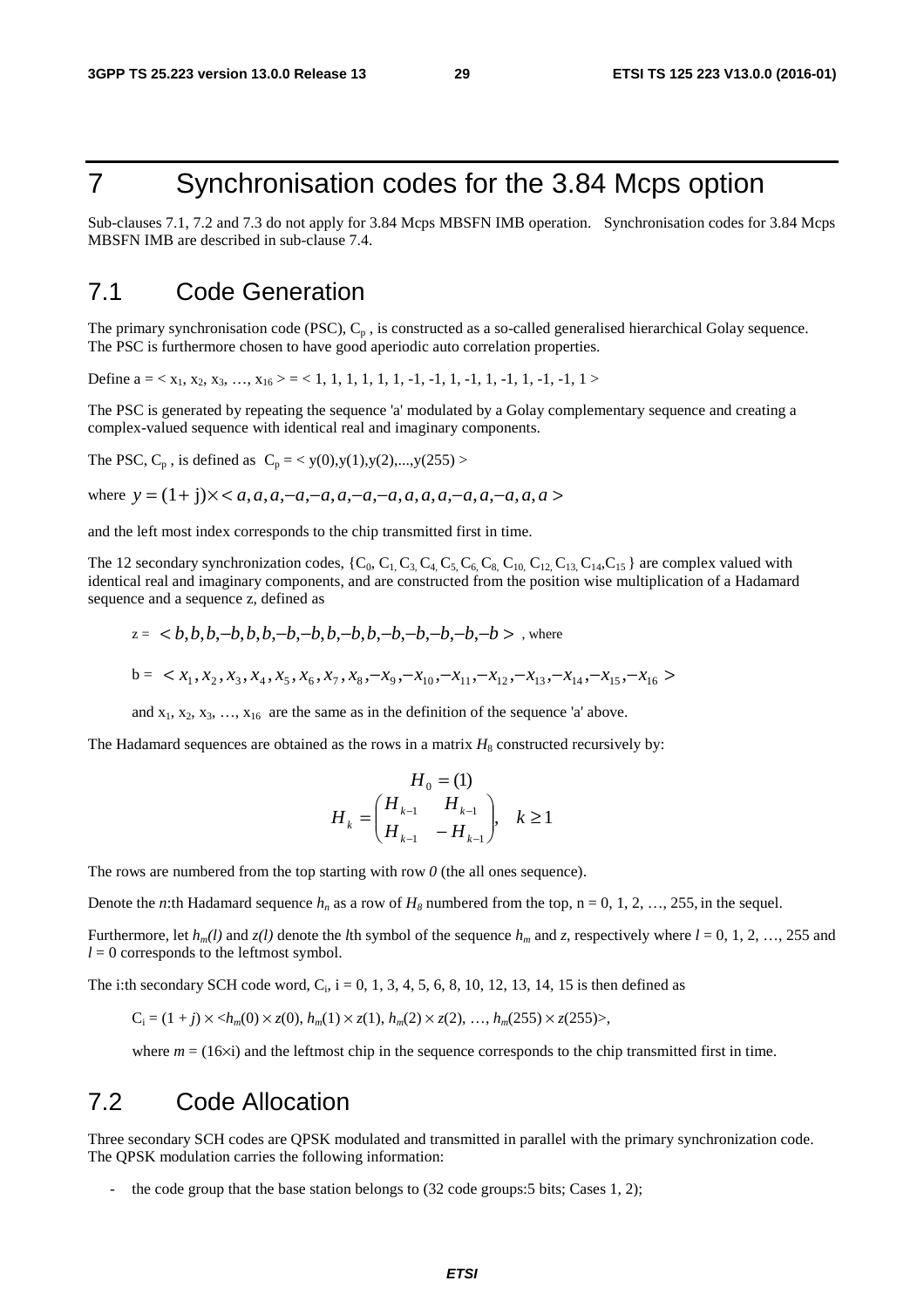# 7 Synchronisation codes for the 3.84 Mcps option

Sub-clauses 7.1, 7.2 and 7.3 do not apply for 3.84 Mcps MBSFN IMB operation. Synchronisation codes for 3.84 Mcps MBSFN IMB are described in sub-clause 7.4.

## 7.1 Code Generation

The primary synchronisation code (PSC),  $C_p$ , is constructed as a so-called generalised hierarchical Golay sequence. The PSC is furthermore chosen to have good aperiodic auto correlation properties.

Define  $a = \langle x_1, x_2, x_3, \ldots, x_{16} \rangle = \langle 1, 1, 1, 1, 1, 1, -1, -1, 1, -1, 1, -1, -1, -1, 1 \rangle$ 

The PSC is generated by repeating the sequence 'a' modulated by a Golay complementary sequence and creating a complex-valued sequence with identical real and imaginary components.

The PSC,  $C_p$ , is defined as  $C_p = \langle y(0), y(1), y(2), \dots, y(255) \rangle$ 

where  $y = (1 + j) \times *a*, a, a, -a, -a, a, -a, -a, a, a, a, -a, a, a, a, a > 0$ 

and the left most index corresponds to the chip transmitted first in time.

The 12 secondary synchronization codes,  $\{C_0, C_1, C_3, C_4, C_5, C_6, C_8, C_{10}, C_{12}, C_{13}, C_{14}, C_{15}\}$  are complex valued with identical real and imaginary components, and are constructed from the position wise multiplication of a Hadamard sequence and a sequence z, defined as

$$
z = \langle b, b, b, -b, b, b, -b, -b, b, b, -b, -b, -b, -b, -b \rangle
$$
, where  

$$
b = \langle x_1, x_2, x_3, x_4, x_5, x_6, x_7, x_8, -x_9, -x_{10}, -x_{11}, -x_{12}, -x_{13}, -x_{14}, -x_{15}, -x_{16} \rangle
$$

and  $x_1, x_2, x_3, \ldots, x_{16}$  are the same as in the definition of the sequence 'a' above.

The Hadamard sequences are obtained as the rows in a matrix  $H_8$  constructed recursively by:

$$
H_0 = (1)
$$
  

$$
H_k = \begin{pmatrix} H_{k-1} & H_{k-1} \\ H_{k-1} & -H_{k-1} \end{pmatrix}, \quad k \ge 1
$$

The rows are numbered from the top starting with row  $\theta$  (the all ones sequence).

Denote the *n*:th Hadamard sequence  $h_n$  as a row of  $H_8$  numbered from the top, n = 0, 1, 2, …, 255, in the sequel.

Furthermore, let  $h_m(l)$  and  $z(l)$  denote the *l*th symbol of the sequence  $h_m$  and  $z$ , respectively where  $l = 0, 1, 2, ..., 255$  and  $l = 0$  corresponds to the leftmost symbol.

The i:th secondary SCH code word,  $C_i$ ,  $i = 0, 1, 3, 4, 5, 6, 8, 10, 12, 13, 14, 15$  is then defined as

$$
C_i = (1 + j) \times \langle h_m(0) \times z(0), h_m(1) \times z(1), h_m(2) \times z(2), \dots, h_m(255) \times z(255) \rangle,
$$

where  $m = (16\times i)$  and the leftmost chip in the sequence corresponds to the chip transmitted first in time.

## 7.2 Code Allocation

Three secondary SCH codes are QPSK modulated and transmitted in parallel with the primary synchronization code. The QPSK modulation carries the following information:

the code group that the base station belongs to (32 code groups: 5 bits; Cases 1, 2);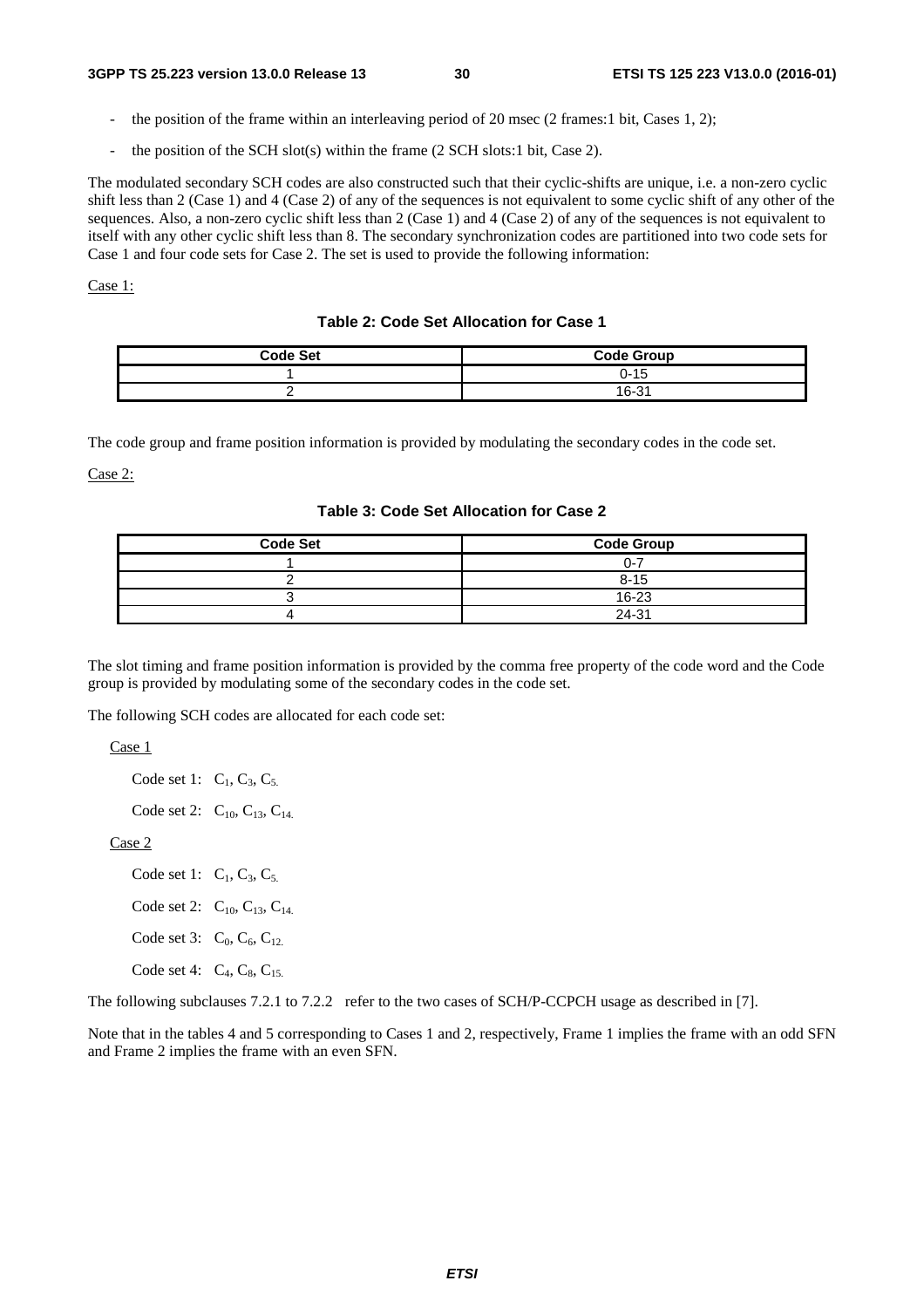- the position of the frame within an interleaving period of 20 msec (2 frames: 1 bit, Cases 1, 2);
- the position of the SCH slot(s) within the frame  $(2$  SCH slots:1 bit, Case 2).

The modulated secondary SCH codes are also constructed such that their cyclic-shifts are unique, i.e. a non-zero cyclic shift less than 2 (Case 1) and 4 (Case 2) of any of the sequences is not equivalent to some cyclic shift of any other of the sequences. Also, a non-zero cyclic shift less than 2 (Case 1) and 4 (Case 2) of any of the sequences is not equivalent to itself with any other cyclic shift less than 8. The secondary synchronization codes are partitioned into two code sets for Case 1 and four code sets for Case 2. The set is used to provide the following information:

#### Case 1:

#### **Table 2: Code Set Allocation for Case 1**

| <b>Code Set</b> | <b>Code Group</b> |
|-----------------|-------------------|
|                 | 0-15              |
| -               | 16-31             |

The code group and frame position information is provided by modulating the secondary codes in the code set.

Case 2:

#### **Table 3: Code Set Allocation for Case 2**

| <b>Code Set</b> | <b>Code Group</b> |
|-----------------|-------------------|
|                 | ი-7               |
|                 | $8 - 15$          |
|                 | 16-23             |
|                 | 24-31             |

The slot timing and frame position information is provided by the comma free property of the code word and the Code group is provided by modulating some of the secondary codes in the code set.

The following SCH codes are allocated for each code set:

Case 1

Code set 1:  $C_1, C_3, C_5$ .

Code set 2:  $C_{10}$ ,  $C_{13}$ ,  $C_{14}$ 

Case 2

- Code set 1:  $C_1$ ,  $C_3$ ,  $C_5$ . Code set 2:  $C_{10}$ ,  $C_{13}$ ,  $C_{14}$ . Code set 3:  $C_0$ ,  $C_6$ ,  $C_{12}$ .
- Code set 4:  $C_4$ ,  $C_8$ ,  $C_{15}$ .

The following subclauses 7.2.1 to 7.2.2 refer to the two cases of SCH/P-CCPCH usage as described in [7].

Note that in the tables 4 and 5 corresponding to Cases 1 and 2, respectively, Frame 1 implies the frame with an odd SFN and Frame 2 implies the frame with an even SFN.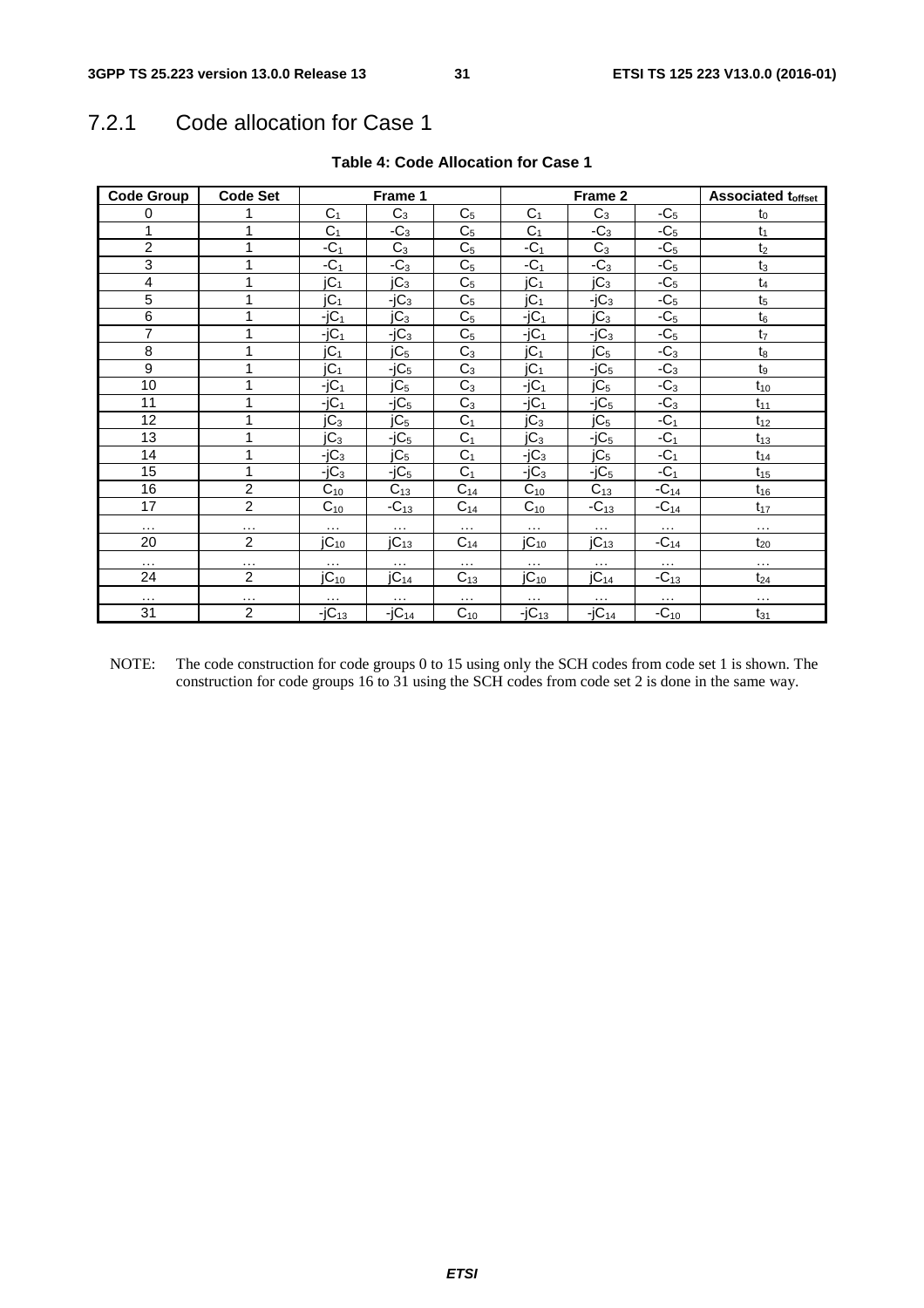# 7.2.1 Code allocation for Case 1

| <b>Code Group</b> | <b>Code Set</b> | Frame 1          |                  |                |                  | Frame 2          | <b>Associated toffset</b> |                |
|-------------------|-----------------|------------------|------------------|----------------|------------------|------------------|---------------------------|----------------|
| 0                 |                 | C <sub>1</sub>   | $C_3$            | C <sub>5</sub> | C <sub>1</sub>   | $C_3$            | $-C5$                     | $t_0$          |
| 1                 | 1               | C <sub>1</sub>   | $-C_3$           | C <sub>5</sub> | C <sub>1</sub>   | $-C_3$           | $-C5$                     | $t_1$          |
| $\overline{c}$    | 1               | $-C1$            | $C_3$            | C <sub>5</sub> | $-C1$            | $C_3$            | $-C5$                     | t <sub>2</sub> |
| 3                 | 1               | $-C1$            | $-C_3$           | C <sub>5</sub> | $-C1$            | $-C_3$           | $-C5$                     | $t_3$          |
| 4                 |                 | jC <sub>1</sub>  | jC <sub>3</sub>  | C <sub>5</sub> | jC <sub>1</sub>  | JC <sub>3</sub>  | $-C5$                     | $t_4$          |
| $\overline{5}$    | 1               | jC <sub>1</sub>  | $-jC_3$          | C <sub>5</sub> | jC <sub>1</sub>  | $-jC_3$          | $-C5$                     | t <sub>5</sub> |
| $\overline{6}$    | 1               | $-jC_1$          | $\overline{C}_3$ | C <sub>5</sub> | $-jC_1$          | jC <sub>3</sub>  | $-C5$                     | $t_6$          |
| 7                 | 1               | $-jC_1$          | $-jC_3$          | C <sub>5</sub> | $-jC_1$          | $-iC_3$          | $-C5$                     | t <sub>7</sub> |
| $\overline{8}$    | 1               | jC <sub>1</sub>  | jC <sub>5</sub>  | $C_3$          | jC <sub>1</sub>  | jC <sub>5</sub>  | $-C_3$                    | $t_8$          |
| $\boldsymbol{9}$  | 1               | jC <sub>1</sub>  | $-jC5$           | $C_3$          | jC <sub>1</sub>  | $-jC5$           | $-C_3$                    | $t_9$          |
| 10                | 1               | $-jC_1$          | jC <sub>5</sub>  | $C_3$          | $-jC_1$          | jC <sub>5</sub>  | $-C_3$                    | $t_{10}$       |
| 11                | 1               | $-jC_1$          | $-jC5$           | $C_3$          | $-jC_1$          | $-iC5$           | $-C_3$                    | $t_{11}$       |
| 12                | 1               | jC <sub>3</sub>  | jC <sub>5</sub>  | C <sub>1</sub> | jC <sub>3</sub>  | jC <sub>5</sub>  | $-C1$                     | $t_{12}$       |
| 13                | 1               | jC <sub>3</sub>  | $-jC5$           | C <sub>1</sub> | jC <sub>3</sub>  | $-jC5$           | $-C1$                     | $t_{13}$       |
| 14                | 1               | $-jC_3$          | jC <sub>5</sub>  | $C_1$          | $-iC_3$          | jC <sub>5</sub>  | $-C1$                     | $t_{14}$       |
| 15                | 1               | $-iC_3$          | $-iC5$           | $C_1$          | $-iC_3$          | $-iC5$           | $-C1$                     | $t_{15}$       |
| 16                | $\overline{c}$  | $C_{10}$         | $C_{13}$         | $C_{14}$       | $C_{10}$         | $C_{13}$         | $-C_{14}$                 | $t_{16}$       |
| 17                | $\overline{2}$  | $C_{10}$         | $-C_{13}$        | $C_{14}$       | $C_{10}$         | $-C_{13}$        | $-C_{14}$                 | $t_{17}$       |
| $\cdots$          | $\cdots$        | $\cdots$         | $\cdots$         | $\cdots$       | $\cdots$         | $\cdots$         | $\ldots$                  | $\ddotsc$      |
| 20                | $\overline{2}$  | jC <sub>10</sub> | $jC_{13}$        | $C_{14}$       | jC <sub>10</sub> | $jC_{13}$        | $-C_{14}$                 | $t_{20}$       |
| $\ldots$          | $\cdots$        | .                | $\ldots$         | $\cdots$       | $\cdots$         | $\ldots$         | $\ldots$                  | $\ddotsc$      |
| 24                | $\overline{c}$  | jC <sub>10</sub> | jC <sub>14</sub> | $C_{13}$       | jC <sub>10</sub> | jC <sub>14</sub> | $-C_{13}$                 | $t_{24}$       |
| $\cdots$          | $\cdots$        | $\cdots$         | $\ldots$         | $\cdots$       | $\cdots$         | $\ldots$         | $\ldots$                  | $\cdots$       |
| 31                | $\overline{2}$  | $-jC_{13}$       | $-jC_{14}$       | $C_{10}$       | $-jC_{13}$       | $-jC_{14}$       | $-C_{10}$                 | $t_{31}$       |

#### **Table 4: Code Allocation for Case 1**

NOTE: The code construction for code groups 0 to 15 using only the SCH codes from code set 1 is shown. The construction for code groups 16 to 31 using the SCH codes from code set 2 is done in the same way.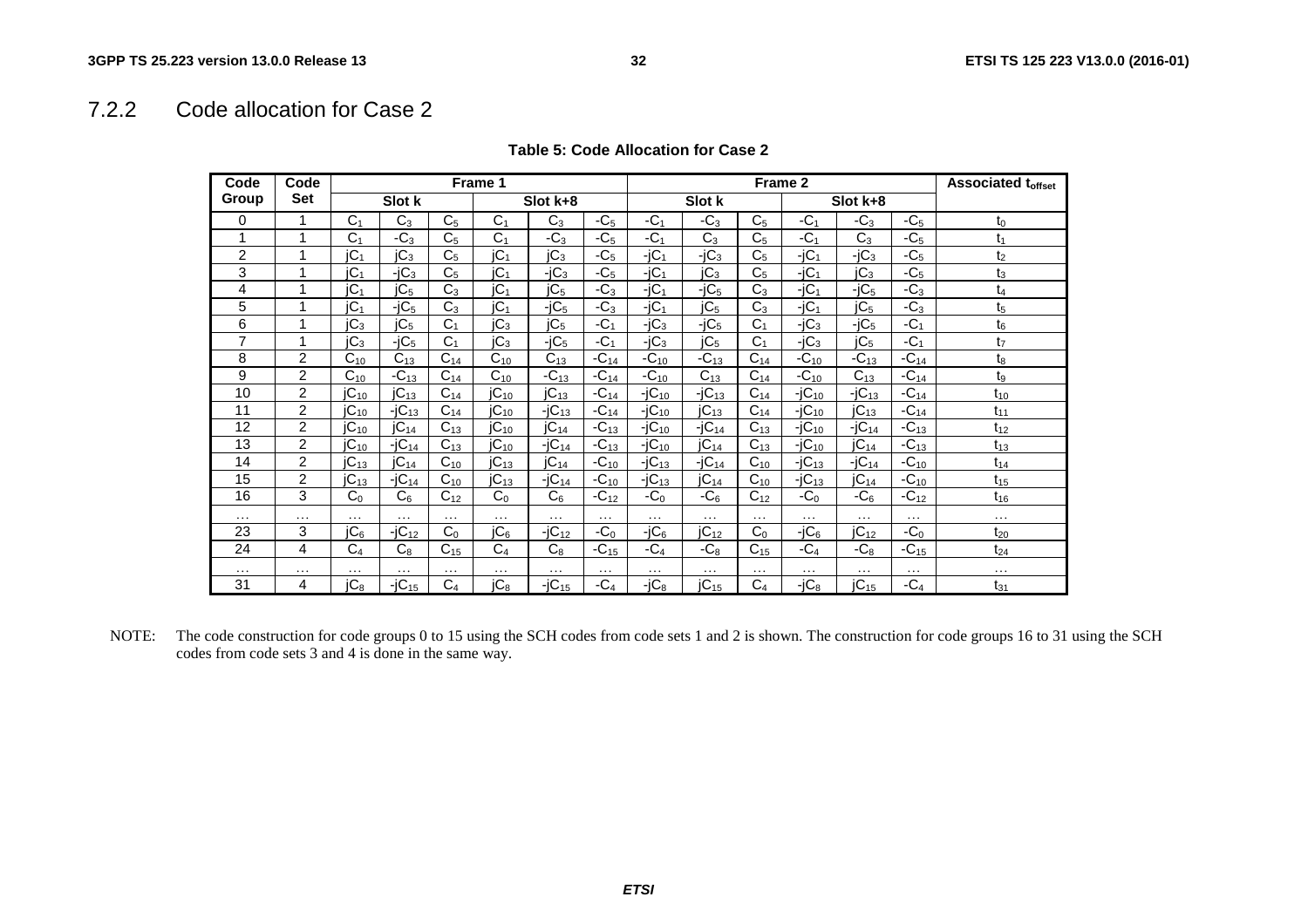## 7.2.2 Code allocation for Case 2

| Code           | Code           | Frame 1         |                  |                | Frame 2          |                  |           |            | <b>Associated toffset</b> |                |            |                  |           |                |
|----------------|----------------|-----------------|------------------|----------------|------------------|------------------|-----------|------------|---------------------------|----------------|------------|------------------|-----------|----------------|
| Group          | Set            |                 | Slot k           |                |                  | Slot k+8         |           |            | Slot k                    |                |            | Slot k+8         |           |                |
| 0              |                | C <sub>1</sub>  | $C_3$            | C <sub>5</sub> | C <sub>1</sub>   | $C_3$            | $-C5$     | $-C1$      | $-C_3$                    | C <sub>5</sub> | $-C1$      | $-C_3$           | $-C5$     | $t_0$          |
|                | 1              | C <sub>1</sub>  | $-C_3$           | C <sub>5</sub> | C <sub>1</sub>   | $-C3$            | $-C5$     | $-C1$      | $C_3$                     | C <sub>5</sub> | $-C1$      | $C_3$            | $-C5$     | t <sub>1</sub> |
| $\overline{2}$ |                | jC <sub>1</sub> | IC <sub>3</sub>  | C <sub>5</sub> | jC <sub>1</sub>  | $jC_3$           | $-C5$     | $-jC_1$    | $-iC_3$                   | C <sub>5</sub> | $-jC_1$    | $-jC_3$          | $-C5$     | t <sub>2</sub> |
| 3              |                | jC <sub>1</sub> | $-iC_3$          | C <sub>5</sub> | jC <sub>1</sub>  | $-iC_3$          | $-C5$     | $-jC_1$    | jC <sub>3</sub>           | C <sub>5</sub> | $-iC_1$    | IC <sub>3</sub>  | $-C5$     | $t_3$          |
| 4              |                | iC <sub>1</sub> | IC <sub>5</sub>  | C <sub>3</sub> | jC <sub>1</sub>  | jC <sub>5</sub>  | $-C3$     | $-iC_1$    | $-iC5$                    | C <sub>3</sub> | $-iC_1$    | $-iC5$           | $-C3$     | t <sub>4</sub> |
| 5              | 1              | jC <sub>1</sub> | $-iC5$           | $C_3$          | IC <sub>1</sub>  | $-jC5$           | $-C_3$    | $-iC_1$    | jC <sub>5</sub>           | $C_3$          | $-jC_1$    | jC <sub>5</sub>  | $-C_3$    | t <sub>5</sub> |
| 6              |                | IC <sub>3</sub> | jC <sub>5</sub>  | C <sub>1</sub> | IC <sub>3</sub>  | jC <sub>5</sub>  | $-C1$     | $-iC_3$    | $-iC5$                    | C <sub>1</sub> | $-iC_3$    | $-iC5$           | $-C1$     | $t_6$          |
| $\overline{7}$ | 1              | jC <sub>3</sub> | $-iC5$           | C <sub>1</sub> | IC <sub>3</sub>  | $-iC5$           | $-C1$     | $-iC_3$    | jC <sub>5</sub>           | C <sub>1</sub> | $-iC_3$    | jC <sub>5</sub>  | $-C1$     | t <sub>7</sub> |
| 8              | 2              | $C_{10}$        | $C_{13}$         | $C_{14}$       | $C_{10}$         | $C_{13}$         | $-C_{14}$ | $-C_{10}$  | $-C_{13}$                 | $C_{14}$       | $-C_{10}$  | $-C_{13}$        | $-C_{14}$ | t <sub>8</sub> |
| 9              | $\overline{2}$ | $C_{10}$        | $-C_{13}$        | $C_{14}$       | $C_{10}$         | $-C_{13}$        | $-C_{14}$ | $-C_{10}$  | $C_{13}$                  | $C_{14}$       | $-C_{10}$  | $C_{13}$         | $-C_{14}$ | t9             |
| 10             | $\overline{c}$ | $JC_{10}$       | JC <sub>13</sub> | $C_{14}$       | $JC_{10}$        | $JC_{13}$        | $-C_{14}$ | $-iC_{10}$ | $-iC_{13}$                | $C_{14}$       | $-iC_{10}$ | $-iC_{13}$       | $-C_{14}$ | $t_{10}$       |
| 11             | $\overline{2}$ | $IC_{10}$       | $-iC_{13}$       | $C_{14}$       | $JC_{10}$        | $-iC_{13}$       | $-C_{14}$ | $-iC_{10}$ | $JC_{13}$                 | $C_{14}$       | $-iC_{10}$ | $JC_{13}$        | $-C_{14}$ | $t_{11}$       |
| 12             | $\overline{2}$ | $JC_{10}$       | JC <sub>14</sub> | $C_{13}$       | $JC_{10}$        | $JC_{14}$        | $-C_{13}$ | $-iC_{10}$ | $-jC_{14}$                | $C_{13}$       | $-iC_{10}$ | $-iC_{14}$       | $-C_{13}$ | $t_{12}$       |
| 13             | $\overline{2}$ | $JC_{10}$       | $-jC_{14}$       | $C_{13}$       | $JC_{10}$        | $-jC_{14}$       | $-C_{13}$ | $-iC_{10}$ | $JC_{14}$                 | $C_{13}$       | $-iC_{10}$ | JC <sub>14</sub> | $-C_{13}$ | $t_{13}$       |
| 14             | $\overline{2}$ | $IC_{13}$       | IC <sub>14</sub> | $C_{10}$       | JC <sub>13</sub> | jC <sub>14</sub> | $-C_{10}$ | $-iC_{13}$ | $-iC_{14}$                | $C_{10}$       | $-iC_{13}$ | $-iC_{14}$       | $-C_{10}$ | $t_{14}$       |
| 15             | $\overline{2}$ | $JC_{13}$       | $-iC_{14}$       | $C_{10}$       | JC <sub>13</sub> | $-jC_{14}$       | $-C_{10}$ | $-iC_{13}$ | $JC_{14}$                 | $C_{10}$       | $-iC_{13}$ | $JC_{14}$        | $-C_{10}$ | $t_{15}$       |
| 16             | 3              | C <sub>0</sub>  | C <sub>6</sub>   | $C_{12}$       | C <sub>0</sub>   | $C_6$            | $-C_{12}$ | $-C0$      | $-C6$                     | $C_{12}$       | $-C0$      | $-C6$            | $-C_{12}$ | $t_{16}$       |
| $\cdots$       | $\cdots$       | $\cdots$        | $\cdots$         | $\cdots$       | $\cdots$         | .                | $\cdots$  | $\cdots$   | $\cdots$                  | $\cdots$       | .          | $\cdots$         | .         | $\cdots$       |
| 23             | 3              | IC <sub>6</sub> | $-iC_{12}$       | C <sub>0</sub> | jC <sub>6</sub>  | $-iC_{12}$       | $-C0$     | $-iC6$     | $JC_{12}$                 | C <sub>0</sub> | $-iC6$     | $JC_{12}$        | $-C0$     | $t_{20}$       |
| 24             | 4              | C <sub>4</sub>  | $C_8$            | $C_{15}$       | C <sub>4</sub>   | $C_8$            | $-C_{15}$ | $-C4$      | $-C_8$                    | $C_{15}$       | $-C4$      | $-C_8$           | $-C_{15}$ | $t_{24}$       |
| $\cdots$       | $\cdots$       | .               | .                | $\cdots$       | $\cdots$         | $\cdots$         | $\cdots$  | $\cdots$   | $\cdots$                  | $\cdots$       | $\cdots$   | $\cdots$         | $\cdots$  | $\cdots$       |
| 31             | 4              | jC <sub>8</sub> | $-jC_{15}$       | C <sub>4</sub> | jC <sub>8</sub>  | $-jC_{15}$       | -C4       | $-iC_8$    | $JC_{15}$                 | C <sub>4</sub> | $-iC_8$    | $JC_{15}$        | $-C4$     | $t_{31}$       |

NOTE: The code construction for code groups 0 to 15 using the SCH codes from code sets 1 and 2 is shown. The construction for code groups 16 to 31 using the SCH codes from code sets 3 and 4 is done in the same way.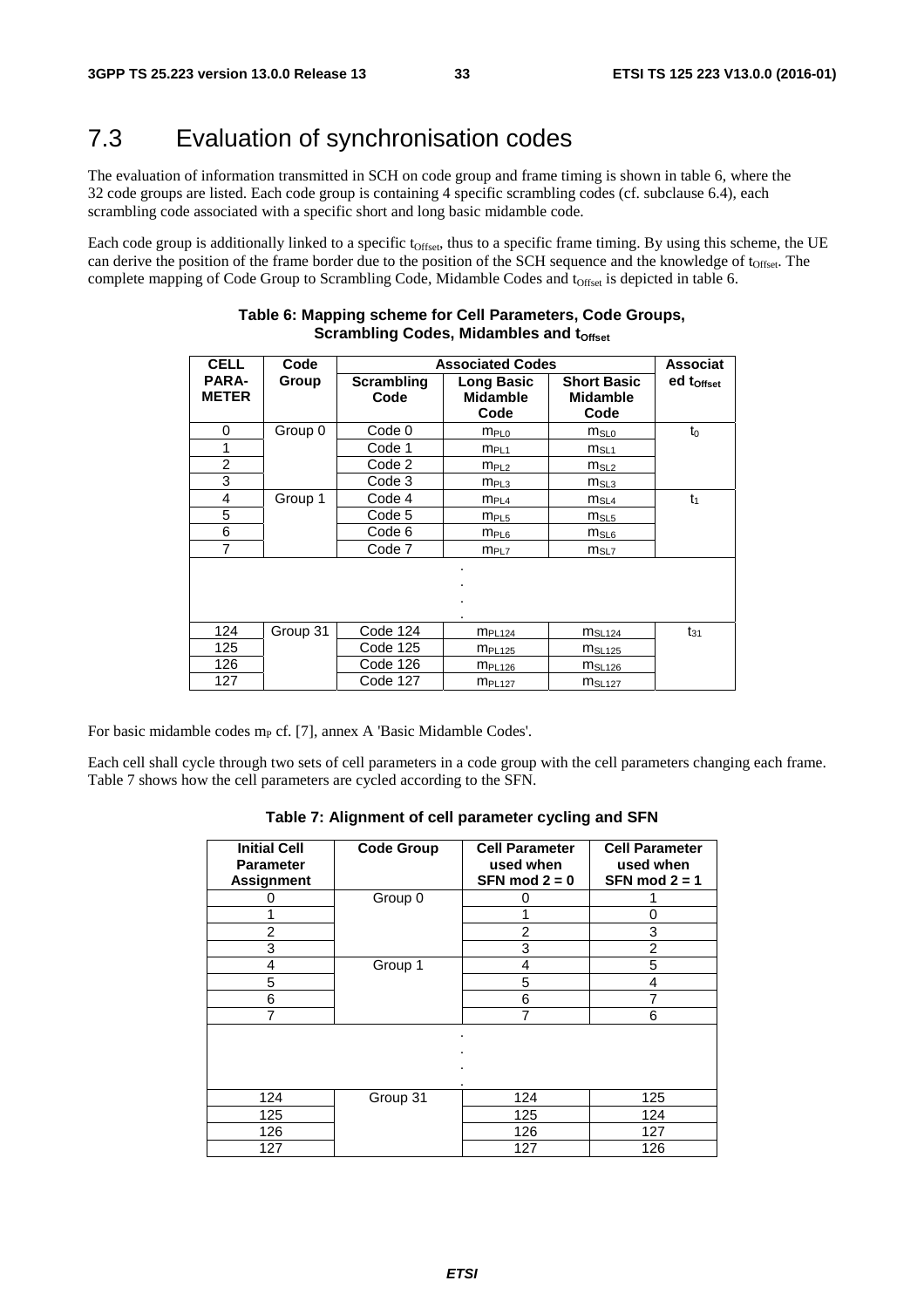# 7.3 Evaluation of synchronisation codes

The evaluation of information transmitted in SCH on code group and frame timing is shown in table 6, where the 32 code groups are listed. Each code group is containing 4 specific scrambling codes (cf. subclause 6.4), each scrambling code associated with a specific short and long basic midamble code.

Each code group is additionally linked to a specific t<sub>Offset</sub>, thus to a specific frame timing. By using this scheme, the UE can derive the position of the frame border due to the position of the SCH sequence and the knowledge of t<sub>Offset</sub>. The complete mapping of Code Group to Scrambling Code, Midamble Codes and t<sub>Offset</sub> is depicted in table 6.

| <b>CELL</b>                  | Code     | <b>Associated Codes</b> | <b>Associat</b>                              |                                               |                        |
|------------------------------|----------|-------------------------|----------------------------------------------|-----------------------------------------------|------------------------|
| <b>PARA-</b><br><b>METER</b> | Group    | Scrambling<br>Code      | <b>Long Basic</b><br><b>Midamble</b><br>Code | <b>Short Basic</b><br><b>Midamble</b><br>Code | ed t <sub>offset</sub> |
| 0                            | Group 0  | Code 0                  | m <sub>PL0</sub>                             | $m_{SLO}$                                     | $t_0$                  |
| 1                            |          | Code 1                  | m <sub>PL1</sub>                             | $m_{SL1}$                                     |                        |
| $\overline{2}$               |          | Code 2                  | m <sub>PL2</sub>                             | $m_{SL2}$                                     |                        |
| 3                            |          | Code 3                  | m <sub>PL3</sub>                             | $m_{SL3}$                                     |                        |
| 4                            | Group 1  | Code 4                  | $m_{PL4}$                                    | $m_{SL4}$                                     | $t_1$                  |
| 5                            |          | Code 5                  | m <sub>PL5</sub>                             | $m_{SL5}$                                     |                        |
| 6                            |          | Code 6                  | $m_{PL6}$                                    | $m_{SL6}$                                     |                        |
| 7                            |          | Code 7                  | m <sub>PL7</sub>                             | $m_{SL7}$                                     |                        |
|                              |          |                         | ٠                                            |                                               |                        |
| 124                          | Group 31 | Code 124                | <b>MPL124</b>                                | MSL124                                        | $t_{31}$               |
| 125                          |          | Code 125                | $m_{PL125}$                                  | MSL125                                        |                        |
| 126                          |          | Code 126                | $m_{PL126}$                                  | MSL126                                        |                        |
| 127                          |          | Code 127                | m <sub>PL127</sub>                           | m <sub>SL127</sub>                            |                        |

#### **Table 6: Mapping scheme for Cell Parameters, Code Groups, Scrambling Codes, Midambles and toffset**

For basic midamble codes  $m_P$  cf. [7], annex A 'Basic Midamble Codes'.

Each cell shall cycle through two sets of cell parameters in a code group with the cell parameters changing each frame. Table 7 shows how the cell parameters are cycled according to the SFN.

| Table 7: Alignment of cell parameter cycling and SFN |  |  |
|------------------------------------------------------|--|--|
|------------------------------------------------------|--|--|

| <b>Initial Cell</b><br><b>Parameter</b><br><b>Assignment</b> | <b>Code Group</b> | <b>Cell Parameter</b><br>used when<br>SFN mod $2 = 0$ | <b>Cell Parameter</b><br>used when<br>SFN mod $2 = 1$ |  |  |
|--------------------------------------------------------------|-------------------|-------------------------------------------------------|-------------------------------------------------------|--|--|
|                                                              | Group 0           | 0                                                     |                                                       |  |  |
|                                                              |                   | 1                                                     | 0<br>3                                                |  |  |
| 2                                                            |                   | 2                                                     |                                                       |  |  |
| 3                                                            |                   | 3                                                     | 2                                                     |  |  |
| 4                                                            | Group 1           | 4                                                     | 5                                                     |  |  |
| 5                                                            |                   | 5                                                     | 4                                                     |  |  |
| 6                                                            |                   | 6                                                     | 7                                                     |  |  |
| 7                                                            |                   | $\overline{7}$                                        | 6                                                     |  |  |
|                                                              |                   | ٠<br>٠                                                |                                                       |  |  |
| 124                                                          | Group 31          | 124                                                   | 125                                                   |  |  |
| 125                                                          |                   | 125                                                   | 124                                                   |  |  |
| 126                                                          |                   | 126                                                   | 127                                                   |  |  |
| 127                                                          |                   | 127                                                   | 126                                                   |  |  |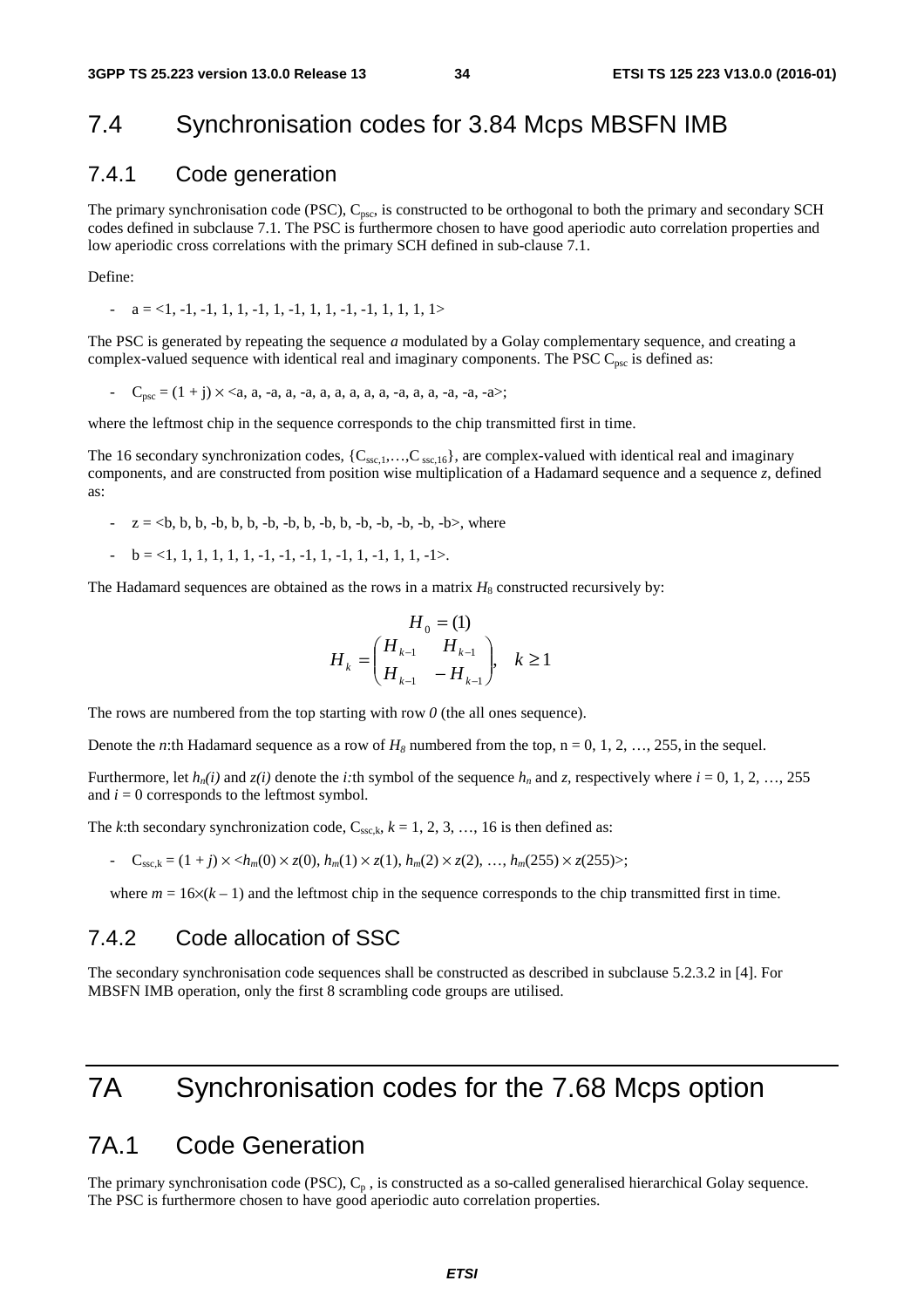## 7.4 Synchronisation codes for 3.84 Mcps MBSFN IMB

#### 7.4.1 Code generation

The primary synchronisation code (PSC),  $C_{\text{psc}}$ , is constructed to be orthogonal to both the primary and secondary SCH codes defined in subclause 7.1. The PSC is furthermore chosen to have good aperiodic auto correlation properties and low aperiodic cross correlations with the primary SCH defined in sub-clause 7.1.

Define:

 $a = 1, -1, -1, 1, 1, -1, 1, -1, 1, 1, -1, -1, 1, 1, 1, 1, 1>$ 

The PSC is generated by repeating the sequence *a* modulated by a Golay complementary sequence, and creating a complex-valued sequence with identical real and imaginary components. The PSC  $C_{\text{psc}}$  is defined as:

-  $C_{\text{osc}} = (1 + j) \times \langle a, a, -a, a, -a, a, a, a, a, -a, a, a, -a, -a, -a \rangle$ ;

where the leftmost chip in the sequence corresponds to the chip transmitted first in time.

The 16 secondary synchronization codes,  $\{C_{\text{ssc},1},...,C_{\text{ssc},16}\}$ , are complex-valued with identical real and imaginary components, and are constructed from position wise multiplication of a Hadamard sequence and a sequence *z*, defined as:

- $z = \langle b, b, b, -b, b, b, -b, -b, b, b, -b, b, -b, -b, -b, -b, -b \rangle$ , where
- $b = 1, 1, 1, 1, 1, 1, -1, -1, -1, 1, -1, 1, -1, 1, 1, -1.$

The Hadamard sequences are obtained as the rows in a matrix  $H_8$  constructed recursively by:

$$
H_0 = (1)
$$
  

$$
H_k = \begin{pmatrix} H_{k-1} & H_{k-1} \\ H_{k-1} & -H_{k-1} \end{pmatrix}, \quad k \ge 1
$$

The rows are numbered from the top starting with row  $\theta$  (the all ones sequence).

Denote the *n*:th Hadamard sequence as a row of  $H_8$  numbered from the top, n = 0, 1, 2, …, 255, in the sequel.

Furthermore, let  $h_n(i)$  and  $z(i)$  denote the *i*:th symbol of the sequence  $h_n$  and  $z$ , respectively where  $i = 0, 1, 2, ..., 255$ and  $i = 0$  corresponds to the leftmost symbol.

The *k*:th secondary synchronization code,  $C_{\text{ssc}}$ <sub>k</sub>,  $k = 1, 2, 3, ..., 16$  is then defined as:

- 
$$
C_{\text{ssc},k} = (1+j) \times \langle h_m(0) \times z(0), h_m(1) \times z(1), h_m(2) \times z(2), \dots, h_m(255) \times z(255) \rangle;
$$

where  $m = 16 \times (k-1)$  and the leftmost chip in the sequence corresponds to the chip transmitted first in time.

## 7.4.2 Code allocation of SSC

The secondary synchronisation code sequences shall be constructed as described in subclause 5.2.3.2 in [4]. For MBSFN IMB operation, only the first 8 scrambling code groups are utilised.

# 7A Synchronisation codes for the 7.68 Mcps option

## 7A.1 Code Generation

The primary synchronisation code (PSC),  $C_p$ , is constructed as a so-called generalised hierarchical Golay sequence. The PSC is furthermore chosen to have good aperiodic auto correlation properties.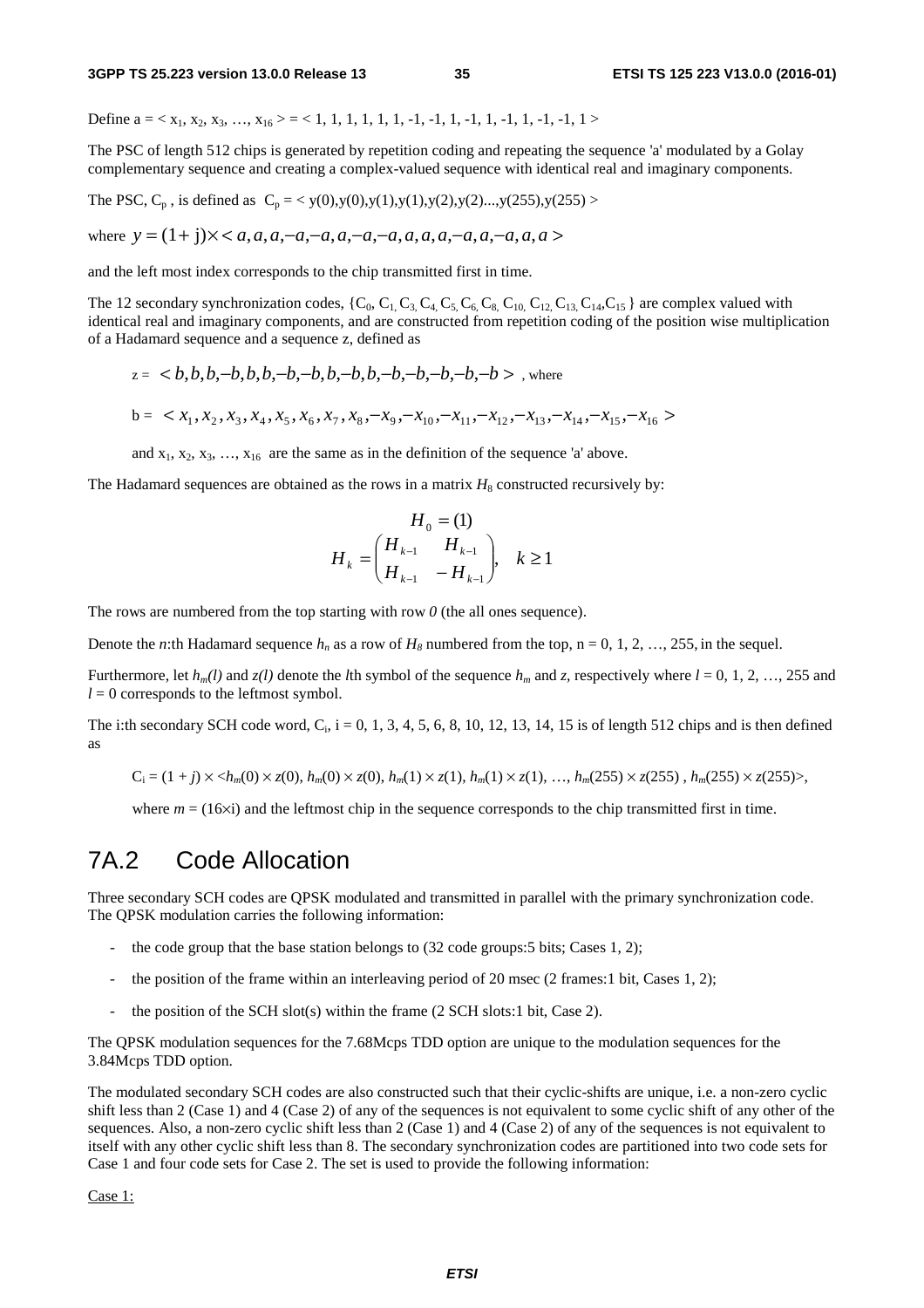Define  $a = \langle x_1, x_2, x_3, \ldots, x_{16} \rangle = \langle 1, 1, 1, 1, 1, 1, -1, -1, 1, -1, 1, -1, 1, -1, 1 \rangle$ 

The PSC of length 512 chips is generated by repetition coding and repeating the sequence 'a' modulated by a Golay complementary sequence and creating a complex-valued sequence with identical real and imaginary components.

The PSC,  $C_p$ , is defined as  $C_p = \langle y(0), y(0), y(1), y(1), y(2), y(2), \ldots, y(255), y(255) \rangle$ 

where  $y = (1 + j) \times *a*, a, a, -a, -a, a, -a, -a, a, a, a, -a, a, a, a, a > 0$ 

and the left most index corresponds to the chip transmitted first in time.

The 12 secondary synchronization codes,  $\{C_0, C_1, C_3, C_4, C_5, C_6, C_8, C_{10}, C_{12}, C_{13}, C_{14}, C_{15}\}$  are complex valued with identical real and imaginary components, and are constructed from repetition coding of the position wise multiplication of a Hadamard sequence and a sequence z, defined as

$$
z = \langle b, b, b, -b, b, b, -b, -b, b, b, -b, -b, -b, -b, -b, -b \rangle
$$
, where  

$$
b = \langle x_1, x_2, x_3, x_4, x_5, x_6, x_7, x_8, -x_9, -x_{10}, -x_{11}, -x_{12}, -x_{13}, -x_{14}, -x_{15}, -x_{16} \rangle
$$

and  $x_1, x_2, x_3, \ldots, x_{16}$  are the same as in the definition of the sequence 'a' above.

The Hadamard sequences are obtained as the rows in a matrix  $H_8$  constructed recursively by:

$$
H_0 = (1)
$$
  

$$
H_k = \begin{pmatrix} H_{k-1} & H_{k-1} \\ H_{k-1} & -H_{k-1} \end{pmatrix}, \quad k \ge 1
$$

The rows are numbered from the top starting with row  $\theta$  (the all ones sequence).

Denote the *n*:th Hadamard sequence  $h_n$  as a row of  $H_8$  numbered from the top, n = 0, 1, 2, …, 255, in the sequel.

Furthermore, let  $h_m(l)$  and  $z(l)$  denote the *l*th symbol of the sequence  $h_m$  and  $z$ , respectively where  $l = 0, 1, 2, ..., 255$  and  $l = 0$  corresponds to the leftmost symbol.

The i:th secondary SCH code word,  $C_i$ , i = 0, 1, 3, 4, 5, 6, 8, 10, 12, 13, 14, 15 is of length 512 chips and is then defined as

$$
C_i = (1+j) \times \langle h_m(0) \times z(0), h_m(0) \times z(0), h_m(1) \times z(1), h_m(1) \times z(1), \dots, h_m(255) \times z(255), h_m(255) \times z(255) \rangle
$$

where  $m = (16\times i)$  and the leftmost chip in the sequence corresponds to the chip transmitted first in time.

## 7A.2 Code Allocation

Three secondary SCH codes are QPSK modulated and transmitted in parallel with the primary synchronization code. The QPSK modulation carries the following information:

- the code group that the base station belongs to  $(32 \text{ code groups:} 5 \text{ bits}; \text{Cases } 1, 2);$
- the position of the frame within an interleaving period of 20 msec (2 frames: 1 bit, Cases 1, 2);
- the position of the SCH slot(s) within the frame  $(2$  SCH slots:1 bit, Case 2).

The QPSK modulation sequences for the 7.68Mcps TDD option are unique to the modulation sequences for the 3.84Mcps TDD option.

The modulated secondary SCH codes are also constructed such that their cyclic-shifts are unique, i.e. a non-zero cyclic shift less than 2 (Case 1) and 4 (Case 2) of any of the sequences is not equivalent to some cyclic shift of any other of the sequences. Also, a non-zero cyclic shift less than 2 (Case 1) and 4 (Case 2) of any of the sequences is not equivalent to itself with any other cyclic shift less than 8. The secondary synchronization codes are partitioned into two code sets for Case 1 and four code sets for Case 2. The set is used to provide the following information:

Case 1: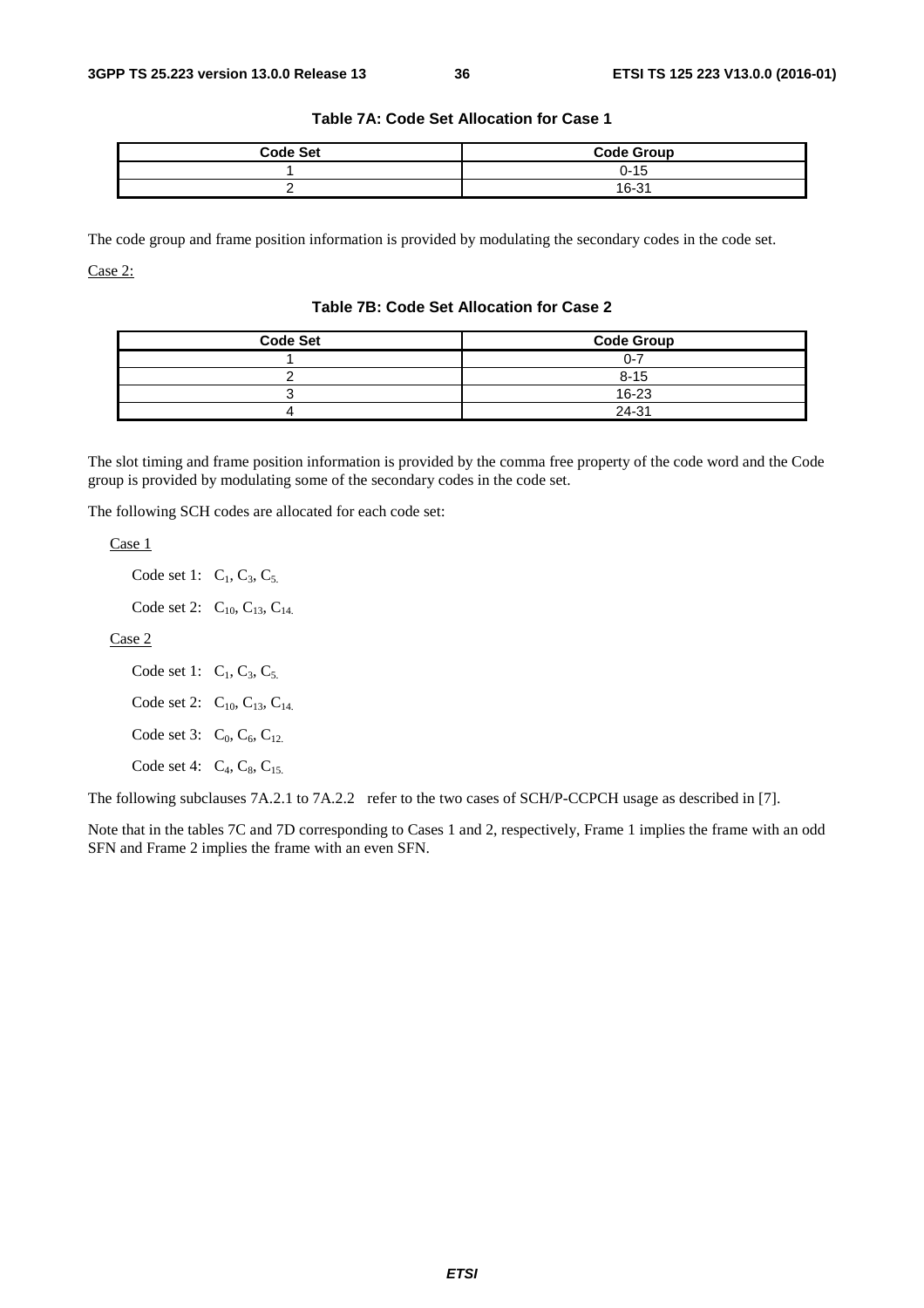| <b>Code Set</b> | <b>Code Group</b> |
|-----------------|-------------------|
|                 | 0-15              |
|                 | 16-31             |

#### **Table 7A: Code Set Allocation for Case 1**

The code group and frame position information is provided by modulating the secondary codes in the code set. Case 2:

#### **Table 7B: Code Set Allocation for Case 2**

| <b>Code Set</b> | <b>Code Group</b> |
|-----------------|-------------------|
|                 | በ-7               |
|                 | $8 - 15$          |
|                 | 16-23             |
|                 | 24-31             |

The slot timing and frame position information is provided by the comma free property of the code word and the Code group is provided by modulating some of the secondary codes in the code set.

The following SCH codes are allocated for each code set:

Case 1

Code set 1:  $C_1$ ,  $C_3$ ,  $C_5$ .

Code set 2:  $C_{10}$ ,  $C_{13}$ ,  $C_{14}$ .

Case 2

Code set 1:  $C_1, C_3, C_5$ . Code set 2:  $C_{10}$ ,  $C_{13}$ ,  $C_{14}$ . Code set 3:  $C_0$ ,  $C_6$ ,  $C_{12}$ . Code set 4:  $C_4$ ,  $C_8$ ,  $C_{15}$ .

The following subclauses 7A.2.1 to 7A.2.2 refer to the two cases of SCH/P-CCPCH usage as described in [7].

Note that in the tables 7C and 7D corresponding to Cases 1 and 2, respectively, Frame 1 implies the frame with an odd SFN and Frame 2 implies the frame with an even SFN.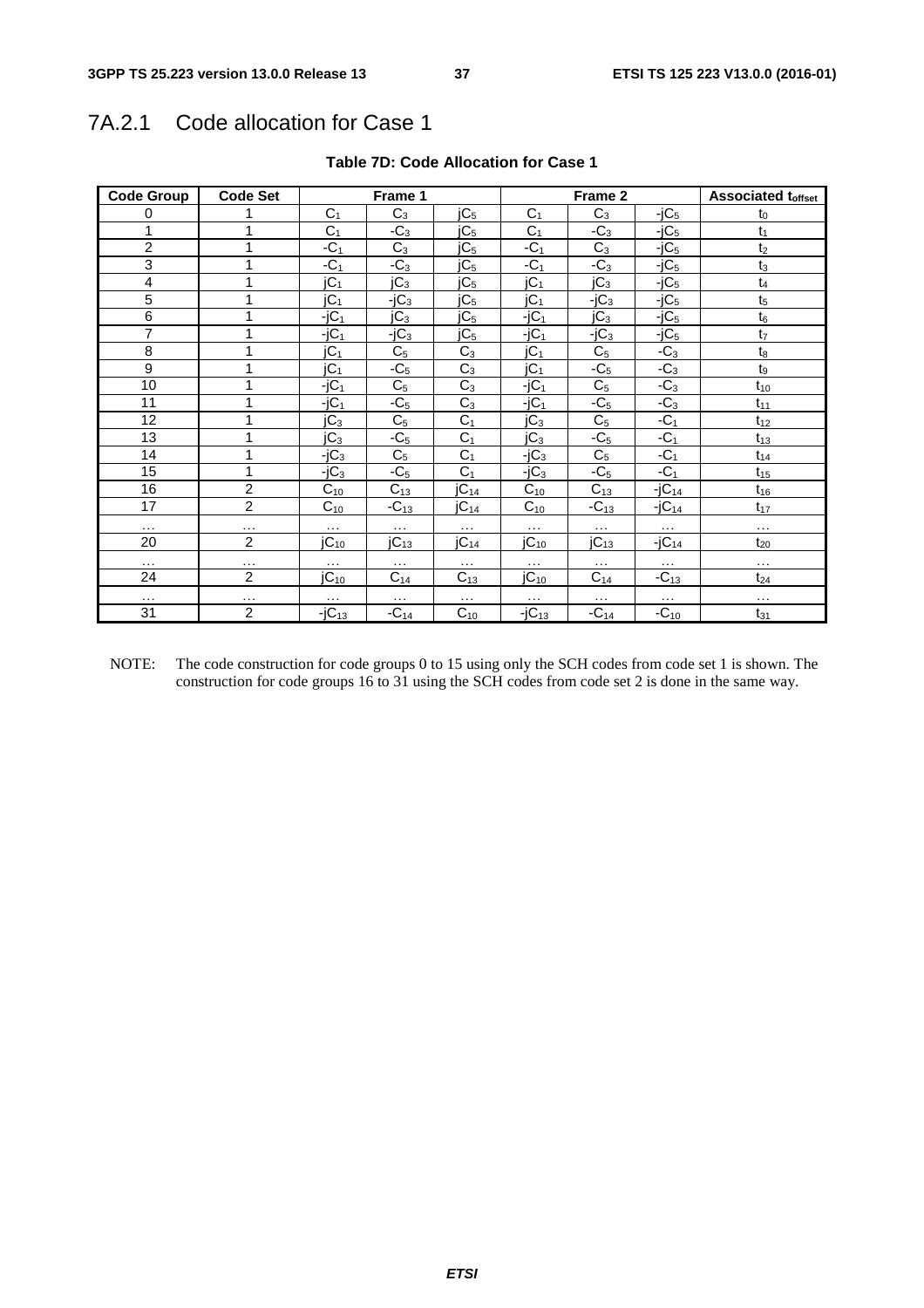# 7A.2.1 Code allocation for Case 1

| <b>Code Group</b>       | <b>Code Set</b> |                  | Frame 1          |                  |                       | Frame 2         |            | <b>Associated toffset</b> |  |  |
|-------------------------|-----------------|------------------|------------------|------------------|-----------------------|-----------------|------------|---------------------------|--|--|
| 0                       |                 | C <sub>1</sub>   | $C_3$            | jC <sub>5</sub>  | C <sub>1</sub>        | $C_3$           | $-jC5$     | $t_0$                     |  |  |
| 1                       |                 | $C_1$            | $-C_3$           | jC <sub>5</sub>  | C <sub>1</sub>        | $-C_3$          | $-jC5$     | $t_1$                     |  |  |
| $\overline{2}$          | 1               | $-C1$            | $C_3$            | jC <sub>5</sub>  | $-C1$                 | $C_3$           | $-iC5$     | t <sub>2</sub>            |  |  |
| $\overline{3}$          | 1               | $-C1$            | $-C_3$           | jC <sub>5</sub>  | $-C1$                 | $-C_3$          | $-jC5$     | $t_3$                     |  |  |
| $\overline{\mathbf{4}}$ | 1               | jC <sub>1</sub>  | $\overline{C}_3$ | jC <sub>5</sub>  | jC <sub>1</sub>       | JC <sub>3</sub> | $-jC5$     | $t_4$                     |  |  |
| 5                       | 1               | jC <sub>1</sub>  | $-jC_3$          | jC <sub>5</sub>  | jC <sub>1</sub>       | $-iC_3$         | $-jC5$     | t <sub>5</sub>            |  |  |
| $\overline{6}$          | 1               | $-jC_1$          | jC <sub>3</sub>  | jC <sub>5</sub>  | $-jC_1$               | jC <sub>3</sub> | $-jC5$     | $t_6$                     |  |  |
| $\overline{7}$          | 1               | $-jC_1$          | $-iC_3$          | jC <sub>5</sub>  | $-iC_1$               | $-iC_3$         | $-jC5$     | t <sub>7</sub>            |  |  |
| $\overline{8}$          | 1               | jC <sub>1</sub>  | $C_5$            | $C_3$            | jC <sub>1</sub>       | $C_5$           | $-C_3$     | $\mathsf{t}_8$            |  |  |
| 9                       | 1               | jC <sub>1</sub>  | $-C5$            | $C_3$            | jC <sub>1</sub>       | $-C5$           | $-C_3$     | $t_9$                     |  |  |
| 10                      | 1               | $-jC1$           | C <sub>5</sub>   | $C_3$            | $-jC_1$               | $C_5$           | $-C_3$     | $t_{10}$                  |  |  |
| 11                      | 1               | $-jC_1$          | $-C5$            | $C_3$            | $-jC_1$               | $-C5$           | $-C_3$     | $t_{11}$                  |  |  |
| 12                      | 1               | jC <sub>3</sub>  | C <sub>5</sub>   | C <sub>1</sub>   | jC <sub>3</sub>       | C <sub>5</sub>  | $-C1$      | $t_{12}$                  |  |  |
| 13                      | 4               | jC <sub>3</sub>  | $-C5$            | C <sub>1</sub>   | jC <sub>3</sub>       | $-C5$           | $-C1$      | $t_{13}$                  |  |  |
| 14                      | 1               | $-jC_3$          | C <sub>5</sub>   | $C_1$            | $-iC_3$               | $C_5$           | $-C1$      | $t_{14}$                  |  |  |
| 15                      | 1               | $-iC_3$          | $-C5$            | C <sub>1</sub>   | $-iC_3$               | $-C5$           | $-C1$      | $t_{15}$                  |  |  |
| 16                      | $\overline{c}$  | $C_{10}$         | $C_{13}$         | jC <sub>14</sub> | $C_{10}$              | $C_{13}$        | $-jC_{14}$ | $t_{16}$                  |  |  |
| 17                      | $\overline{2}$  | $C_{10}$         | $-C_{13}$        | jC <sub>14</sub> | $C_{10}$              | $-C_{13}$       | $-jC_{14}$ | $t_{17}$                  |  |  |
| $\cdots$                | .               | $\cdots$         | $\cdots$         | $\cdots$         | $\cdots$              | $\cdots$        | $\cdots$   | $\ldots$                  |  |  |
| 20                      | $\overline{2}$  | jC <sub>10</sub> | jC <sub>13</sub> | jC <sub>14</sub> | $IC_{10}$             | $JC_{13}$       | $-jC_{14}$ | $t_{20}$                  |  |  |
| $\ldots$                | $\cdots$        | $\cdots$         | $\cdots$         | $\cdots$         | $\cdots$              | $\cdots$        | $\ldots$   | $\ldots$                  |  |  |
| 24                      | $\overline{c}$  | jC <sub>10</sub> | $C_{14}$         | $C_{13}$         | $IC_{10}$             | $C_{14}$        | $-C_{13}$  | $t_{24}$                  |  |  |
| $\ddotsc$               | $\cdots$        | $\cdots$         | $\cdots$         | $\cdots$         | $\cdots$              | $\cdots$        | $\cdots$   | $\cdots$                  |  |  |
| 31                      | $\overline{c}$  | $-jC_{13}$       | $-C_{14}$        | $C_{10}$         | $\overline{-j}C_{13}$ | $-C_{14}$       | $-C_{10}$  | $t_{31}$                  |  |  |

#### **Table 7D: Code Allocation for Case 1**

NOTE: The code construction for code groups 0 to 15 using only the SCH codes from code set 1 is shown. The construction for code groups 16 to 31 using the SCH codes from code set 2 is done in the same way.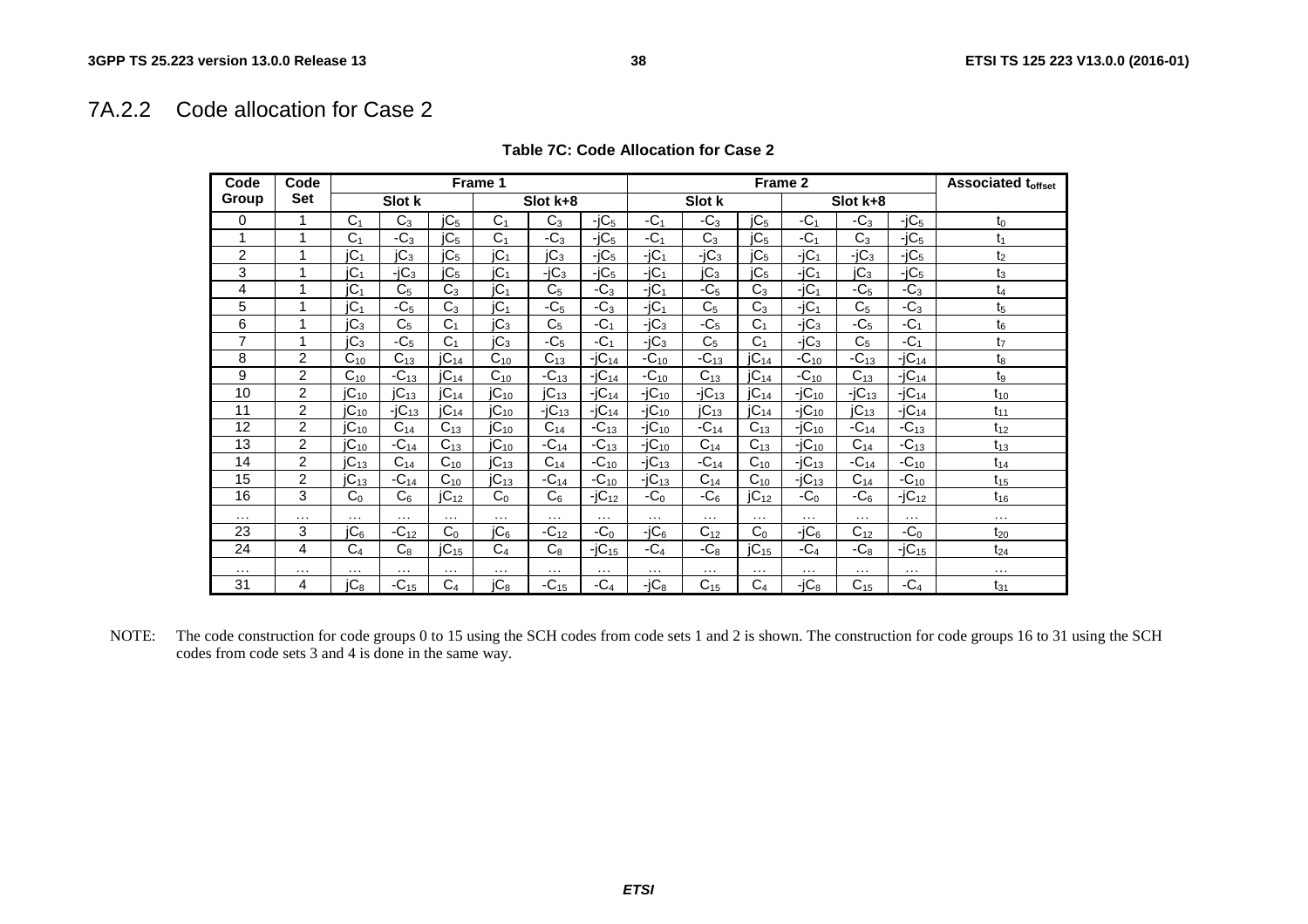## 7A.2.2 Code allocation for Case 2

| Code           | Code           |                 |                 |                  | Frame 1              |                       |            |            |                 | Frame 2          |            |                 |            | <b>Associated toffset</b> |
|----------------|----------------|-----------------|-----------------|------------------|----------------------|-----------------------|------------|------------|-----------------|------------------|------------|-----------------|------------|---------------------------|
| Group          | <b>Set</b>     |                 | Slot k          |                  |                      | Slot k+8              |            |            | Slot k          |                  |            | Slot k+8        |            |                           |
| 0              | 1              | C <sub>1</sub>  | $C_3$           | jC <sub>5</sub>  | C <sub>1</sub>       | $C_3$                 | $-iC5$     | $-C_1$     | $-C_3$          | JC <sub>5</sub>  | $-C_1$     | $-C_3$          | $-iC5$     | $t_0$                     |
|                | 1              | C <sub>1</sub>  | $-C_3$          | IC <sub>5</sub>  | C <sub>1</sub>       | $-C_3$                | $-iC5$     | $-C1$      | $C_3$           | IC <sub>5</sub>  | $-C_1$     | $C_3$           | $-iC5$     | t1                        |
| $\overline{c}$ | 1              | iC <sub>1</sub> | IC <sub>3</sub> | jC <sub>5</sub>  | IC <sub>1</sub>      | JC <sub>3</sub>       | $-iC5$     | $-jC_1$    | $-iC_3$         | jC <sub>5</sub>  | $-jC_1$    | $-iC_3$         | $-iC5$     | t <sub>2</sub>            |
| 3              | 1              | iC <sub>1</sub> | $-iC_3$         | IC <sub>5</sub>  | IC <sub>1</sub>      | $-iC_3$               | $-iC5$     | $-jC_1$    | jC <sub>3</sub> | IC <sub>5</sub>  | $-iC_1$    | IC <sub>3</sub> | $-iC5$     | $t_3$                     |
| 4              | 1              | iC <sub>1</sub> | C <sub>5</sub>  | C <sub>3</sub>   | IC <sub>1</sub>      | C <sub>5</sub>        | $-C_3$     | $-iC_1$    | $-C5$           | $C_3$            | $-jC_1$    | $-C5$           | $-C_3$     | $t_4$                     |
| 5              | 1              | jC <sub>1</sub> | $-C5$           | $C_3$            | IC <sub>1</sub>      | $-C5$                 | $-C_3$     | $-jC_1$    | C <sub>5</sub>  | $C_3$            | $-iC_1$    | C <sub>5</sub>  | $-C_3$     | t5                        |
| 6              | 1              | jC <sub>3</sub> | C <sub>5</sub>  | C <sub>1</sub>   | jC <sub>3</sub>      | C <sub>5</sub>        | $-C1$      | $-iC_3$    | $-C5$           | C <sub>1</sub>   | $-iC_3$    | $-C5$           | $-C1$      | $t_6$                     |
| $\overline{7}$ | 1              | jC <sub>3</sub> | $-C5$           | C <sub>1</sub>   | IC <sub>3</sub>      | $-C5$                 | $-C1$      | $-iC3$     | C <sub>5</sub>  | C <sub>1</sub>   | $-iC_3$    | C <sub>5</sub>  | $-C1$      | t <sub>7</sub>            |
| 8              | $\overline{2}$ | $C_{10}$        | $C_{13}$        | IC <sub>14</sub> | $C_{10}$             | $C_{13}$              | $-iC_{14}$ | $-C_{10}$  | $-C_{13}$       | $JC_{14}$        | $-C_{10}$  | $-C_{13}$       | $-iC_{14}$ | $t_8$                     |
| 9              | $\overline{2}$ | $C_{10}$        | $-C_{13}$       | IC <sub>14</sub> | $C_{10}$             | $-C_{13}$             | $-iC_{14}$ | $-C_{10}$  | $C_{13}$        | IC <sub>14</sub> | $-C_{10}$  | $C_{13}$        | $-iC_{14}$ | t <sub>9</sub>            |
| 10             | $\overline{2}$ | $IC_{10}$       | $IC_{13}$       | jC <sub>14</sub> | $\overline{IC_{10}}$ | $JC_{13}$             | $-iC_{14}$ | $-iC_{10}$ | $-iC_{13}$      | $JC_{14}$        | $-iC_{10}$ | $-iC_{13}$      | $-iC_{14}$ | $t_{10}$                  |
| 11             | $\overline{2}$ | $IC_{10}$       | $-iC_{13}$      | jC <sub>14</sub> | jC <sub>10</sub>     | $-i\overline{C_{13}}$ | $-iC_{14}$ | $-iC_{10}$ | $IC_{13}$       | JC <sub>14</sub> | $-iC_{10}$ | $JC_{13}$       | $-iC_{14}$ | $t_{11}$                  |
| 12             | $\overline{2}$ | $IC_{10}$       | $C_{14}$        | $C_{13}$         | jC <sub>10</sub>     | $C_{14}$              | $-C_{13}$  | $-iC_{10}$ | $-C_{14}$       | $C_{13}$         | $-iC_{10}$ | $-C_{14}$       | $-C_{13}$  | $t_{12}$                  |
| 13             | 2              | $IC_{10}$       | $-C_{14}$       | $C_{13}$         | jC <sub>10</sub>     | $-C_{14}$             | $-C_{13}$  | $-iC_{10}$ | $C_{14}$        | $C_{13}$         | $-iC_{10}$ | $C_{14}$        | $-C_{13}$  | $t_{13}$                  |
| 14             | 2              | $IC_{13}$       | $C_{14}$        | $C_{10}$         | $IC_{13}$            | $C_{14}$              | $-C_{10}$  | $-iC_{13}$ | $-C_{14}$       | $C_{10}$         | $-iC_{13}$ | $-C_{14}$       | $-C_{10}$  | $t_{14}$                  |
| 15             | $\overline{c}$ | $IC_{13}$       | $-C_{14}$       | $C_{10}$         | $JC_{13}$            | $-C_{14}$             | $-C_{10}$  | $-iC_{13}$ | $C_{14}$        | $C_{10}$         | $-iC_{13}$ | $C_{14}$        | $-C_{10}$  | $t_{15}$                  |
| 16             | 3              | $C_0$           | $C_6$           | jC <sub>12</sub> | C <sub>0</sub>       | C <sub>6</sub>        | $-iC_{12}$ | $-C0$      | $-C6$           | $JC_{12}$        | $-C0$      | $-C6$           | $-jC_{12}$ | $t_{16}$                  |
| $\cdots$       | $\cdots$       | $\cdots$        | .               | .                | $\cdots$             | $\cdots$              | .          | $\cdots$   | $\cdots$        | $\cdots$         | $\cdots$   | .               | $\cdots$   | $\cdots$                  |
| 23             | 3              | jC <sub>6</sub> | $-C_{12}$       | C <sub>0</sub>   | IC <sub>6</sub>      | $-C_{12}$             | $-C0$      | $-jC_6$    | $C_{12}$        | C <sub>0</sub>   | $-iC6$     | $C_{12}$        | $-C0$      | $t_{20}$                  |
| 24             | 4              | C <sub>4</sub>  | $C_8$           | $JC_{15}$        | C <sub>4</sub>       | $C_8$                 | $-jC_{15}$ | $-C4$      | $-C_8$          | $JC_{15}$        | $-C4$      | $-C_8$          | $-jC_{15}$ | $t_{24}$                  |
| $\cdots$       | $\cdots$       | $\cdots$        | $\cdots$        | $\ddotsc$        | $\cdots$             | $\cdots$              | $\cdots$   | $\cdots$   | $\cdots$        | $\cdots$         | $\cdots$   | $\cdots$        | $\cdots$   | $\cdots$                  |
| 31             | 4              | jC <sub>8</sub> | $-C_{15}$       | C <sub>4</sub>   | jC <sub>8</sub>      | $-C_{15}$             | $-C4$      | $-iC_8$    | $C_{15}$        | C <sub>4</sub>   | $-iC_8$    | $C_{15}$        | $-C4$      | $t_{31}$                  |

#### **Table 7C: Code Allocation for Case 2**

NOTE: The code construction for code groups 0 to 15 using the SCH codes from code sets 1 and 2 is shown. The construction for code groups 16 to 31 using the SCH codes from code sets 3 and 4 is done in the same way.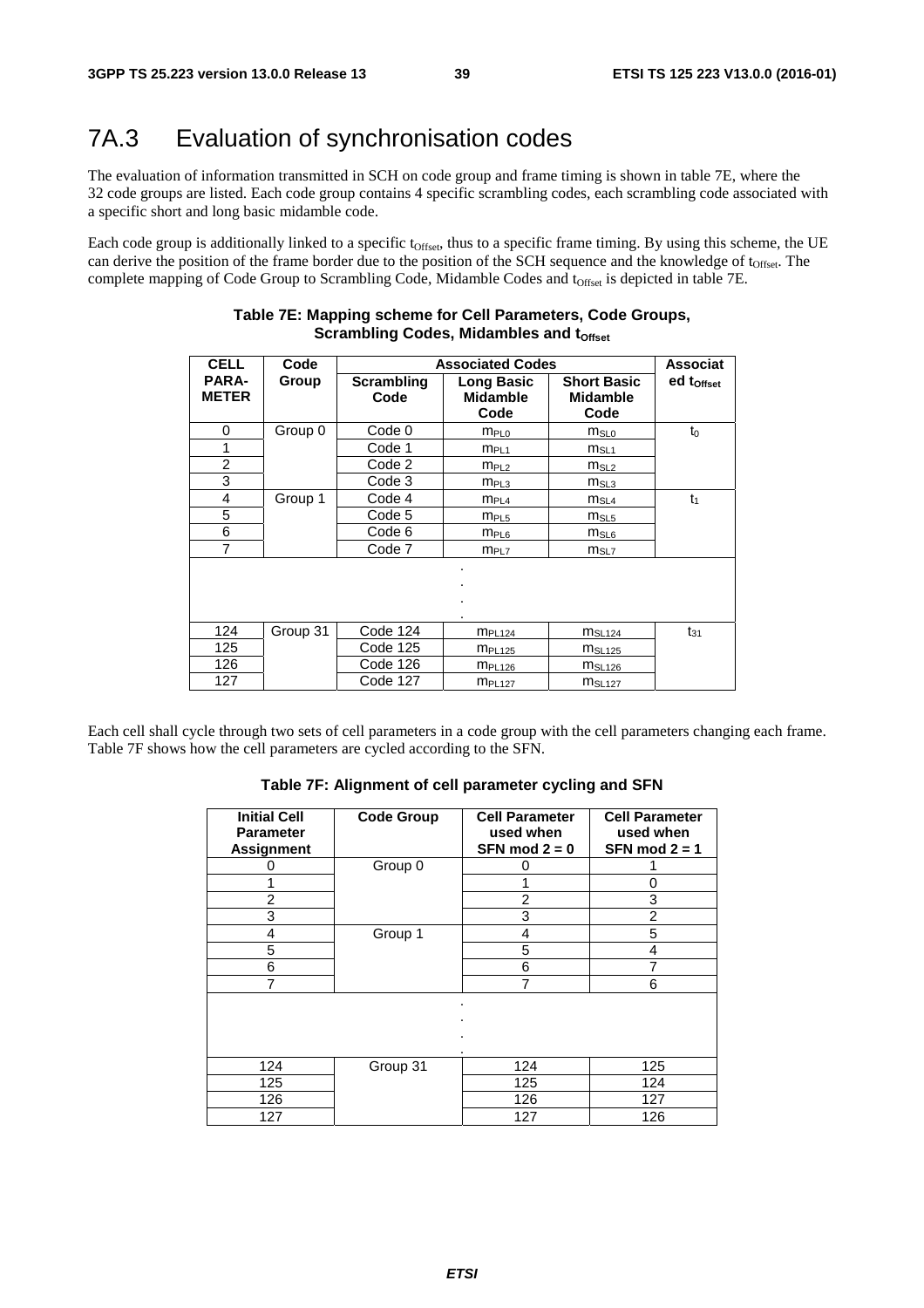# 7A.3 Evaluation of synchronisation codes

The evaluation of information transmitted in SCH on code group and frame timing is shown in table 7E, where the 32 code groups are listed. Each code group contains 4 specific scrambling codes, each scrambling code associated with a specific short and long basic midamble code.

Each code group is additionally linked to a specific t<sub>Offset</sub>, thus to a specific frame timing. By using this scheme, the UE can derive the position of the frame border due to the position of the SCH sequence and the knowledge of  $t_{\text{offset}}$ . The complete mapping of Code Group to Scrambling Code, Midamble Codes and t<sub>Offset</sub> is depicted in table 7E.

| <b>CELL</b>                  | Code     |                    | <b>Associated Codes</b>                      |                                               | <b>Associat</b>        |
|------------------------------|----------|--------------------|----------------------------------------------|-----------------------------------------------|------------------------|
| <b>PARA-</b><br><b>METER</b> | Group    | Scrambling<br>Code | <b>Long Basic</b><br><b>Midamble</b><br>Code | <b>Short Basic</b><br><b>Midamble</b><br>Code | ed t <sub>Offset</sub> |
| 0                            | Group 0  | Code 0             | $m_{PL0}$                                    | $m_{SLO}$                                     | $t_0$                  |
| 1                            |          | Code 1             | $m_{PL1}$                                    | $m_{SL1}$                                     |                        |
| $\overline{2}$               |          | Code 2             | m <sub>PL2</sub>                             | $m_{SL2}$                                     |                        |
| 3                            |          | Code 3             | m <sub>PL3</sub>                             | $m_{SL3}$                                     |                        |
| 4                            | Group 1  | Code 4             | $m_{PL4}$                                    | $m_{SL4}$                                     | $t_1$                  |
| 5                            |          | Code 5             | m <sub>PL5</sub>                             | $m_{SL5}$                                     |                        |
| 6                            |          | Code 6             | $m_{PL6}$                                    | $m_{SL6}$                                     |                        |
| 7                            |          | Code 7             | m <sub>PL7</sub>                             | m <sub>SL7</sub>                              |                        |
|                              |          |                    | ٠                                            |                                               |                        |
| 124                          | Group 31 | Code 124           | $m_{PL124}$                                  | MSL124                                        | $t_{31}$               |
| 125                          |          | Code 125           | m <sub>PL125</sub>                           | MSL125                                        |                        |
| 126                          |          | Code 126           | m <sub>PL126</sub>                           | MSL126                                        |                        |
| 127                          |          | Code 127           | m <sub>PL127</sub>                           | m <sub>SL127</sub>                            |                        |

#### **Table 7E: Mapping scheme for Cell Parameters, Code Groups, Scrambling Codes, Midambles and toffset**

Each cell shall cycle through two sets of cell parameters in a code group with the cell parameters changing each frame. Table 7F shows how the cell parameters are cycled according to the SFN.

#### **Table 7F: Alignment of cell parameter cycling and SFN**

| <b>Initial Cell</b><br><b>Parameter</b><br><b>Assignment</b> | <b>Code Group</b> | <b>Cell Parameter</b><br>used when<br>SFN mod $2 = 0$ | <b>Cell Parameter</b><br>used when<br>SFN mod $2 = 1$ |
|--------------------------------------------------------------|-------------------|-------------------------------------------------------|-------------------------------------------------------|
|                                                              | Group 0           | ი                                                     |                                                       |
|                                                              |                   |                                                       | 0                                                     |
| $\overline{2}$                                               |                   | 2                                                     | 3                                                     |
| 3                                                            |                   | 3                                                     | 2                                                     |
| 4                                                            | Group 1           | 4                                                     | 5                                                     |
| 5                                                            |                   | 5                                                     | 4                                                     |
| 6                                                            |                   | 6                                                     |                                                       |
|                                                              |                   | 7                                                     | 6                                                     |
|                                                              |                   | ٠                                                     |                                                       |
| 124                                                          | Group 31          | 124                                                   | 125                                                   |
| 125                                                          |                   | 125                                                   | 124                                                   |
| 126                                                          |                   | 126                                                   | 127                                                   |
| 127                                                          |                   | 127                                                   | 126                                                   |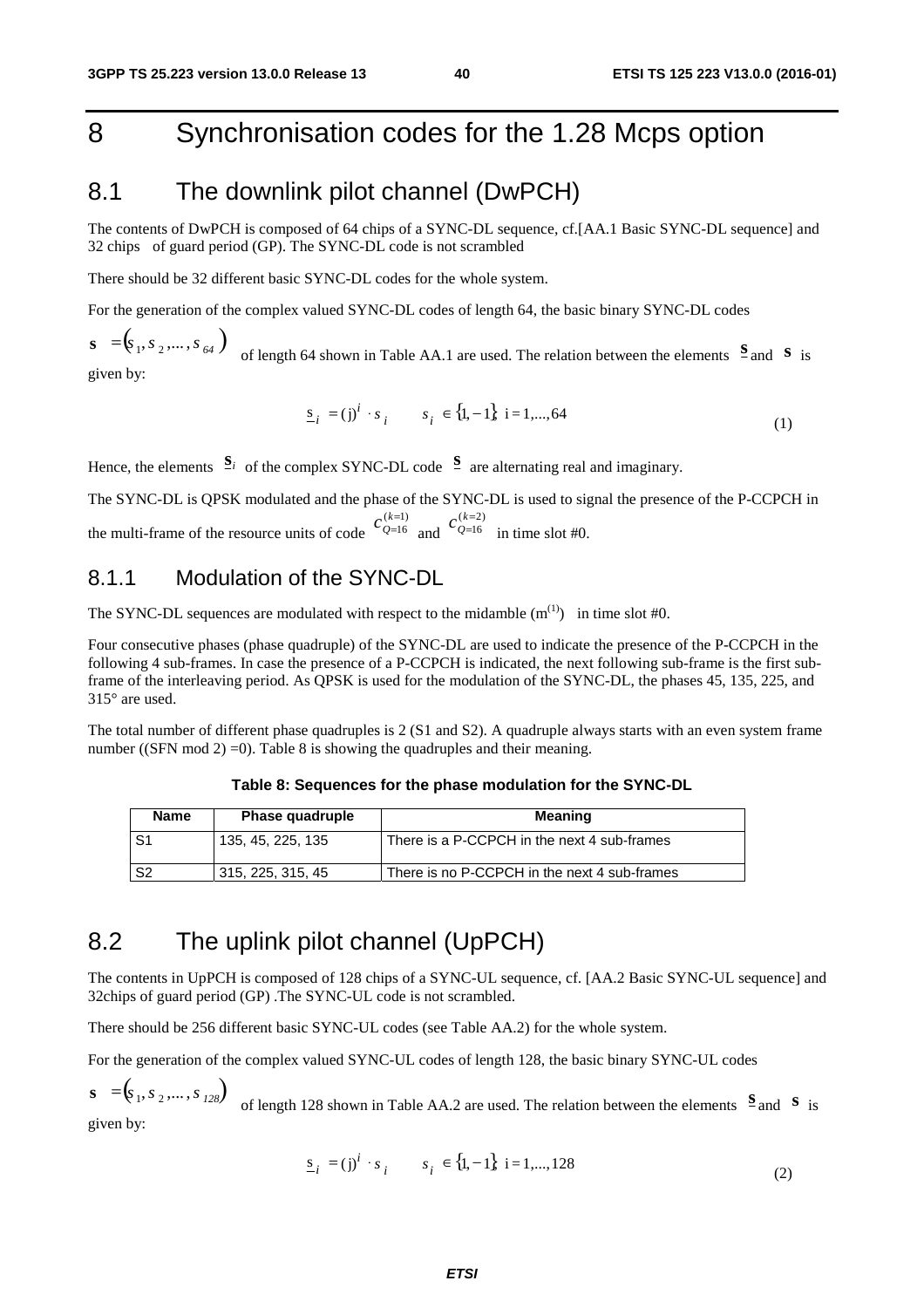# 8 Synchronisation codes for the 1.28 Mcps option

## 8.1 The downlink pilot channel (DwPCH)

The contents of DwPCH is composed of 64 chips of a SYNC-DL sequence, cf.[AA.1 Basic SYNC-DL sequence] and 32 chips of guard period (GP). The SYNC-DL code is not scrambled

There should be 32 different basic SYNC-DL codes for the whole system.

For the generation of the complex valued SYNC-DL codes of length 64, the basic binary SYNC-DL codes

 $\mathbf{s} = (\mathbf{s}_1, \mathbf{s}_2, \dots, \mathbf{s}_{64})$  of length 64 shown in Table AA.1 are used. The relation between the elements  $\mathbf{s}$  and  $\mathbf{s}$  is given by:

$$
\underline{s}_{i} = (j)^{i} \cdot s_{i} \qquad s_{i} \in \{1, -1\} \quad i = 1, ..., 64 \tag{1}
$$

Hence, the elements  $S_i$  of the complex SYNC-DL code  $S$  are alternating real and imaginary.

The SYNC-DL is QPSK modulated and the phase of the SYNC-DL is used to signal the presence of the P-CCPCH in the multi-frame of the resource units of code  $Q=16$  and  $Q=16$  in time slot #0.  $(k=1)$ 16 =  $c_{Q=16}^{(k=1)}$  and  $c_{Q=16}^{(k=2)}$ =  $c_{Q=}^{(k)}$ 

### 8.1.1 Modulation of the SYNC-DL

The SYNC-DL sequences are modulated with respect to the midamble  $(m^{(1)})$  in time slot #0.

Four consecutive phases (phase quadruple) of the SYNC-DL are used to indicate the presence of the P-CCPCH in the following 4 sub-frames. In case the presence of a P-CCPCH is indicated, the next following sub-frame is the first subframe of the interleaving period. As QPSK is used for the modulation of the SYNC-DL, the phases 45, 135, 225, and 315° are used.

The total number of different phase quadruples is 2 (S1 and S2). A quadruple always starts with an even system frame number ((SFN mod 2) = 0). Table 8 is showing the quadruples and their meaning.

#### **Table 8: Sequences for the phase modulation for the SYNC-DL**

| Name           | <b>Phase quadruple</b> | Meaning                                      |
|----------------|------------------------|----------------------------------------------|
| S1             | 135, 45, 225, 135      | There is a P-CCPCH in the next 4 sub-frames  |
| S <sub>2</sub> | 315, 225, 315, 45      | There is no P-CCPCH in the next 4 sub-frames |

## 8.2 The uplink pilot channel (UpPCH)

The contents in UpPCH is composed of 128 chips of a SYNC-UL sequence, cf. [AA.2 Basic SYNC-UL sequence] and 32chips of guard period (GP) .The SYNC-UL code is not scrambled.

There should be 256 different basic SYNC-UL codes (see Table AA.2) for the whole system.

For the generation of the complex valued SYNC-UL codes of length 128, the basic binary SYNC-UL codes

 $\mathbf{s} = (\mathbf{s}_1, \mathbf{s}_2, \dots, \mathbf{s}_{128})$  of length 128 shown in Table AA.2 are used. The relation between the elements  $\mathbf{s}$  and  $\mathbf{s}$  is given by:

$$
\underline{s}_{i} = (j)^{i} \cdot s_{i} \qquad s_{i} \in \{1, -1\} \quad i = 1, \dots, 128 \tag{2}
$$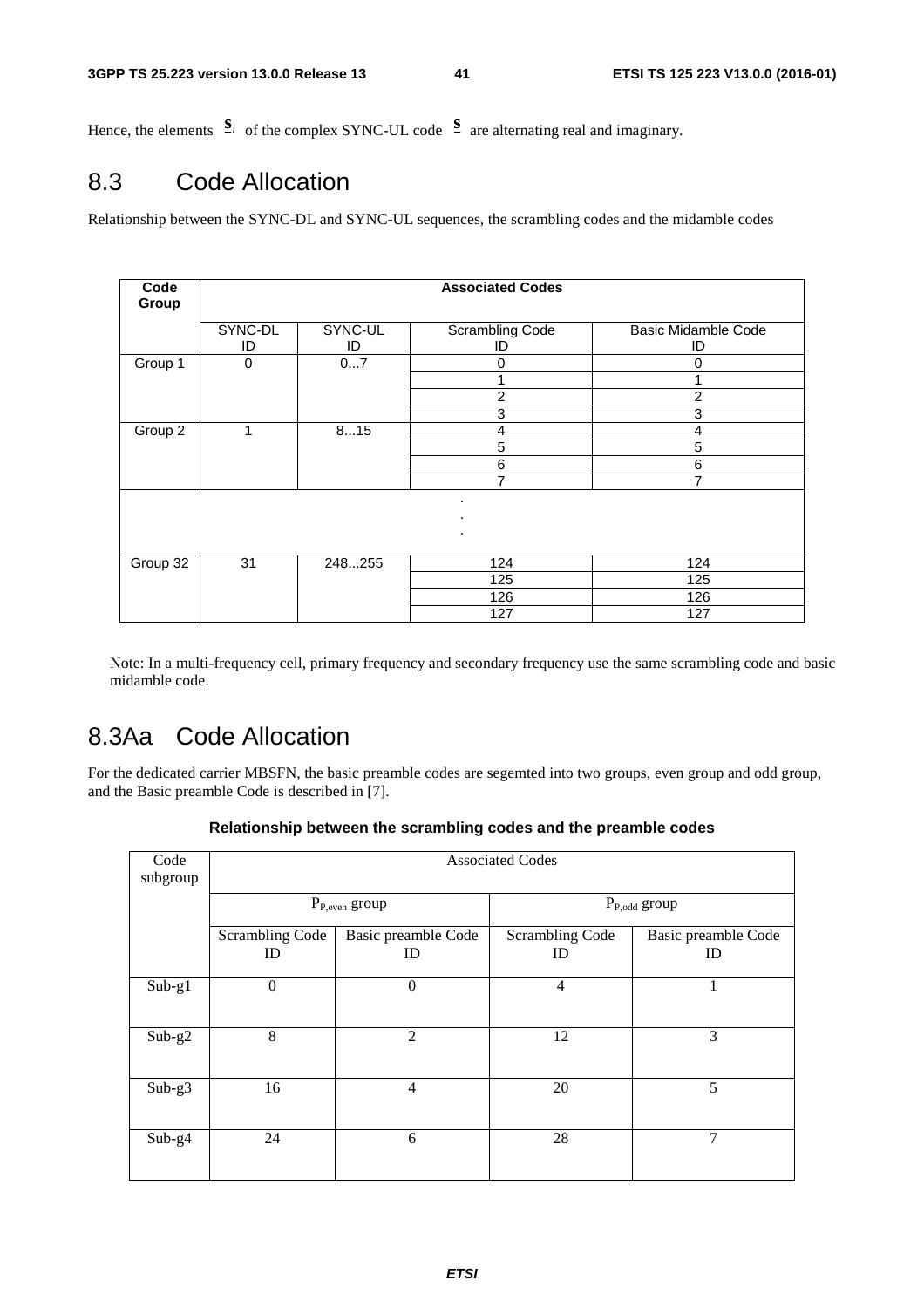Hence, the elements  $S_i$  of the complex SYNC-UL code  $S$  are alternating real and imaginary.

# 8.3 Code Allocation

Relationship between the SYNC-DL and SYNC-UL sequences, the scrambling codes and the midamble codes

| Code<br>Group |               |               | <b>Associated Codes</b>      |                                  |  |  |  |
|---------------|---------------|---------------|------------------------------|----------------------------------|--|--|--|
|               | SYNC-DL<br>ID | SYNC-UL<br>ID | <b>Scrambling Code</b><br>ID | <b>Basic Midamble Code</b><br>ID |  |  |  |
| Group 1       | 0             | 07            | 0                            | 0                                |  |  |  |
|               |               |               |                              |                                  |  |  |  |
|               |               |               | $\overline{2}$               | $\overline{2}$                   |  |  |  |
|               |               |               | 3                            | 3                                |  |  |  |
| Group 2       | 1             | 815           | 4                            | 4                                |  |  |  |
|               |               |               | 5                            | 5                                |  |  |  |
|               |               |               | 6                            | 6                                |  |  |  |
|               |               |               | 7                            | 7                                |  |  |  |
|               |               |               | ٠<br>٠<br>$\cdot$            |                                  |  |  |  |
| Group 32      | 31            | 248255        | 124                          | 124                              |  |  |  |
|               |               |               | 125                          | 125                              |  |  |  |
|               |               |               | 126                          | 126                              |  |  |  |
|               |               |               | 127                          | 127                              |  |  |  |

Note: In a multi-frequency cell, primary frequency and secondary frequency use the same scrambling code and basic midamble code.

# 8.3Aa Code Allocation

For the dedicated carrier MBSFN, the basic preamble codes are segemted into two groups, even group and odd group, and the Basic preamble Code is described in [7].

|  |  |  |  | Relationship between the scrambling codes and the preamble codes |
|--|--|--|--|------------------------------------------------------------------|
|--|--|--|--|------------------------------------------------------------------|

| Code<br>subgroup |                       |                           | <b>Associated Codes</b>      |                           |  |  |  |  |  |
|------------------|-----------------------|---------------------------|------------------------------|---------------------------|--|--|--|--|--|
|                  |                       | $P_{P,even}$ group        | $P_{P,odd}$ group            |                           |  |  |  |  |  |
|                  | Scrambling Code<br>ID | Basic preamble Code<br>ID | <b>Scrambling Code</b><br>ID | Basic preamble Code<br>ID |  |  |  |  |  |
| $Sub-g1$         | $\boldsymbol{0}$      | $\overline{0}$            | $\overline{4}$               | 1                         |  |  |  |  |  |
| $Sub-g2$         | 8                     | $\overline{2}$            | 12                           | 3                         |  |  |  |  |  |
| $Sub-g3$         | 16                    | $\overline{4}$            | 20                           | 5                         |  |  |  |  |  |
| $Sub-g4$         | 24                    | 6                         | 28                           | 7                         |  |  |  |  |  |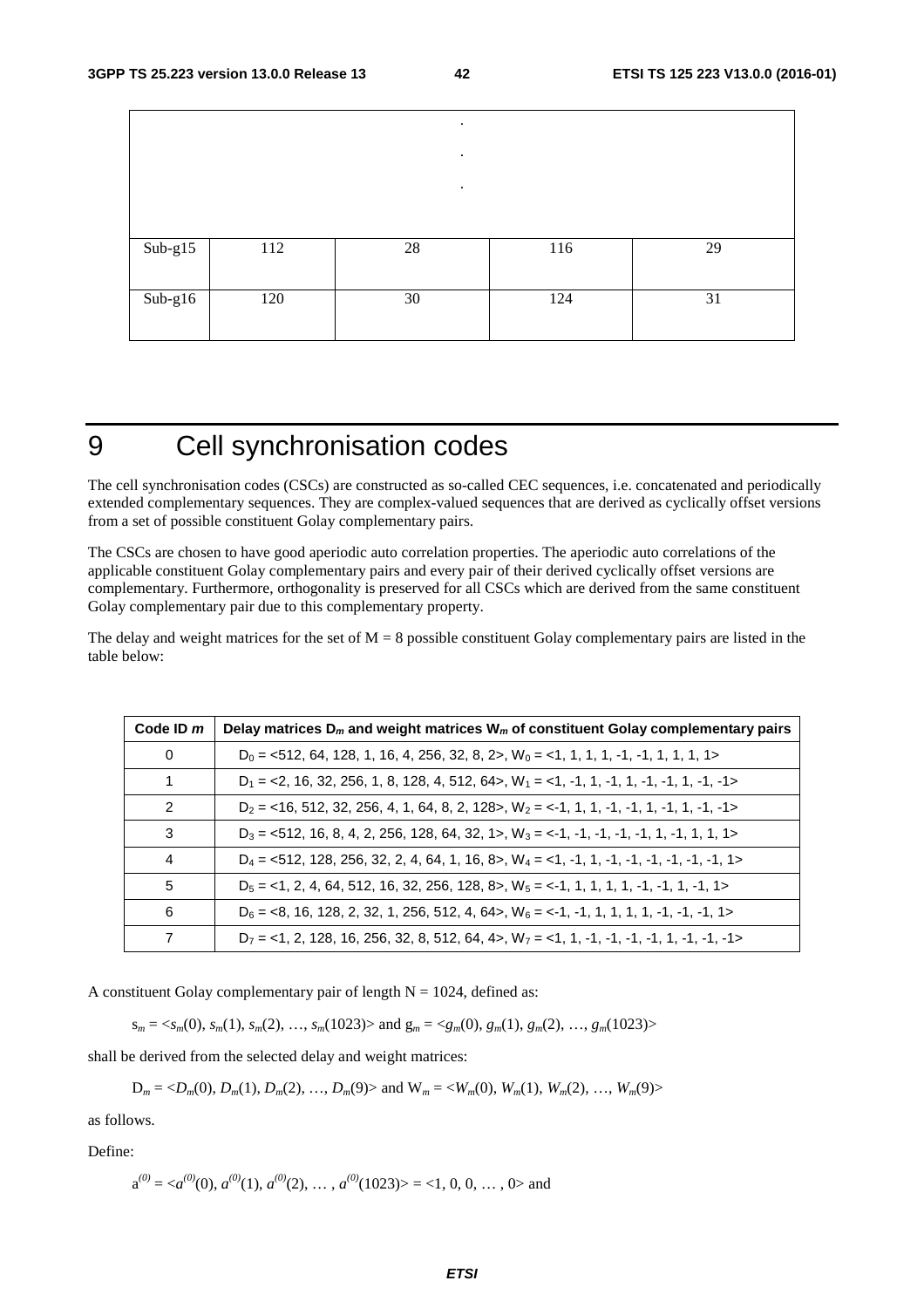|                             |     | $\ddot{\phantom{0}}$ |     |    |
|-----------------------------|-----|----------------------|-----|----|
|                             |     | $\bullet$            |     |    |
|                             |     | $\bullet$            |     |    |
|                             |     |                      |     |    |
| $Sub-g15$                   | 112 | 28                   | 116 | 29 |
|                             |     |                      |     |    |
| $\overline{\text{Sub-g16}}$ | 120 | 30                   | 124 | 31 |
|                             |     |                      |     |    |

# 9 Cell synchronisation codes

The cell synchronisation codes (CSCs) are constructed as so-called CEC sequences, i.e. concatenated and periodically extended complementary sequences. They are complex-valued sequences that are derived as cyclically offset versions from a set of possible constituent Golay complementary pairs.

The CSCs are chosen to have good aperiodic auto correlation properties. The aperiodic auto correlations of the applicable constituent Golay complementary pairs and every pair of their derived cyclically offset versions are complementary. Furthermore, orthogonality is preserved for all CSCs which are derived from the same constituent Golay complementary pair due to this complementary property.

The delay and weight matrices for the set of  $M = 8$  possible constituent Golay complementary pairs are listed in the table below:

| Code ID $m$    | Delay matrices $D_m$ and weight matrices $W_m$ of constituent Golay complementary pairs                  |
|----------------|----------------------------------------------------------------------------------------------------------|
| $\Omega$       | $D_0 = 512$ , 64, 128, 1, 16, 4, 256, 32, 8, 2>, W <sub>0</sub> = <1, 1, 1, 1, -1, -1, 1, 1, 1, 1        |
| $\mathbf{1}$   | $D_1 = 2, 16, 32, 256, 1, 8, 128, 4, 512, 64$ , $W_1 = 1, -1, 1, -1, 1, -1, -1, 1, -1, -1$               |
| $\mathcal{P}$  | $D_2 =$ <16, 512, 32, 256, 4, 1, 64, 8, 2, 128>, $W_2 =$ <-1, 1, 1, -1, -1, 1, -1, 1, -1, -1>            |
| 3              | $D_3 = 512, 16, 8, 4, 2, 256, 128, 64, 32, 1>$ , $W_3 = -1, -1, -1, -1, -1, 1, -1, 1, 1, 1>$             |
| $\overline{4}$ | $D_4 = 512$ , 128, 256, 32, 2, 4, 64, 1, 16, 8>, $W_4 = 1, -1, -1, -1, -1, -1, -1, -1, -1, -1, -1$       |
| 5              | $D_5 = 1$ , 2, 4, 64, 512, 16, 32, 256, 128, 8>, $W_5 = 1$ , 1, 1, 1, 1, 1, -1, -1, 1, -1, -1, 1>        |
| 6              | $D_6 = 8, 16, 128, 2, 32, 1, 256, 512, 4, 64$ , $W_6 = 1, -1, 1, 1, 1, 1, -1, -1, -1, 1$                 |
| 7              | $D_7 =$ <1, 2, 128, 16, 256, 32, 8, 512, 64, 4>, W <sub>7</sub> = <1, 1, -1, -1, -1, -1, -1, -1, -1, -1> |

A constituent Golay complementary pair of length  $N = 1024$ , defined as:

 $s_m = \langle s_m(0), s_m(1), s_m(2), \dots, s_m(1023) \rangle$  and  $g_m = \langle g_m(0), g_m(1), g_m(2), \dots, g_m(1023) \rangle$ 

shall be derived from the selected delay and weight matrices:

 $D_m = \langle D_m(0), D_m(1), D_m(2), \dots, D_m(9) \rangle$  and  $W_m = \langle W_m(0), W_m(1), W_m(2), \dots, W_m(9) \rangle$ 

as follows.

Define:

 $a^{(0)} = \langle a^{(0)}(0), a^{(0)}(1), a^{(0)}(2), \dots, a^{(0)}(1023) \rangle = \langle 1, 0, 0, \dots, 0 \rangle$  and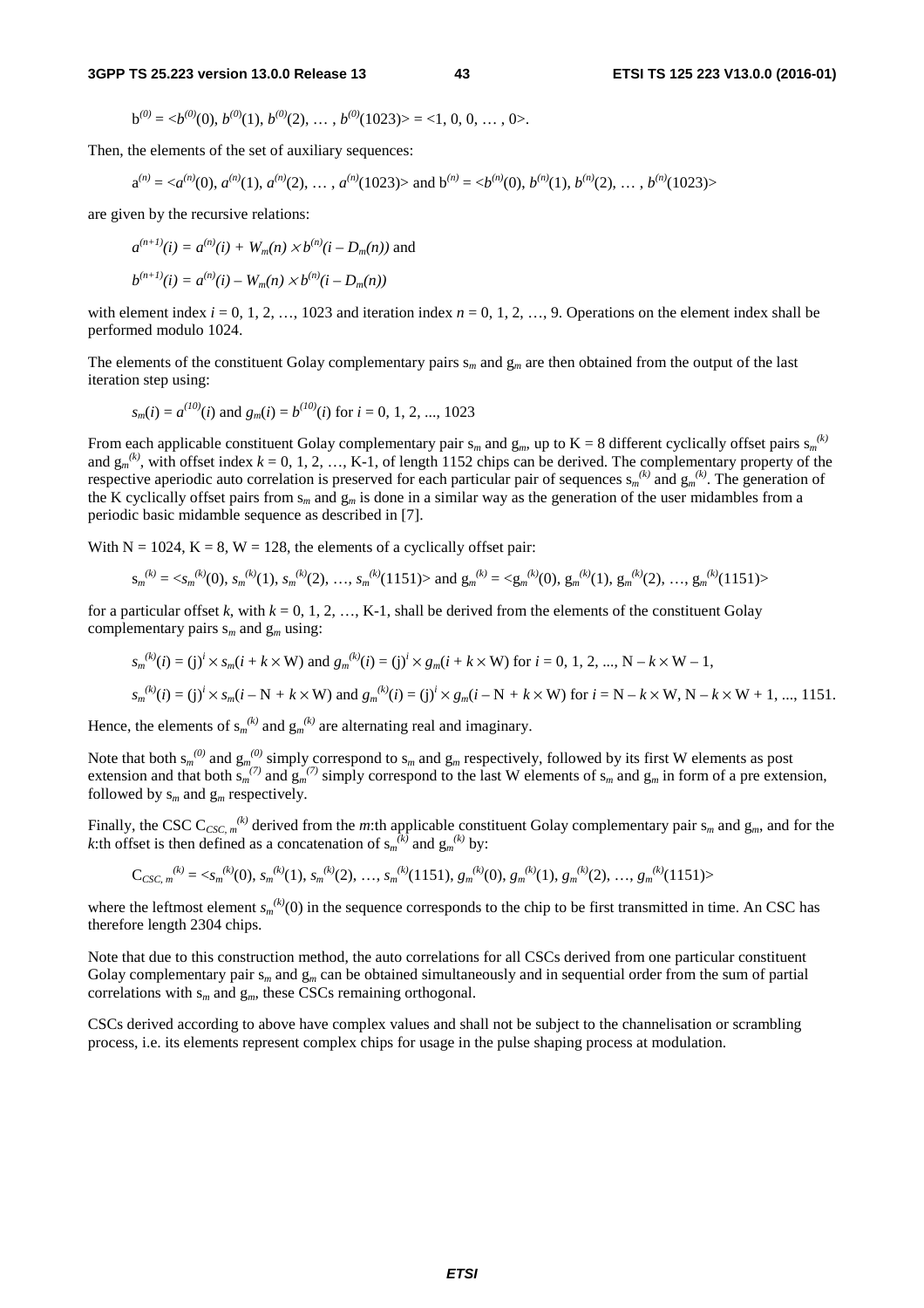$$
b^{(0)} = \langle b^{(0)}(0), b^{(0)}(1), b^{(0)}(2), \ldots, b^{(0)}(1023) \rangle = \langle 1, 0, 0, \ldots, 0 \rangle.
$$

Then, the elements of the set of auxiliary sequences:

$$
a^{(n)} = \langle a^{(n)}(0), a^{(n)}(1), a^{(n)}(2), \dots, a^{(n)}(1023) \rangle \text{ and } b^{(n)} = \langle b^{(n)}(0), b^{(n)}(1), b^{(n)}(2), \dots, b^{(n)}(1023) \rangle
$$

are given by the recursive relations:

$$
a^{(n+1)}(i) = a^{(n)}(i) + W_m(n) \times b^{(n)}(i - D_m(n))
$$
 and  

$$
b^{(n+1)}(i) = a^{(n)}(i) - W_m(n) \times b^{(n)}(i - D_m(n))
$$

with element index  $i = 0, 1, 2, \ldots, 1023$  and iteration index  $n = 0, 1, 2, \ldots, 9$ . Operations on the element index shall be performed modulo 1024.

The elements of the constituent Golay complementary pairs s*m* and g*m* are then obtained from the output of the last iteration step using:

$$
s_m(i) = a^{(10)}(i)
$$
 and  $g_m(i) = b^{(10)}(i)$  for  $i = 0, 1, 2, ..., 1023$ 

From each applicable constituent Golay complementary pair  $s_m$  and  $g_m$ , up to  $K = 8$  different cyclically offset pairs  $s_m^{(k)}$ and  $g_m^{(k)}$ , with offset index  $k = 0, 1, 2, ..., K-1$ , of length 1152 chips can be derived. The complementary property of the respective aperiodic auto correlation is preserved for each particular pair of sequences  $s_m^{(k)}$  and  $g_m^{(k)}$ . The generation of the K cyclically offset pairs from  $s_m$  and  $g_m$  is done in a similar way as the generation of the user midambles from a periodic basic midamble sequence as described in [7].

With  $N = 1024$ ,  $K = 8$ ,  $W = 128$ , the elements of a cyclically offset pair:

$$
s_m^{(k)} = \langle s_m^{(k)}(0), s_m^{(k)}(1), s_m^{(k)}(2), \dots, s_m^{(k)}(1151) \rangle \text{ and } g_m^{(k)} = \langle g_m^{(k)}(0), g_m^{(k)}(1), g_m^{(k)}(2), \dots, g_m^{(k)}(1151) \rangle
$$

for a particular offset k, with  $k = 0, 1, 2, ..., K-1$ , shall be derived from the elements of the constituent Golay complementary pairs s*m* and g*m* using:

$$
s_m^{(k)}(i) = (j)^i \times s_m(i + k \times W)
$$
 and  $g_m^{(k)}(i) = (j)^i \times g_m(i + k \times W)$  for  $i = 0, 1, 2, ..., N - k \times W - 1$ ,

$$
s_m^{(k)}(i) = (j)^i \times s_m(i - N + k \times W)
$$
 and 
$$
g_m^{(k)}(i) = (j)^i \times g_m(i - N + k \times W)
$$
 for  $i = N - k \times W$ ,  $N - k \times W + 1$ , ..., 1151.

Hence, the elements of  $s_m^{(k)}$  and  $g_m^{(k)}$  are alternating real and imaginary.

Note that both  $s_m^{(0)}$  and  $g_m^{(0)}$  simply correspond to  $s_m$  and  $g_m$  respectively, followed by its first W elements as post extension and that both  $\sin^{(7)}$  and  $\sin^{(7)}$  simply correspond to the last W elements of  $s_m$  and  $g_m$  in form of a pre extension, followed by  $s_m$  and  $g_m$  respectively.

Finally, the CSC  $C_{CSC, m}^{(k)}$  derived from the *m*:th applicable constituent Golay complementary pair  $s_m$  and  $g_m$ , and for the *k*:th offset is then defined as a concatenation of  $s_m^{(k)}$  and  $g_m^{(k)}$  by:

$$
C_{CSC, m}^{(k)} = \langle s_m^{(k)}(0), s_m^{(k)}(1), s_m^{(k)}(2), \dots, s_m^{(k)}(1151), g_m^{(k)}(0), g_m^{(k)}(1), g_m^{(k)}(2), \dots, g_m^{(k)}(1151) \rangle
$$

where the leftmost element  $s_m^{(k)}(0)$  in the sequence corresponds to the chip to be first transmitted in time. An CSC has therefore length 2304 chips.

Note that due to this construction method, the auto correlations for all CSCs derived from one particular constituent Golay complementary pair  $s_m$  and  $g_m$  can be obtained simultaneously and in sequential order from the sum of partial correlations with s*m* and g*m*, these CSCs remaining orthogonal.

CSCs derived according to above have complex values and shall not be subject to the channelisation or scrambling process, i.e. its elements represent complex chips for usage in the pulse shaping process at modulation.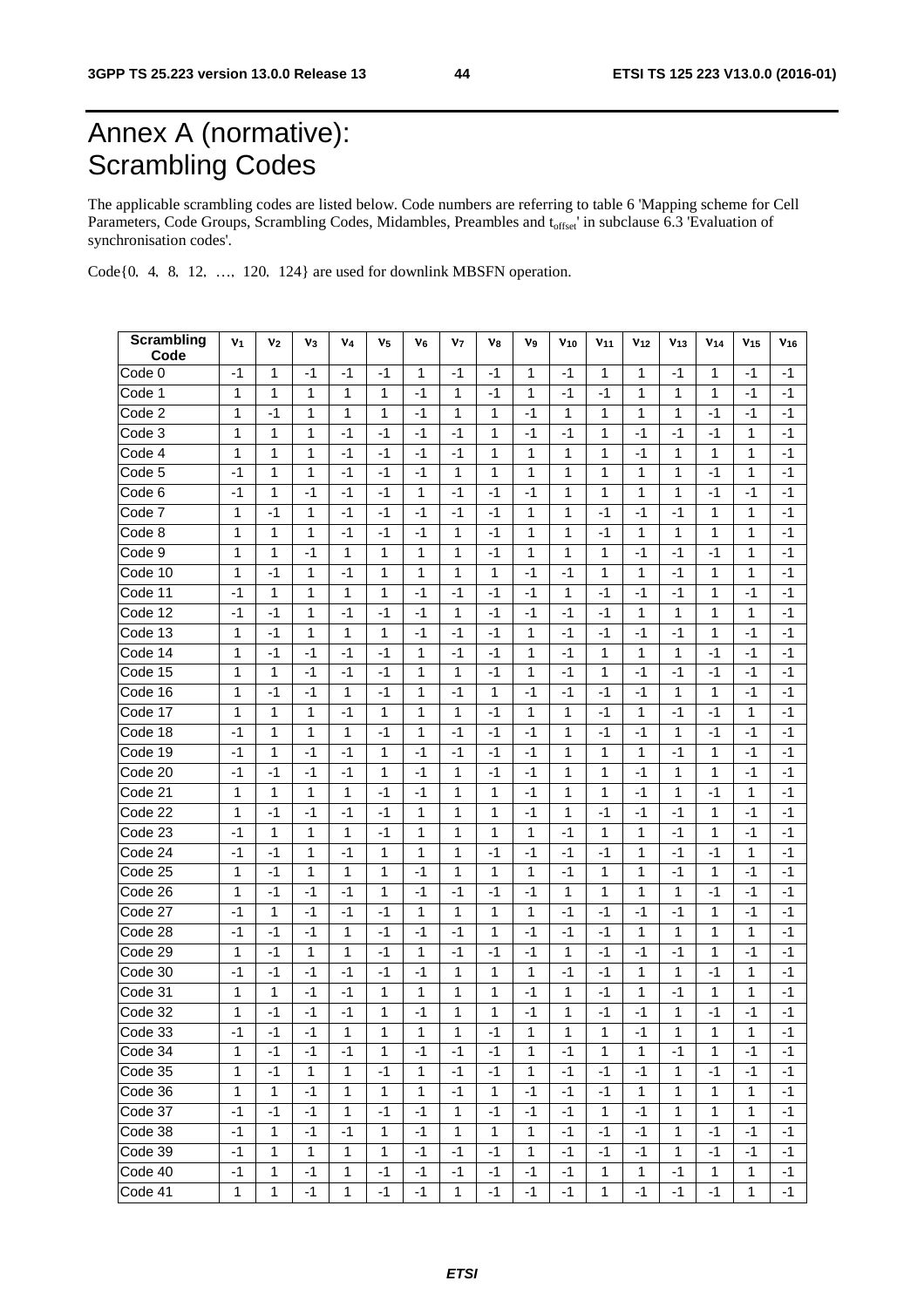# Annex A (normative): Scrambling Codes

The applicable scrambling codes are listed below. Code numbers are referring to table 6 'Mapping scheme for Cell Parameters, Code Groups, Scrambling Codes, Midambles, Preambles and t<sub>offset</sub>' in subclause 6.3 'Evaluation of synchronisation codes'.

Code $\{0, 4, 8, 12, ..., 120, 124\}$  are used for downlink MBSFN operation.

| Scrambling<br>Code | V <sub>1</sub> | V2           | $v_3$ | V4           | V <sub>5</sub> | V6   | v <sub>7</sub> | V8           | V9           | $V_{10}$ | $V_{11}$     | V <sub>12</sub> | V <sub>13</sub> | V <sub>14</sub> | V <sub>15</sub> | $V_{16}$ |
|--------------------|----------------|--------------|-------|--------------|----------------|------|----------------|--------------|--------------|----------|--------------|-----------------|-----------------|-----------------|-----------------|----------|
| Code 0             | -1             | 1            | -1    | -1           | -1             | 1    | -1             | -1           | 1            | -1       | 1            | 1               | -1              | 1               | $-1$            | $-1$     |
| Code 1             | 1              | 1            | 1     | 1            | 1              | -1   | 1              | $-1$         | 1            | -1       | -1           | 1               | 1               | 1               | $-1$            | $-1$     |
| Code 2             | 1              | $-1$         | 1     | 1            | 1              | -1   | 1              | 1            | -1           | 1        | 1            | 1               | 1               | -1              | -1              | $-1$     |
| Code 3             | 1              | 1            | 1     | $-1$         | $-1$           | $-1$ | -1             | 1            | -1           | -1       | 1            | -1              | -1              | -1              | 1               | $-1$     |
| Code 4             | 1              | 1            | 1     | -1           | -1             | -1   | -1             | 1            | 1            | 1        | 1            | -1              | 1               | 1               | 1               | -1       |
| Code 5             | -1             | 1            | 1     | -1           | -1             | -1   | 1              | 1            | 1            | 1        | 1            | 1               | 1               | -1              | 1               | -1       |
| Code 6             | $-1$           | 1            | $-1$  | $-1$         | -1             | 1    | -1             | $-1$         | -1           | 1        | $\mathbf{1}$ | 1               | 1               | -1              | $-1$            | -1       |
| Code 7             | 1              | -1           | 1     | -1           | -1             | -1   | -1             | -1           | 1            | 1        | -1           | -1              | -1              | 1               | 1               | -1       |
| Code 8             | 1              | 1            | 1     | -1           | -1             | -1   | 1              | -1           | 1            | 1        | -1           | 1               | 1               | 1               | 1               | -1       |
| Code 9             | 1              | 1            | -1    | 1            | 1              | 1    | 1              | -1           | 1            | 1        | 1            | -1              | -1              | -1              | 1               | -1       |
| Code 10            | 1              | $-1$         | 1     | -1           | 1              | 1    | 1              | 1            | $-1$         | $-1$     | 1            | 1               | $-1$            | 1               | 1               | -1       |
| Code 11            | -1             | 1            | 1     | 1            | 1              | -1   | -1             | -1           | -1           | 1        | -1           | -1              | -1              | 1               | -1              | -1       |
| Code 12            | -1             | $-1$         | 1     | -1           | -1             | -1   | 1              | $-1$         | -1           | -1       | -1           | 1               | 1               | 1               | 1               | -1       |
| Code 13            | 1              | $-1$         | 1     | 1            | 1              | -1   | -1             | $-1$         | 1            | -1       | -1           | -1              | -1              | 1               | $-1$            | -1       |
| Code 14            | 1              | -1           | -1    | -1           | -1             | 1    | -1             | $-1$         | 1            | $-1$     | 1            | 1               | 1               | -1              | $-1$            | -1       |
| Code 15            | 1              | 1            | $-1$  | $-1$         | $-1$           | 1    | 1              | $-1$         | 1            | $-1$     | 1            | -1              | $-1$            | -1              | $-1$            | $-1$     |
| Code 16            | 1              | $-1$         | -1    | 1            | -1             | 1    | -1             | 1            | -1           | -1       | -1           | -1              | 1               | 1               | -1              | -1       |
| Code 17            | 1              | 1            | 1     | $-1$         | 1              | 1    | 1              | $-1$         | 1            | 1        | -1           | 1               | $-1$            | -1              | 1               | -1       |
| Code 18            | $-1$           | 1            | 1     | 1            | -1             | 1    | -1             | -1           | $-1$         | 1        | -1           | -1              | 1               | -1              | -1              | -1       |
| Code 19            | $-1$           | 1            | $-1$  | $-1$         | 1              | $-1$ | $-1$           | $-1$         | $-1$         | 1        | 1            | 1               | $-1$            | 1               | -1              | -1       |
| Code 20            | $-1$           | $-1$         | $-1$  | $-1$         | 1              | $-1$ | 1              | $-1$         | -1           | 1        | $\mathbf{1}$ | -1              | 1               | 1               | $-1$            | -1       |
| Code 21            | 1              | 1            | 1     | 1            | -1             | -1   | 1              | 1            | -1           | 1        | 1            | -1              | 1               | -1              | 1               | -1       |
| Code 22            | 1              | $-1$         | -1    | $-1$         | -1             | 1    | 1              | 1            | $-1$         | 1        | $-1$         | $-1$            | $-1$            | 1               | -1              | -1       |
| Code 23            | $-1$           | 1            | 1     | 1            | -1             | 1    | 1              | 1            | 1            | -1       | 1            | 1               | -1              | 1               | -1              | -1       |
| Code 24            | -1             | $-1$         | 1     | -1           | 1              | 1    | 1              | -1           | $-1$         | $-1$     | -1           | 1               | -1              | -1              | 1               | -1       |
| Code 25            | 1              | -1           | 1     | 1            | 1              | -1   | 1              | 1            | 1            | -1       | 1            | 1               | -1              | 1               | -1              | -1       |
| Code 26            | 1              | $-1$         | $-1$  | $-1$         | 1              | $-1$ | $-1$           | $-1$         | $-1$         | 1        | 1            | 1               | 1               | $-1$            | -1              | -1       |
| Code 27            | $-1$           | 1            | $-1$  | $-1$         | -1             | 1    | 1              | 1            | 1            | -1       | -1           | -1              | -1              | 1               | -1              | -1       |
| Code 28            | -1             | -1           | -1    | 1            | -1             | -1   | -1             | 1            | -1           | $-1$     | -1           | 1               | 1               | 1               | 1               | -1       |
| Code 29            | 1              | -1           | 1     | 1            | $-1$           | 1    | -1             | -1           | $-1$         | 1        | -1           | -1              | -1              | 1               | -1              | -1       |
| Code 30            | -1             | -1           | -1    | -1           | -1             | -1   | 1              | 1            | 1            | -1       | -1           | 1               | 1               | -1              | 1               | -1       |
| Code 31            | 1              | 1            | -1    | -1           | 1              | 1    | 1              | 1            | -1           | 1        | -1           | 1               | -1              | 1               | 1               | -1       |
| Code 32            | 1              | $-1$         | $-1$  | -1           | 1              | $-1$ | 1              | 1            | -1           | 1        | $-1$         | -1              | 1               | -1              | -1              | -1       |
| Code 33            | -1             | -1           | -1    | 1            | 1              | 1    | 1              | -1           | 1            | 1        | 1            | -1              | 1               | 1               | 1               | -1       |
| Code 34            | $\mathbf{1}$   | $-1$         | $-1$  | $-1$         | $\mathbf{1}$   | $-1$ | $-1$           | $-1$         | $\mathbf{1}$ | $-1$     | $\mathbf{1}$ | $\mathbf{1}$    | $-1$            | 1               | $-1$            | $-1$     |
| Code 35            | 1              | $-1$         | 1     | 1            | -1             | 1    | $-1$           | $-1$         | 1            | $-1$     | $-1$         | $-1$            | 1               | $-1$            | $-1$            | -1       |
| Code 36            | 1              | $\mathbf{1}$ | $-1$  | 1            | 1              | 1    | $-1$           | 1            | $-1$         | $-1$     | $-1$         | 1               | 1               | 1               | 1               | $-1$     |
| Code 37            | $-1$           | $-1$         | -1    | 1            | $-1$           | $-1$ | 1              | $-1$         | $-1$         | $-1$     | $\mathbf{1}$ | -1              | 1               | 1               | 1               | $-1$     |
| Code 38            | $-1$           | $\mathbf{1}$ | $-1$  | $-1$         | 1              | $-1$ | 1              | $\mathbf{1}$ | $\mathbf{1}$ | $-1$     | $-1$         | $-1$            | 1               | $-1$            | $-1$            | $-1$     |
| Code 39            | $-1$           | 1            | 1     | 1            | 1              | $-1$ | $-1$           | $-1$         | 1            | $-1$     | $-1$         | -1              | 1               | -1              | $-1$            | $-1$     |
| Code 40            | $-1$           | $\mathbf{1}$ | $-1$  | 1            | $-1$           | $-1$ | $-1$           | $-1$         | $-1$         | $-1$     | $\mathbf{1}$ | $\mathbf{1}$    | $-1$            | $\mathbf{1}$    | $\mathbf{1}$    | $-1$     |
| Code 41            | $\mathbf{1}$   | $\mathbf{1}$ | $-1$  | $\mathbf{1}$ | $-1$           | $-1$ | 1              | $-1$         | $-1$         | $-1$     | $\mathbf{1}$ | $-1$            | $-1$            | $-1$            | $\mathbf{1}$    | $-1$     |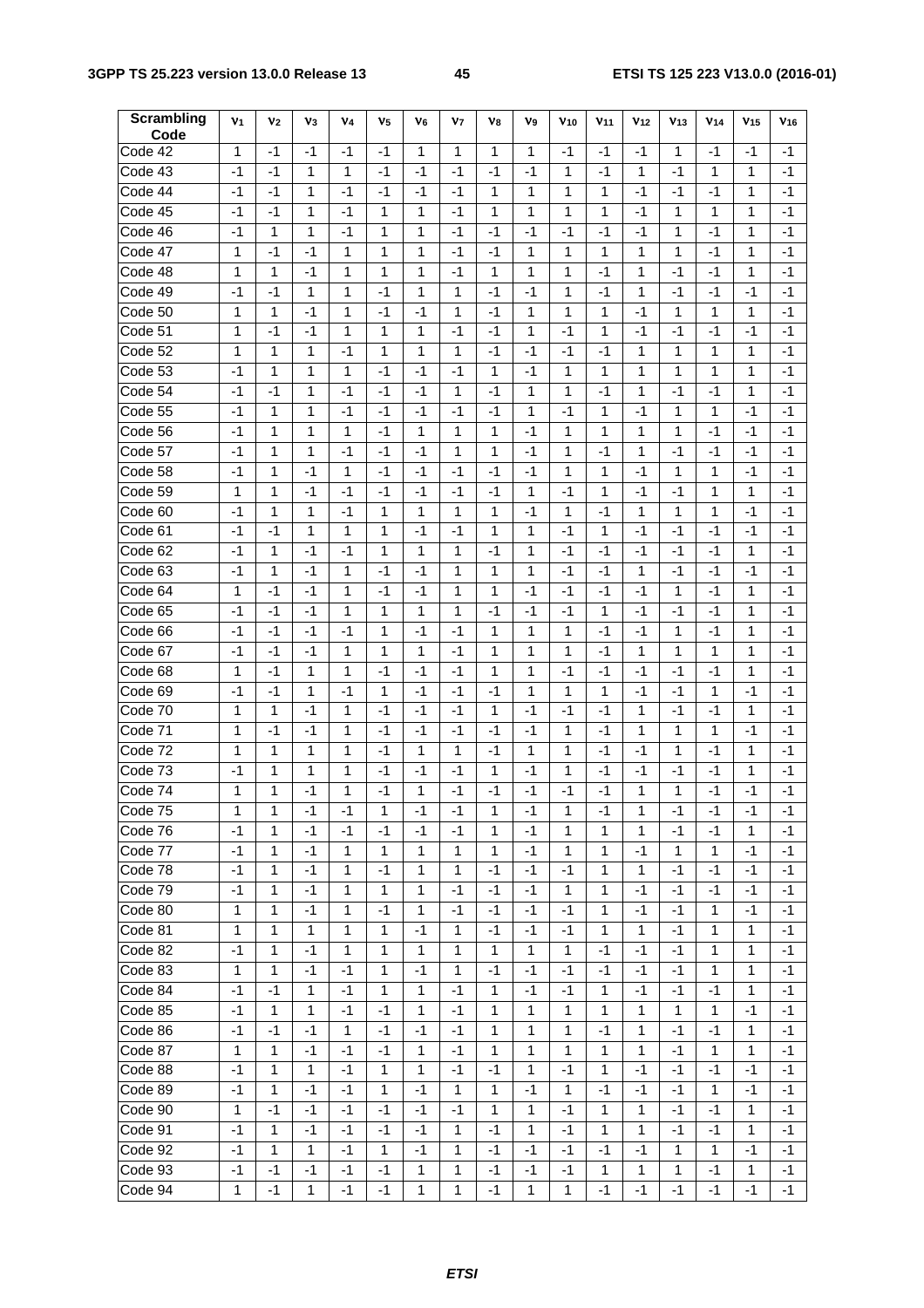| Scrambling<br>Code   | V <sub>1</sub> | V <sub>2</sub> | $\mathsf{v}_3$ | V <sub>4</sub> | V <sub>5</sub> | V6           | V7           | V8   | V9           | $V_{10}$     | V <sub>11</sub> | V <sub>12</sub> | V <sub>13</sub> | V <sub>14</sub> | V <sub>15</sub> | V <sub>16</sub> |
|----------------------|----------------|----------------|----------------|----------------|----------------|--------------|--------------|------|--------------|--------------|-----------------|-----------------|-----------------|-----------------|-----------------|-----------------|
| Code 42              | 1              | $-1$           | $-1$           | -1             | -1             | 1            | 1            | 1    | 1            | $-1$         | -1              | -1              | 1               | $-1$            | $-1$            | -1              |
| Code 43              | $-1$           | $-1$           | 1              | 1              | $-1$           | $-1$         | $-1$         | $-1$ | -1           | 1            | $-1$            | $\mathbf{1}$    | $-1$            | 1               | 1               | $-1$            |
| Code 44              | -1             | -1             | 1              | $-1$           | -1             | $-1$         | -1           | 1    | 1            | 1            | 1               | $-1$            | -1              | -1              | 1               | -1              |
| Code 45              | -1             | $-1$           | 1              | $-1$           | 1              | 1            | $-1$         | 1    | 1            | 1            | 1               | -1              | 1               | 1               | 1               | $-1$            |
| Code 46              | -1             | 1              | 1              | -1             | 1              | 1            | -1           | -1   | -1           | -1           | -1              | -1              | 1               | -1              | 1               | -1              |
| Code 47              | 1              | -1             | -1             | 1              | 1              | 1            | -1           | -1   | 1            | 1            | 1               | 1               | 1               | -1              | 1               | -1              |
| Code 48              | 1              | 1              | -1             | 1              | 1              | 1            | -1           | 1    | 1            | 1            | -1              | 1               | -1              | -1              | 1               | -1              |
| Code 49              | -1             | -1             | 1              | 1              | -1             | 1            | 1            | -1   | -1           | 1            | -1              | 1               | $-1$            | $-1$            | -1              | -1              |
| Code 50              | 1              | 1              | $-1$           | 1              | $-1$           | $-1$         | 1            | $-1$ | 1            | 1            | $\mathbf{1}$    | -1              | 1               | 1               | 1               | $-1$            |
| Code 51              | 1              | -1             | $-1$           | 1              | 1              | 1            | -1           | -1   | 1            | $-1$         | 1               | $-1$            | -1              | -1              | -1              | -1              |
| Code 52              | 1              | 1              | 1              | $-1$           | 1              | 1            | 1            | $-1$ | $-1$         | $-1$         | $-1$            | 1               | 1               | 1               | 1               | $-1$            |
| Code 53              | -1             | 1              | 1              | 1              | -1             | -1           | -1           | 1    | -1           | 1            | 1               | 1               | 1               | 1               | 1               | -1              |
| Code 54              | -1             | -1             | 1              | -1             | -1             | -1           | 1            | -1   | 1            | 1            | -1              | 1               | -1              | -1              | 1               | -1              |
| Code 55              | -1             | 1              | 1              | -1             | -1             | -1           | $-1$         | $-1$ | 1            | -1           | 1               | -1              | 1               | 1               | -1              | -1              |
| Code 56              | -1             | 1              | 1              | 1              | -1             | 1            | 1            | 1    | -1           | 1            | 1               | 1               | 1               | -1              | $-1$            | -1              |
| Code 57              | -1             | 1              | 1              | $-1$           | $-1$           | $-1$         | 1            | 1    | $-1$         | 1            | -1              | 1               | -1              | -1              | $-1$            | $-1$            |
| Code 58              | -1             | 1              | $-1$           | 1              | $-1$           | $-1$         | -1           | -1   | -1           | 1            | 1               | $-1$            | 1               | 1               | -1              | -1              |
| Code 59              | 1              | 1              | $-1$           | $-1$           | $-1$           | $-1$         | $-1$         | -1   | 1            | $-1$         | 1               | -1              | -1              | 1               | 1               | $-1$            |
| Code 60              | -1             | 1              | 1              | $-1$           | 1              | 1            | 1            | 1    | -1           | 1            | -1              | 1               | 1               | 1               | -1              | -1              |
| Code 61              | -1             | -1             | 1              | 1              | 1              | -1           | -1           | 1    | 1            | -1           | 1               | -1              | -1              | -1              | -1              | -1              |
| Code 62              | -1             | 1              | -1             | -1             | 1              | 1            | 1            | $-1$ | 1            | -1           | -1              | -1              | -1              | $-1$            | 1               | -1              |
| Code 63              | -1             | 1              | $-1$           | 1              | -1             | -1           | 1            | 1    | 1            | $-1$         | -1              | 1               | -1              | -1              | -1              | -1              |
| Code 64              | 1              | $-1$           | $-1$           | 1              | $-1$           | $-1$         | 1            | 1    | $-1$         | $-1$         | -1              | -1              | $\mathbf{1}$    | $-1$            | 1               | $-1$            |
| Code 65              | -1             | -1             | $-1$           | 1              | 1              | 1            | 1            | -1   | $-1$         | $-1$         | 1               | $-1$            | -1              | -1              | 1               | -1              |
| Code 66              | -1             | -1             | $-1$           | -1             | 1              | -1           | -1           | 1    | 1            | 1            | -1              | -1              | 1               | $-1$            | 1               | -1              |
| Code 67              | -1             | -1             | -1             | 1              | 1              | 1            | -1           | 1    | 1            | 1            | -1              | 1               | 1               | 1               | 1               | -1              |
| Code 68              | 1              | -1             | 1              | 1              | -1             | -1           | -1           | 1    | 1            | $-1$         | -1              | -1              | -1              | -1              | 1               | -1              |
| Code 69              | -1             | -1             | 1              | -1             | 1              | -1           | $-1$         | $-1$ | 1            | 1            | 1               | -1              | -1              | 1               | -1              | -1              |
| Code 70              | 1              | 1              | -1             | 1              | -1             | -1           | -1           | 1    | -1           | $-1$         | $-1$            | 1               | -1              | -1              | 1               | -1              |
| Code 71              | 1              | $-1$           | -1             | 1              | $-1$           | -1           | -1           | -1   | -1           | 1            | -1              | 1               | 1               | 1               | -1              | $-1$            |
| Code 72              | 1              | 1              | 1              | 1              | $-1$           | 1            | 1            | $-1$ | 1            | 1            | $-1$            | $-1$            | 1               | -1              | 1               | -1              |
| Code 73              | -1             | 1              | 1              | 1              | $-1$           | -1           | -1           | 1    | $-1$         | 1            | $-1$            | -1              | -1              | -1              | 1               | $-1$            |
| Code $\overline{74}$ | 1              | 1              | $-1$           | 1              | $-1$           | 1            | -1           | -1   | -1           | -1           | $-1$            | 1               | 1               | -1              | $-1$            | -1              |
| Code 75              | 1              | 1              | -1             | -1             | 1              | -1           | -1           | 1    | -1           | 1            | -1              | 1               | -1              | -1              | -1              | -1              |
| Code 76              | -1             | 1              | -1             | $-1$           | -1             | $-1$         | -1           | 1    | -1           | 1            | $\mathbf{1}$    | 1               | $-1$            | -1              | 1               | $-1$            |
| Code 77              | -1             | 1              | -1             | $\mathbf{1}$   | $\mathbf{1}$   | $\mathbf{1}$ | 1            | 1    | $-1$         | 1            | 1               | $-1$            | 1               | $\mathbf{1}$    | $-1$            | -1              |
| Code $\overline{78}$ | -1             | 1              | $-1$           | 1              | $-1$           | 1            | $\mathbf{1}$ | -1   | $-1$         | $-1$         | $\mathbf{1}$    | $\mathbf{1}$    | $-1$            | $-1$            | $-1$            | -1              |
| Code 79              | -1             | 1              | -1             | 1              | 1              | 1            | -1           | -1   | $-1$         | $\mathbf{1}$ | 1               | -1              | -1              | $-1$            | $-1$            | -1              |
| Code 80              | 1              | 1              | $-1$           | 1              | $-1$           | 1            | -1           | $-1$ | $-1$         | $-1$         | $\mathbf{1}$    | -1              | $-1$            | $\mathbf{1}$    | $-1$            | $-1$            |
| Code 81              | 1              | 1              | 1              | 1              | 1              | -1           | 1            | $-1$ | $-1$         | $-1$         | 1               | 1               | -1              | 1               | 1               | $-1$            |
| Code 82              | $-1$           | 1              | $-1$           | 1              | 1              | 1            | 1            | 1    | $\mathbf{1}$ | 1            | $-1$            | $-1$            | $-1$            | 1               | 1               | $-1$            |
| Code 83              | 1              | 1              | $-1$           | $-1$           | 1              | $-1$         | 1            | $-1$ | $-1$         | $-1$         | $-1$            | $-1$            | -1              | 1               | 1               | $-1$            |
| Code 84              | -1             | -1             | 1              | $-1$           | 1              | 1            | -1           | 1    | -1           | $-1$         | $\mathbf{1}$    | -1              | -1              | -1              | $\mathbf{1}$    | -1              |
| Code 85              | -1             | 1              | 1              | $-1$           | $-1$           | 1            | $-1$         | 1    | 1            | $\mathbf{1}$ | $\mathbf{1}$    | 1               | $\mathbf{1}$    | $\mathbf{1}$    | $-1$            | -1              |
| Code 86              | -1             | -1             | -1             | 1              | -1             | -1           | -1           | 1    | 1            | 1            | $-1$            | $\mathbf{1}$    | -1              | -1              | 1               | -1              |
| Code 87              | 1              | 1              | $-1$           | $-1$           | -1             | 1            | -1           | 1    | $\mathbf{1}$ | $\mathbf{1}$ | $\mathbf{1}$    | 1               | -1              | $\mathbf{1}$    | $\mathbf{1}$    | -1              |
| Code 88              | -1             | 1              | 1              | $-1$           | 1              | 1            | $-1$         | -1   | 1            | $-1$         | 1               | -1              | -1              | $-1$            | -1              | -1              |
| Code 89              | $-1$           | 1              | $-1$           | $-1$           | 1              | -1           | 1            | 1    | $-1$         | 1            | $-1$            | $-1$            | -1              | 1               | $-1$            | -1              |
| Code 90              | 1              | -1             | -1             | -1             | -1             | -1           | $-1$         | 1    | 1            | $-1$         | 1               | 1               | $-1$            | -1              | 1               | -1              |
| Code 91              | -1             | 1              | -1             | $-1$           | -1             | $-1$         | $\mathbf{1}$ | $-1$ | 1            | $-1$         | 1               | 1               | $-1$            | $-1$            | $\mathbf{1}$    | -1              |
| Code 92              | -1             | 1              | 1              | $-1$           | 1              | -1           | 1            | $-1$ | $-1$         | $-1$         | $-1$            | -1              | $\mathbf{1}$    | $\mathbf{1}$    | $-1$            | -1              |
| Code 93              | -1             | -1             | -1             | -1             | -1             | 1            | 1            | -1   | $-1$         | $-1$         | $\mathbf{1}$    | 1               | $\mathbf{1}$    | $-1$            | 1               | -1              |
| Code 94              | 1              | $-1$           | $\mathbf{1}$   | $-1$           | $-1$           | $\mathbf{1}$ | 1            | $-1$ | 1            | $\mathbf{1}$ | $-1$            | $-1$            | $-1$            | $-1$            | $-1$            | -1              |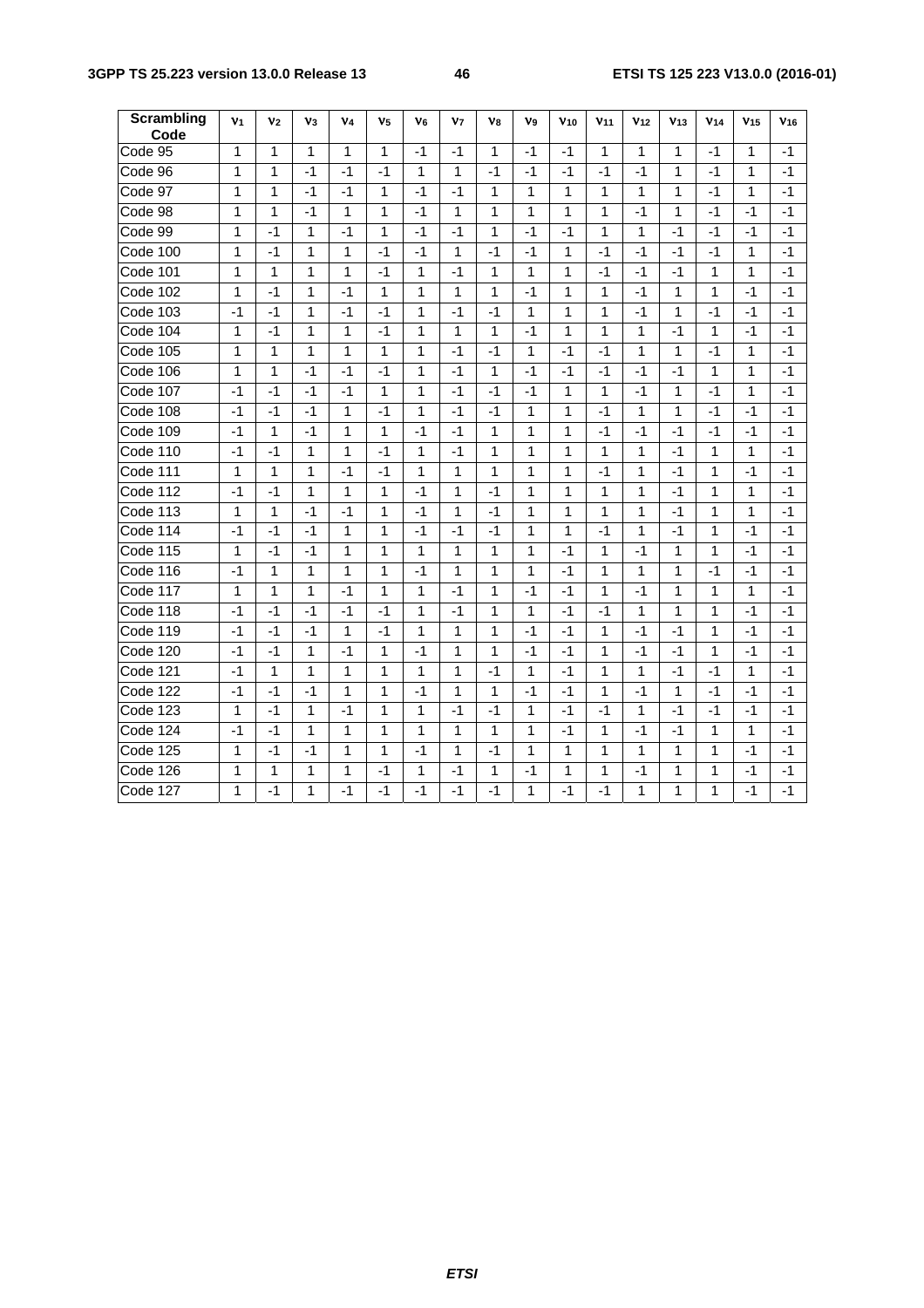| <b>Scrambling</b><br>Code | V <sub>1</sub> | V <sub>2</sub> | V <sub>3</sub> | V4           | V <sub>5</sub> | V <sub>6</sub> | V <sub>7</sub> | V <sub>8</sub> | V <sub>9</sub> | V <sub>10</sub> | V <sub>11</sub> | V <sub>12</sub> | V <sub>13</sub> | V <sub>14</sub> | V <sub>15</sub> | V <sub>16</sub> |
|---------------------------|----------------|----------------|----------------|--------------|----------------|----------------|----------------|----------------|----------------|-----------------|-----------------|-----------------|-----------------|-----------------|-----------------|-----------------|
| Code 95                   | 1              | 1              | 1              | 1            | 1              | -1             | -1             | 1              | -1             | -1              | 1               | 1               | 1               | -1              | 1               | -1              |
| Code 96                   | 1              | 1              | $-1$           | $-1$         | $-1$           | $\mathbf{1}$   | 1              | $-1$           | $-1$           | $-1$            | $-1$            | $-1$            | $\mathbf{1}$    | $-1$            | 1               | $-1$            |
| Code 97                   | 1              | 1              | $-1$           | -1           | 1              | -1             | -1             | 1              | 1              | 1               | 1               | 1               | 1               | -1              | 1               | -1              |
| Code 98                   | 1              | 1              | $-1$           | 1            | 1              | $-1$           | 1              | 1              | 1              | 1               | 1               | $-1$            | $\mathbf{1}$    | $-1$            | $-1$            | $-1$            |
| Code 99                   | 1              | $-1$           | 1              | -1           | 1              | -1             | -1             | 1              | -1             | -1              | 1               | 1               | $-1$            | -1              | -1              | -1              |
| Code 100                  | 1              | $-1$           | 1              | 1            | -1             | $-1$           | 1              | -1             | $-1$           | 1               | $-1$            | $-1$            | $-1$            | -1              | 1               | -1              |
| Code 101                  | 1              | $\mathbf{1}$   | 1              | $\mathbf{1}$ | $-1$           | $\mathbf{1}$   | $-1$           | $\mathbf{1}$   | 1              | 1               | $-1$            | $-1$            | $-1$            | $\mathbf{1}$    | 1               | $-1$            |
| Code 102                  | 1              | $-1$           | 1              | $-1$         | $\mathbf{1}$   | $\mathbf{1}$   | 1              | $\mathbf{1}$   | $-1$           | 1               | $\mathbf{1}$    | $-1$            | $\mathbf{1}$    | $\mathbf{1}$    | $-1$            | $-1$            |
| Code 103                  | $-1$           | $-1$           | 1              | $-1$         | $-1$           | 1              | $-1$           | $-1$           | 1              | 1               | 1               | $-1$            | $\mathbf{1}$    | $-1$            | -1              | -1              |
| Code 104                  | 1              | $-1$           | 1              | 1            | -1             | 1              | 1              | 1              | $-1$           | 1               | 1               | $\mathbf{1}$    | $-1$            | 1               | -1              | $-1$            |
| Code 105                  | 1              | 1              | 1              | 1            | 1              | 1              | -1             | -1             | 1              | -1              | -1              | $\mathbf 1$     | 1               | -1              | 1               | -1              |
| Code 106                  | 1              | 1              | $-1$           | $-1$         | -1             | 1              | -1             | 1              | -1             | -1              | -1              | $-1$            | $-1$            | 1               | 1               | -1              |
| Code 107                  | $-1$           | $-1$           | $-1$           | $-1$         | $\mathbf{1}$   | 1              | -1             | $-1$           | $-1$           | 1               | 1               | $-1$            | 1               | -1              | 1               | -1              |
| Code 108                  | $-1$           | $-1$           | $-1$           | 1            | $-1$           | $\mathbf{1}$   | $-1$           | $-1$           | 1              | 1               | $-1$            | $\mathbf{1}$    | $\mathbf{1}$    | -1              | $-1$            | $-1$            |
| Code 109                  | -1             | 1              | $-1$           | 1            | 1              | $-1$           | $-1$           | 1              | 1              | 1               | $-1$            | $-1$            | $-1$            | $-1$            | -1              | -1              |
| Code 110                  | $-1$           | $-1$           | 1              | 1            | -1             | 1              | $-1$           | $\mathbf{1}$   | 1              | 1               | 1               | $\mathbf{1}$    | $-1$            | 1               | 1               | $-1$            |
| Code 111                  | 1              | $\mathbf{1}$   | 1              | $-1$         | $-1$           | 1              | 1              | 1              | 1              | 1               | $-1$            | $\mathbf 1$     | $-1$            | 1               | $-1$            | $-1$            |
| Code 112                  | $-1$           | $-1$           | 1              | 1            | 1              | $-1$           | 1              | $-1$           | 1              | 1               | 1               | 1               | $-1$            | 1               | 1               | $-1$            |
| Code 113                  | $\mathbf{1}$   | 1              | $-1$           | $-1$         | 1              | $-1$           | 1              | $-1$           | 1              | 1               | $\mathbf 1$     | 1               | $-1$            | $\mathbf{1}$    | 1               | -1              |
| Code 114                  | $-1$           | $-1$           | $-1$           | $\mathbf{1}$ | 1              | $-1$           | $-1$           | $-1$           | 1              | 1               | $-1$            | $\mathbf{1}$    | $-1$            | $\mathbf{1}$    | $-1$            | $-1$            |
| Code 115                  | 1              | $-1$           | $-1$           | 1            | 1              | 1              | 1              | 1              | 1              | $-1$            | 1               | $-1$            | $\mathbf{1}$    | 1               | $-1$            | $-1$            |
| Code 116                  | $-1$           | 1              | 1              | 1            | 1              | -1             | 1              | 1              | 1              | $-1$            | 1               | 1               | 1               | -1              | -1              | -1              |
| Code 117                  | 1              | $\mathbf{1}$   | 1              | $-1$         | 1              | 1              | -1             | 1              | $-1$           | $-1$            | 1               | $-1$            | 1               | 1               | 1               | $-1$            |
| Code 118                  | $-1$           | $-1$           | $-1$           | $-1$         | $-1$           | 1              | $-1$           | 1              | 1              | $-1$            | $-1$            | 1               | 1               | 1               | $-1$            | $-1$            |
| Code 119                  | $-1$           | $-1$           | $-1$           | $\mathbf{1}$ | $-1$           | $\mathbf{1}$   | 1              | $\mathbf{1}$   | $-1$           | $-1$            | 1               | $-1$            | $-1$            | $\mathbf{1}$    | -1              | -1              |
| Code 120                  | $-1$           | $-1$           | $\mathbf{1}$   | $-1$         | $\mathbf{1}$   | $-1$           | 1              | $\mathbf{1}$   | $-1$           | $-1$            | $\mathbf{1}$    | $-1$            | $-1$            | $\mathbf{1}$    | $-1$            | $-1$            |
| Code 121                  | $-1$           | 1              | 1              | 1            | 1              | 1              | 1              | $-1$           | 1              | $-1$            | 1               | $\mathbf{1}$    | $-1$            | $-1$            | 1               | $-1$            |
| Code 122                  | $-1$           | $-1$           | $-1$           | 1            | 1              | -1             | 1              | 1              | $-1$           | -1              | 1               | $-1$            | 1               | $-1$            | -1              | -1              |
| Code 123                  | 1              | -1             | 1              | -1           | 1              | 1              | -1             | -1             | 1              | -1              | -1              | 1               | $-1$            | -1              | -1              | -1              |
| Code 124                  | $-1$           | $-1$           | 1              | 1            | 1              | 1              | 1              | 1              | 1              | $-1$            | 1               | $-1$            | $-1$            | 1               | 1               | -1              |
| Code 125                  | 1              | $-1$           | $-1$           | 1            | 1              | $-1$           | 1              | $-1$           | 1              | 1               | 1               | $\mathbf{1}$    | $\mathbf{1}$    | 1               | -1              | -1              |
| Code 126                  | 1              | 1              | 1              | 1            | -1             | 1              | -1             | 1              | $-1$           | 1               | 1               | $-1$            | 1               | 1               | -1              | -1              |
| Code 127                  | 1              | $-1$           | 1              | $-1$         | $-1$           | $-1$           | $-1$           | $-1$           | 1              | $-1$            | $-1$            | 1               | 1               | 1               | -1              | -1              |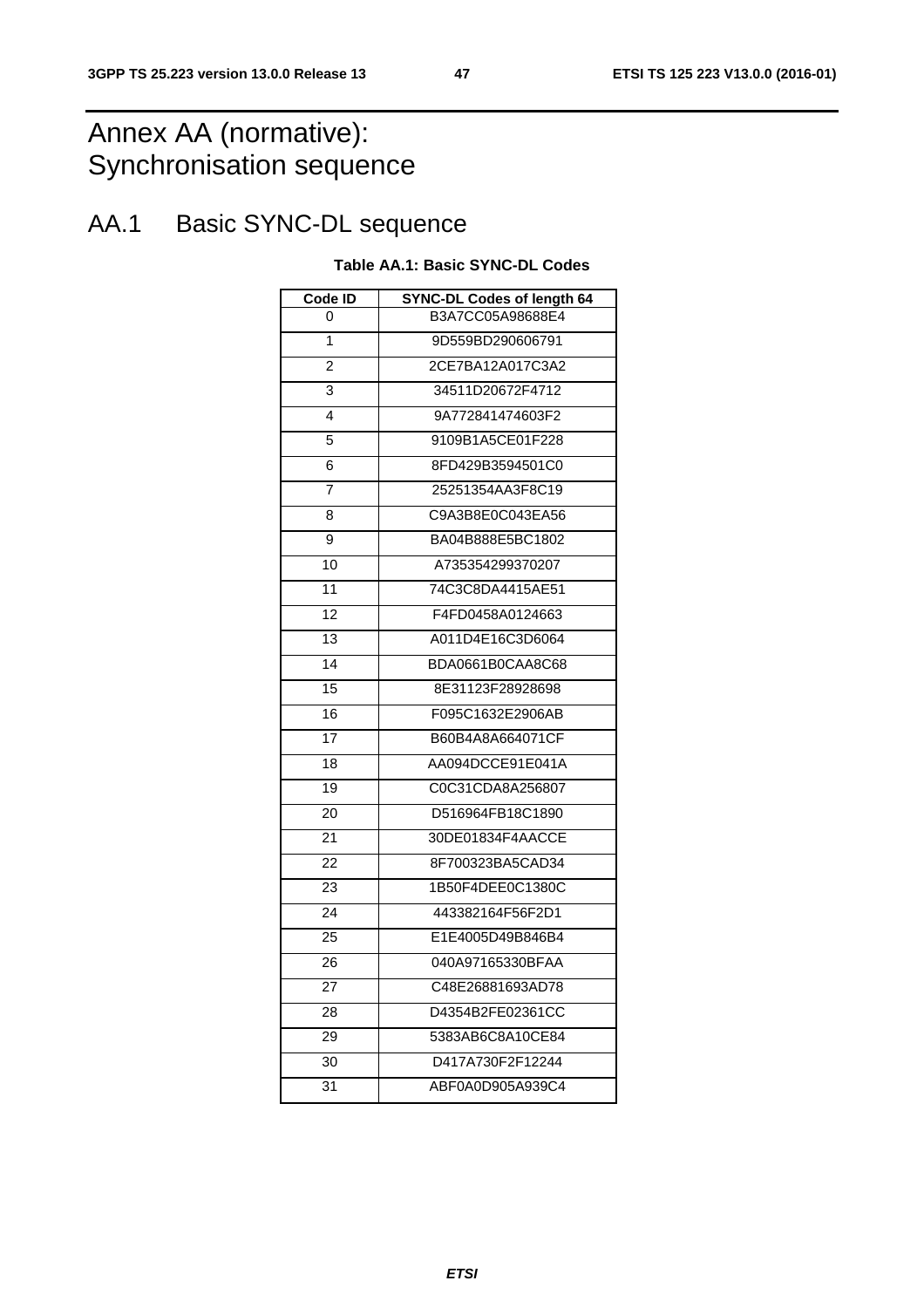# Annex AA (normative): Synchronisation sequence

# AA.1 Basic SYNC-DL sequence

#### **Table AA.1: Basic SYNC-DL Codes**

| Code ID | <b>SYNC-DL Codes of length 64</b> |
|---------|-----------------------------------|
| 0       | B3A7CC05A98688E4                  |
| 1       | 9D559BD290606791                  |
| 2       | 2CE7BA12A017C3A2                  |
| 3       | 34511D20672F4712                  |
| 4       | 9A772841474603F2                  |
| 5       | 9109B1A5CE01F228                  |
| 6       | 8FD429B3594501C0                  |
| 7       | 25251354AA3F8C19                  |
| 8       | C9A3B8E0C043EA56                  |
| 9       | BA04B888E5BC1802                  |
| 10      | A735354299370207                  |
| 11      | 74C3C8DA4415AE51                  |
| 12      | F4FD0458A0124663                  |
| 13      | A011D4E16C3D6064                  |
| 14      | BDA0661B0CAA8C68                  |
| 15      | 8E31123F28928698                  |
| 16      | F095C1632E2906AB                  |
| 17      | B60B4A8A664071CF                  |
| 18      | AA094DCCE91E041A                  |
| 19      | C0C31CDA8A256807                  |
| 20      | D516964FB18C1890                  |
| 21      | 30DE01834F4AACCE                  |
| 22      | 8F700323BA5CAD34                  |
| 23      | 1B50F4DEE0C1380C                  |
| 24      | 443382164F56F2D1                  |
| 25      | E1E4005D49B846B4                  |
| 26      | 040A97165330BFAA                  |
| 27      | C48E26881693AD78                  |
| 28      | D4354B2FE02361CC                  |
| 29      | 5383AB6C8A10CE84                  |
| 30      | D417A730F2F12244                  |
| 31      | ABF0A0D905A939C4                  |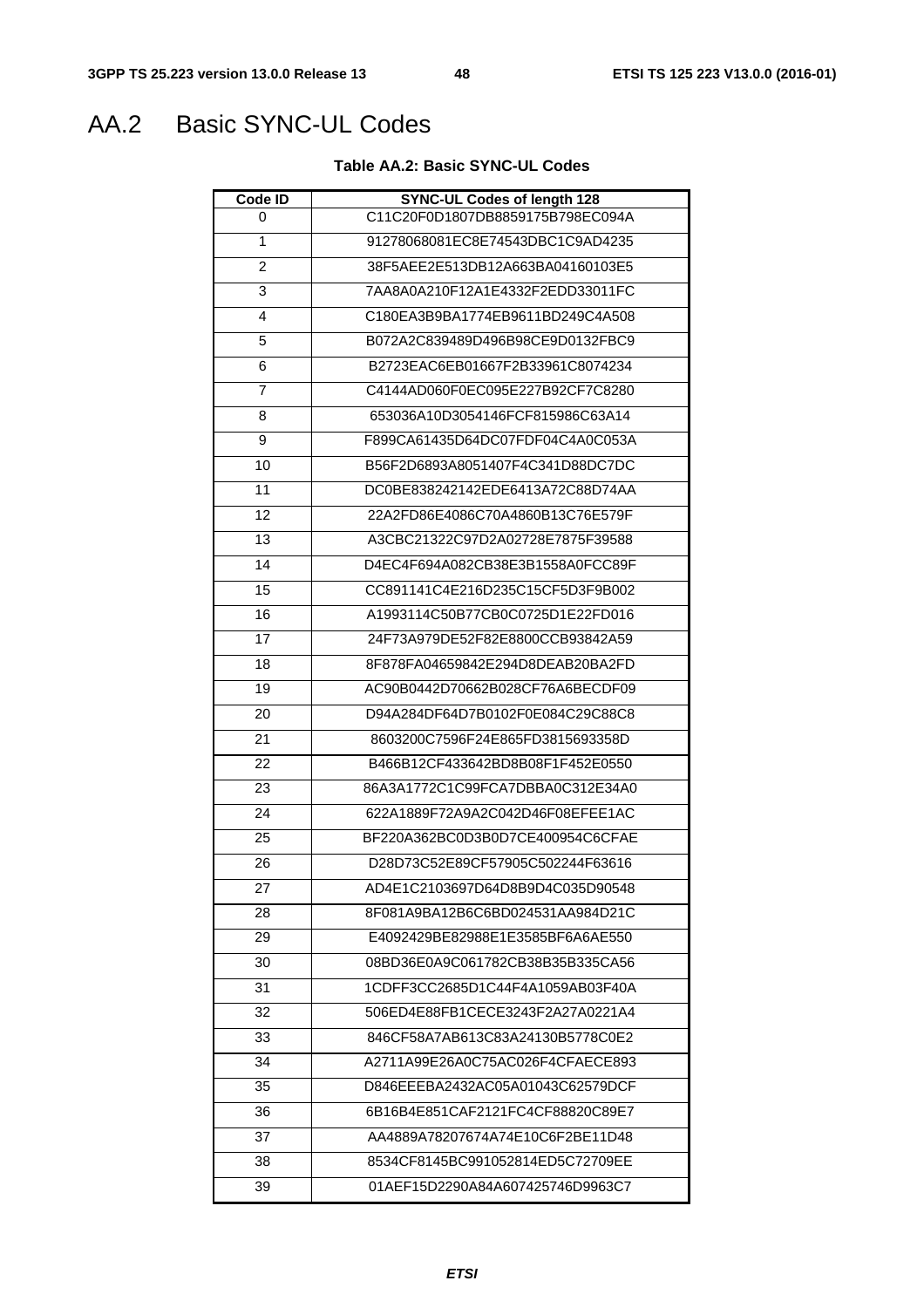# AA.2 Basic SYNC-UL Codes

### **Table AA.2: Basic SYNC-UL Codes**

| Code ID        | <b>SYNC-UL Codes of length 128</b> |
|----------------|------------------------------------|
| 0              | C11C20F0D1807DB8859175B798EC094A   |
| 1              | 91278068081EC8E74543DBC1C9AD4235   |
| $\overline{2}$ | 38F5AEE2E513DB12A663BA04160103E5   |
| 3              | 7AA8A0A210F12A1E4332F2EDD33011FC   |
| 4              | C180EA3B9BA1774EB9611BD249C4A508   |
| 5              | B072A2C839489D496B98CE9D0132FBC9   |
| 6              | B2723EAC6EB01667F2B33961C8074234   |
| 7              | C4144AD060F0EC095E227B92CF7C8280   |
| 8              | 653036A10D3054146FCF815986C63A14   |
| 9              | F899CA61435D64DC07FDF04C4A0C053A   |
| 10             | B56F2D6893A8051407F4C341D88DC7DC   |
| 11             | DC0BE838242142EDE6413A72C88D74AA   |
| 12             | 22A2ED86E4086C70A4860B13C76E579E   |
| 13             | A3CBC21322C97D2A02728E7875F39588   |
| 14             | D4EC4F694A082CB38E3B1558A0FCC89F   |
| 15             | CC891141C4E216D235C15CF5D3F9B002   |
| 16             | A1993114C50B77CB0C0725D1E22FD016   |
| 17             | 24F73A979DE52F82E8800CCB93842A59   |
| 18             | 8F878FA04659842E294D8DEAB20BA2FD   |
| 19             | AC90B0442D70662B028CF76A6BECDF09   |
| 20             | D94A284DF64D7B0102F0E084C29C88C8   |
| 21             | 8603200C7596F24E865FD3815693358D   |
| 22             | B466B12CF433642BD8B08F1F452E0550   |
| 23             | 86A3A1772C1C99FCA7DBBA0C312E34A0   |
| 24             | 622A1889F72A9A2C042D46F08EFEE1AC   |
| 25             | BF220A362BC0D3B0D7CE400954C6CFAE   |
| 26             | D28D73C52E89CF57905C502244F63616   |
| 27             | AD4E1C2103697D64D8B9D4C035D90548   |
| 28             | 8F081A9BA12B6C6BD024531AA984D21C   |
| 29             | E4092429BE82988E1E3585BF6A6AE550   |
| 30             | 08BD36E0A9C061782CB38B35B335CA56   |
| 31             | 1CDFF3CC2685D1C44F4A1059AB03F40A   |
| 32             | 506ED4E88FB1CECE3243F2A27A0221A4   |
| 33             | 846CF58A7AB613C83A24130B5778C0E2   |
| 34             | A2711A99E26A0C75AC026F4CFAECE893   |
| 35             | D846EEEBA2432AC05A01043C62579DCF   |
| 36             | 6B16B4E851CAF2121FC4CF88820C89E7   |
| 37             | AA4889A78207674A74E10C6F2BE11D48   |
| 38             | 8534CF8145BC991052814ED5C72709EE   |
| 39             | 01AEF15D2290A84A607425746D9963C7   |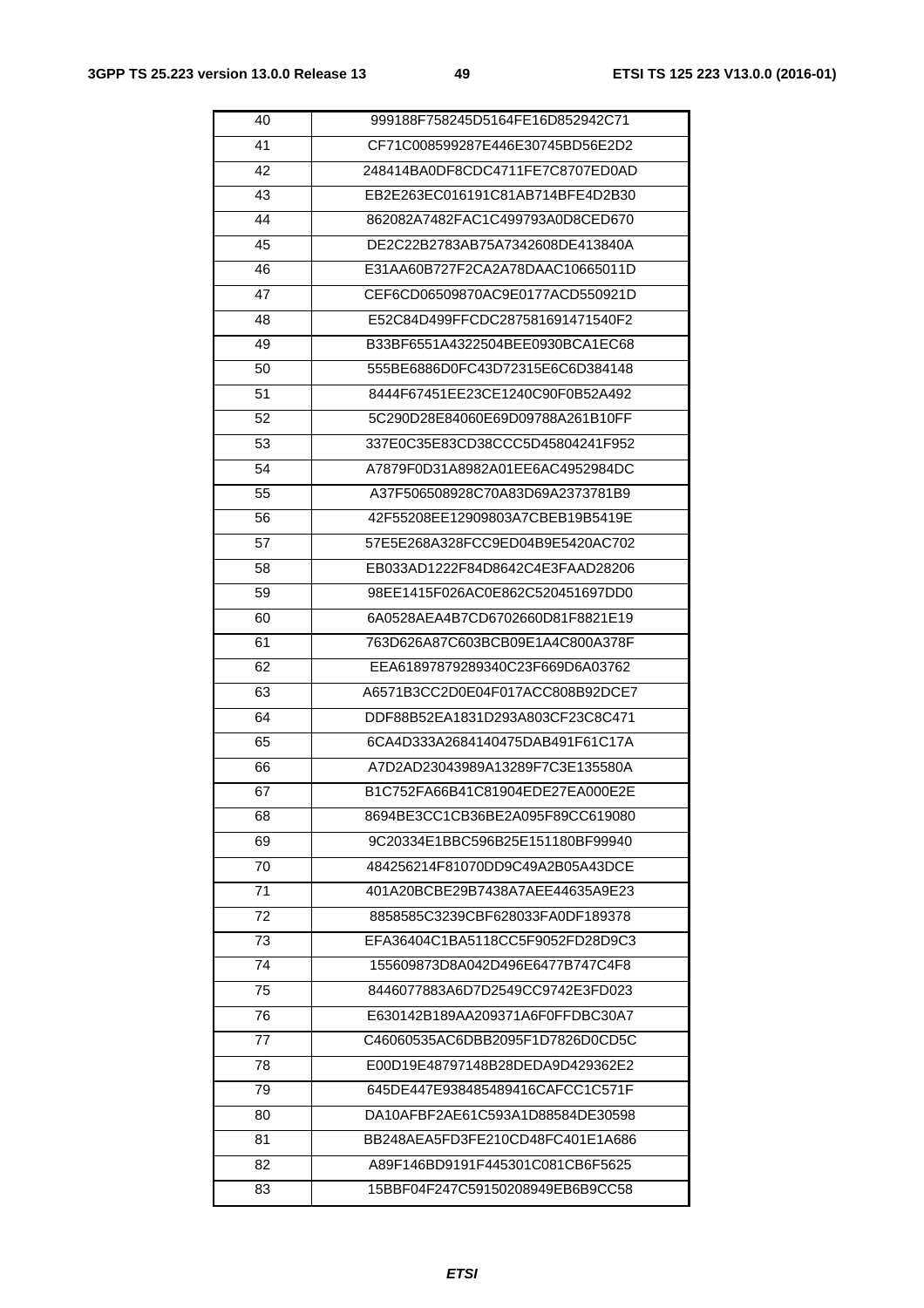| 40 | 999188F758245D5164FE16D852942C71 |
|----|----------------------------------|
| 41 | CF71C008599287E446E30745BD56E2D2 |
| 42 | 248414BA0DF8CDC4711FE7C8707ED0AD |
| 43 | EB2E263EC016191C81AB714BFE4D2B30 |
| 44 | 862082A7482FAC1C499793A0D8CED670 |
| 45 | DE2C22B2783AB75A7342608DE413840A |
| 46 | E31AA60B727F2CA2A78DAAC10665011D |
| 47 | CEF6CD06509870AC9E0177ACD550921D |
| 48 | E52C84D499FFCDC287581691471540F2 |
| 49 | B33BF6551A4322504BEE0930BCA1EC68 |
| 50 | 555BE6886D0FC43D72315E6C6D384148 |
| 51 | 8444F67451EE23CE1240C90F0B52A492 |
| 52 | 5C290D28E84060E69D09788A261B10FF |
| 53 | 337E0C35E83CD38CCC5D45804241F952 |
| 54 | A7879F0D31A8982A01EE6AC4952984DC |
| 55 | A37F506508928C70A83D69A2373781B9 |
| 56 | 42F55208EE12909803A7CBEB19B5419E |
| 57 | 57E5E268A328FCC9ED04B9E5420AC702 |
| 58 | EB033AD1222F84D8642C4E3FAAD28206 |
| 59 | 98EE1415F026AC0E862C520451697DD0 |
| 60 | 6A0528AEA4B7CD6702660D81F8821E19 |
| 61 | 763D626A87C603BCB09E1A4C800A378F |
| 62 | EEA61897879289340C23F669D6A03762 |
| 63 | A6571B3CC2D0E04F017ACC808B92DCE7 |
| 64 | DDF88B52EA1831D293A803CF23C8C471 |
| 65 | 6CA4D333A2684140475DAB491F61C17A |
| 66 | A7D2AD23043989A13289F7C3E135580A |
| 67 | B1C752FA66B41C81904EDE27EA000E2E |
| 68 | 8694BE3CC1CB36BE2A095F89CC619080 |
| 69 | 9C20334E1BBC596B25E151180BF99940 |
| 70 | 484256214F81070DD9C49A2B05A43DCE |
| 71 | 401A20BCBE29B7438A7AEE44635A9E23 |
| 72 | 8858585C3239CBF628033FA0DF189378 |
| 73 | EFA36404C1BA5118CC5F9052FD28D9C3 |
| 74 | 155609873D8A042D496E6477B747C4F8 |
| 75 | 8446077883A6D7D2549CC9742E3FD023 |
| 76 | E630142B189AA209371A6F0FFDBC30A7 |
| 77 | C46060535AC6DBB2095F1D7826D0CD5C |
| 78 | E00D19E48797148B28DEDA9D429362E2 |
| 79 | 645DE447E938485489416CAFCC1C571F |
| 80 | DA10AFBF2AE61C593A1D88584DE30598 |
| 81 | BB248AEA5FD3FE210CD48FC401E1A686 |
| 82 | A89F146BD9191F445301C081CB6F5625 |
| 83 | 15BBF04F247C59150208949EB6B9CC58 |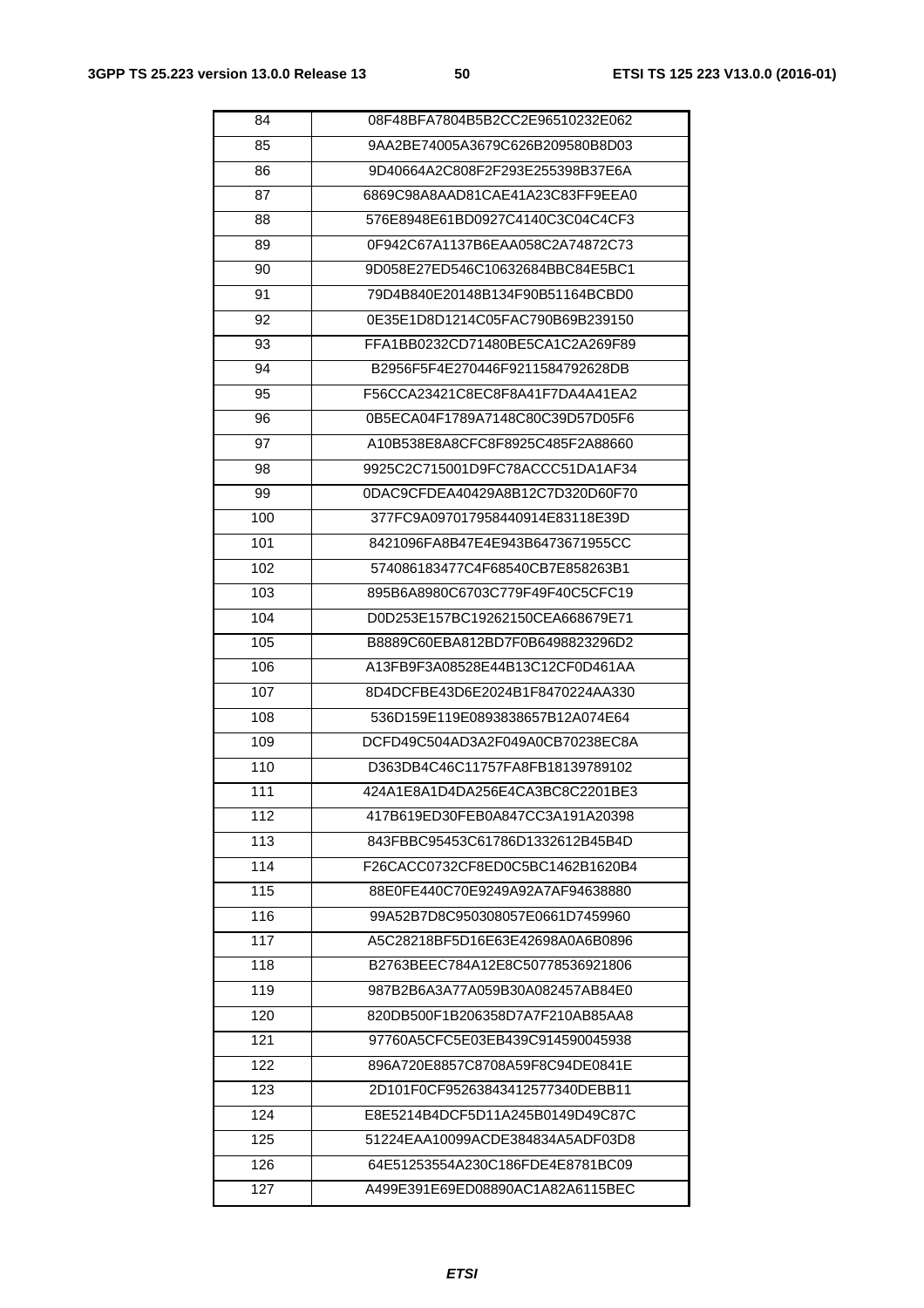| 84  | 08F48BFA7804B5B2CC2E96510232E062 |
|-----|----------------------------------|
| 85  | 9AA2BE74005A3679C626B209580B8D03 |
| 86  | 9D40664A2C808F2F293E255398B37E6A |
| 87  | 6869C98A8AAD81CAE41A23C83FF9EEA0 |
| 88  | 576E8948E61BD0927C4140C3C04C4CF3 |
| 89  | 0F942C67A1137B6EAA058C2A74872C73 |
| 90  | 9D058E27ED546C10632684BBC84E5BC1 |
| 91  | 79D4B840E20148B134F90B51164BCBD0 |
| 92  | 0E35E1D8D1214C05FAC790B69B239150 |
| 93  | FFA1BB0232CD71480BE5CA1C2A269F89 |
| 94  | B2956F5F4E270446F9211584792628DB |
| 95  | F56CCA23421C8EC8F8A41F7DA4A41EA2 |
| 96  | 0B5ECA04F1789A7148C80C39D57D05F6 |
| 97  | A10B538E8A8CFC8F8925C485F2A88660 |
| 98  | 9925C2C715001D9FC78ACCC51DA1AF34 |
| 99  | 0DAC9CFDEA40429A8B12C7D320D60F70 |
| 100 | 377FC9A097017958440914E83118E39D |
| 101 | 8421096FA8B47E4E943B6473671955CC |
| 102 | 574086183477C4F68540CB7E858263B1 |
| 103 | 895B6A8980C6703C779F49F40C5CFC19 |
| 104 | D0D253E157BC19262150CEA668679E71 |
| 105 | B8889C60EBA812BD7F0B6498823296D2 |
| 106 | A13FB9F3A08528E44B13C12CF0D461AA |
| 107 | 8D4DCFBE43D6E2024B1F8470224AA330 |
| 108 | 536D159E119E0893838657B12A074E64 |
| 109 | DCFD49C504AD3A2F049A0CB70238EC8A |
| 110 | D363DB4C46C11757FA8FB18139789102 |
| 111 | 424A1E8A1D4DA256E4CA3BC8C2201BE3 |
| 112 | 417B619ED30FEB0A847CC3A191A20398 |
| 113 | 843FBBC95453C61786D1332612B45B4D |
| 114 | F26CACC0732CF8ED0C5BC1462B1620B4 |
| 115 | 88E0FE440C70E9249A92A7AF94638880 |
| 116 | 99A52B7D8C950308057E0661D7459960 |
| 117 | A5C28218BF5D16E63E42698A0A6B0896 |
| 118 | B2763BEEC784A12E8C50778536921806 |
| 119 | 987B2B6A3A77A059B30A082457AB84E0 |
| 120 | 820DB500F1B206358D7A7F210AB85AA8 |
| 121 | 97760A5CFC5E03EB439C914590045938 |
| 122 | 896A720E8857C8708A59F8C94DE0841E |
| 123 | 2D101F0CF95263843412577340DEBB11 |
| 124 | E8E5214B4DCF5D11A245B0149D49C87C |
| 125 | 51224EAA10099ACDE384834A5ADF03D8 |
| 126 | 64E51253554A230C186FDE4E8781BC09 |
| 127 | A499E391E69ED08890AC1A82A6115BEC |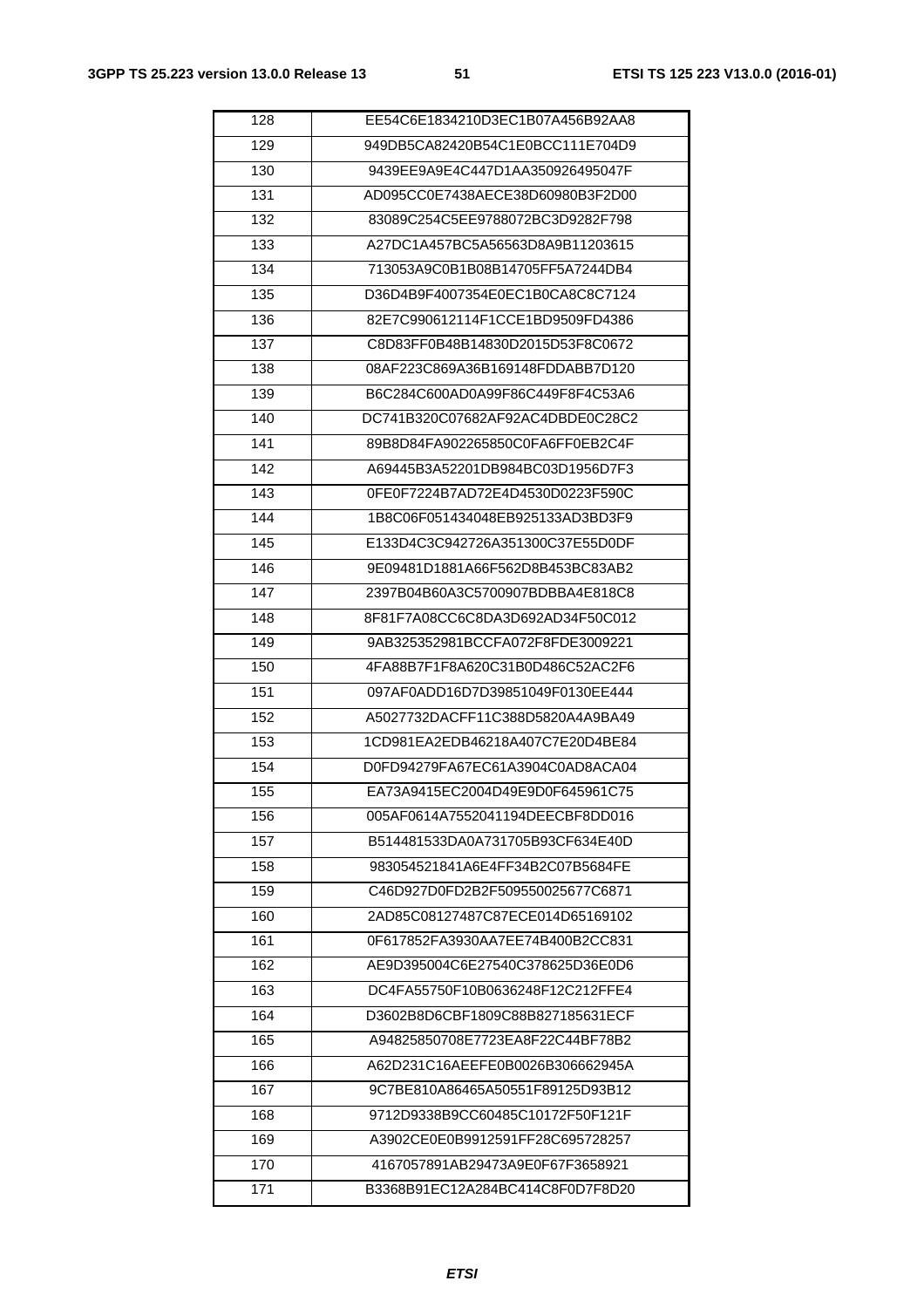| 128 | EE54C6E1834210D3EC1B07A456B92AA8 |
|-----|----------------------------------|
| 129 | 949DB5CA82420B54C1E0BCC111E704D9 |
| 130 | 9439EE9A9E4C447D1AA350926495047F |
| 131 | AD095CC0E7438AECE38D60980B3F2D00 |
| 132 | 83089C254C5EE9788072BC3D9282F798 |
| 133 | A27DC1A457BC5A56563D8A9B11203615 |
| 134 | 713053A9C0B1B08B14705FF5A7244DB4 |
| 135 | D36D4B9F4007354E0EC1B0CA8C8C7124 |
| 136 | 82E7C990612114F1CCE1BD9509FD4386 |
| 137 | C8D83FF0B48B14830D2015D53F8C0672 |
| 138 | 08AF223C869A36B169148FDDABB7D120 |
| 139 | B6C284C600AD0A99F86C449F8F4C53A6 |
| 140 | DC741B320C07682AF92AC4DBDE0C28C2 |
| 141 | 89B8D84FA902265850C0FA6FF0EB2C4F |
| 142 | A69445B3A52201DB984BC03D1956D7F3 |
| 143 | 0FE0F7224B7AD72E4D4530D0223F590C |
| 144 | 1B8C06F051434048EB925133AD3BD3F9 |
| 145 | E133D4C3C942726A351300C37E55D0DF |
| 146 | 9E09481D1881A66F562D8B453BC83AB2 |
| 147 | 2397B04B60A3C5700907BDBBA4E818C8 |
| 148 | 8F81F7A08CC6C8DA3D692AD34F50C012 |
| 149 | 9AB325352981BCCFA072F8FDE3009221 |
| 150 | 4FA88B7F1F8A620C31B0D486C52AC2F6 |
| 151 | 097AF0ADD16D7D39851049F0130EE444 |
| 152 | A5027732DACFF11C388D5820A4A9BA49 |
| 153 | 1CD981EA2EDB46218A407C7E20D4BE84 |
| 154 | D0FD94279FA67EC61A3904C0AD8ACA04 |
| 155 | EA73A9415EC2004D49E9D0F645961C75 |
| 156 | 005AF0614A7552041194DEECBF8DD016 |
| 157 | B514481533DA0A731705B93CF634E40D |
| 158 | 983054521841A6E4FF34B2C07B5684FE |
| 159 | C46D927D0FD2B2F509550025677C6871 |
| 160 | 2AD85C08127487C87ECE014D65169102 |
| 161 | 0F617852FA3930AA7EE74B400B2CC831 |
| 162 | AE9D395004C6E27540C378625D36E0D6 |
| 163 | DC4FA55750F10B0636248F12C212FFE4 |
| 164 | D3602B8D6CBF1809C88B827185631ECF |
| 165 | A94825850708E7723EA8F22C44BF78B2 |
| 166 | A62D231C16AEEFE0B0026B306662945A |
| 167 | 9C7BE810A86465A50551F89125D93B12 |
| 168 | 9712D9338B9CC60485C10172F50F121F |
| 169 | A3902CE0E0B9912591FF28C695728257 |
| 170 | 4167057891AB29473A9E0F67F3658921 |
| 171 | B3368B91EC12A284BC414C8F0D7F8D20 |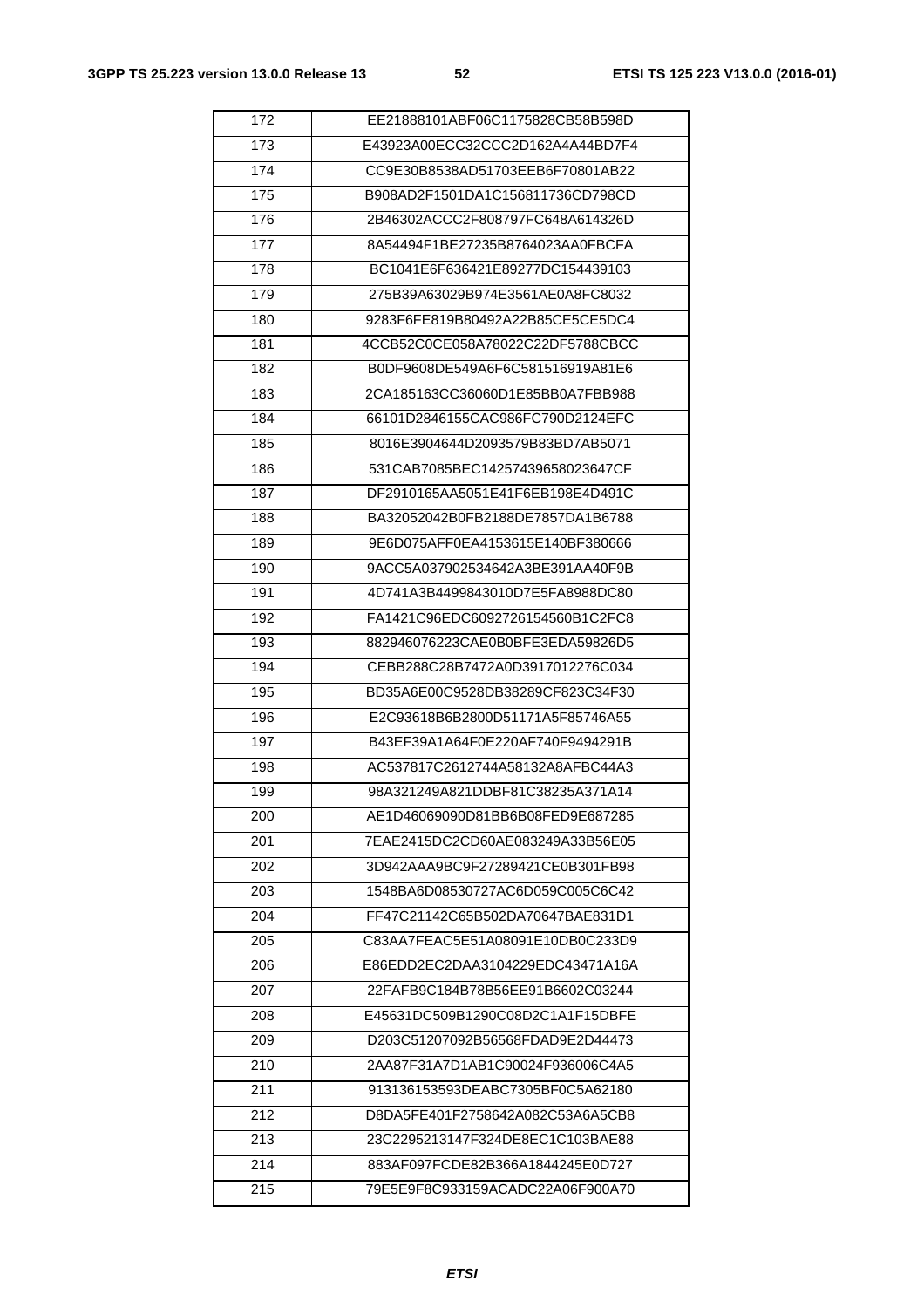| 172 | EE21888101ABF06C1175828CB58B598D |
|-----|----------------------------------|
| 173 | E43923A00ECC32CCC2D162A4A44BD7F4 |
| 174 | CC9E30B8538AD51703EEB6F70801AB22 |
| 175 | B908AD2F1501DA1C156811736CD798CD |
| 176 | 2B46302ACCC2F808797FC648A614326D |
| 177 | 8A54494F1BE27235B8764023AA0FBCFA |
| 178 | BC1041E6F636421E89277DC154439103 |
| 179 | 275B39A63029B974E3561AE0A8FC8032 |
| 180 | 9283F6FE819B80492A22B85CE5CE5DC4 |
| 181 | 4CCB52C0CE058A78022C22DF5788CBCC |
| 182 | B0DF9608DE549A6F6C581516919A81E6 |
| 183 | 2CA185163CC36060D1E85BB0A7FBB988 |
| 184 | 66101D2846155CAC986FC790D2124EFC |
| 185 | 8016E3904644D2093579B83BD7AB5071 |
| 186 | 531CAB7085BEC14257439658023647CF |
| 187 | DF2910165AA5051E41F6EB198E4D491C |
| 188 | BA32052042B0FB2188DE7857DA1B6788 |
| 189 | 9E6D075AFF0EA4153615E140BF380666 |
| 190 | 9ACC5A037902534642A3BE391AA40F9B |
| 191 | 4D741A3B4499843010D7E5FA8988DC80 |
| 192 | FA1421C96EDC6092726154560B1C2FC8 |
| 193 | 882946076223CAE0B0BFE3EDA59826D5 |
| 194 | CEBB288C28B7472A0D3917012276C034 |
| 195 | BD35A6E00C9528DB38289CF823C34F30 |
| 196 | E2C93618B6B2800D51171A5F85746A55 |
| 197 | B43EF39A1A64F0E220AF740F9494291B |
| 198 | AC537817C2612744A58132A8AFBC44A3 |
| 199 | 98A321249A821DDBF81C38235A371A14 |
| 200 | AE1D46069090D81BB6B08FED9E687285 |
| 201 | 7EAE2415DC2CD60AE083249A33B56E05 |
| 202 | 3D942AAA9BC9F27289421CE0B301FB98 |
| 203 | 1548BA6D08530727AC6D059C005C6C42 |
| 204 | FF47C21142C65B502DA70647BAE831D1 |
| 205 | C83AA7FEAC5E51A08091E10DB0C233D9 |
| 206 | E86EDD2EC2DAA3104229EDC43471A16A |
| 207 | 22FAFB9C184B78B56EE91B6602C03244 |
| 208 | E45631DC509B1290C08D2C1A1F15DBFE |
| 209 | D203C51207092B56568FDAD9E2D44473 |
| 210 | 2AA87F31A7D1AB1C90024F936006C4A5 |
| 211 | 913136153593DEABC7305BF0C5A62180 |
| 212 | D8DA5FE401F2758642A082C53A6A5CB8 |
| 213 | 23C2295213147F324DE8EC1C103BAE88 |
| 214 | 883AF097FCDE82B366A1844245E0D727 |
| 215 | 79E5E9F8C933159ACADC22A06F900A70 |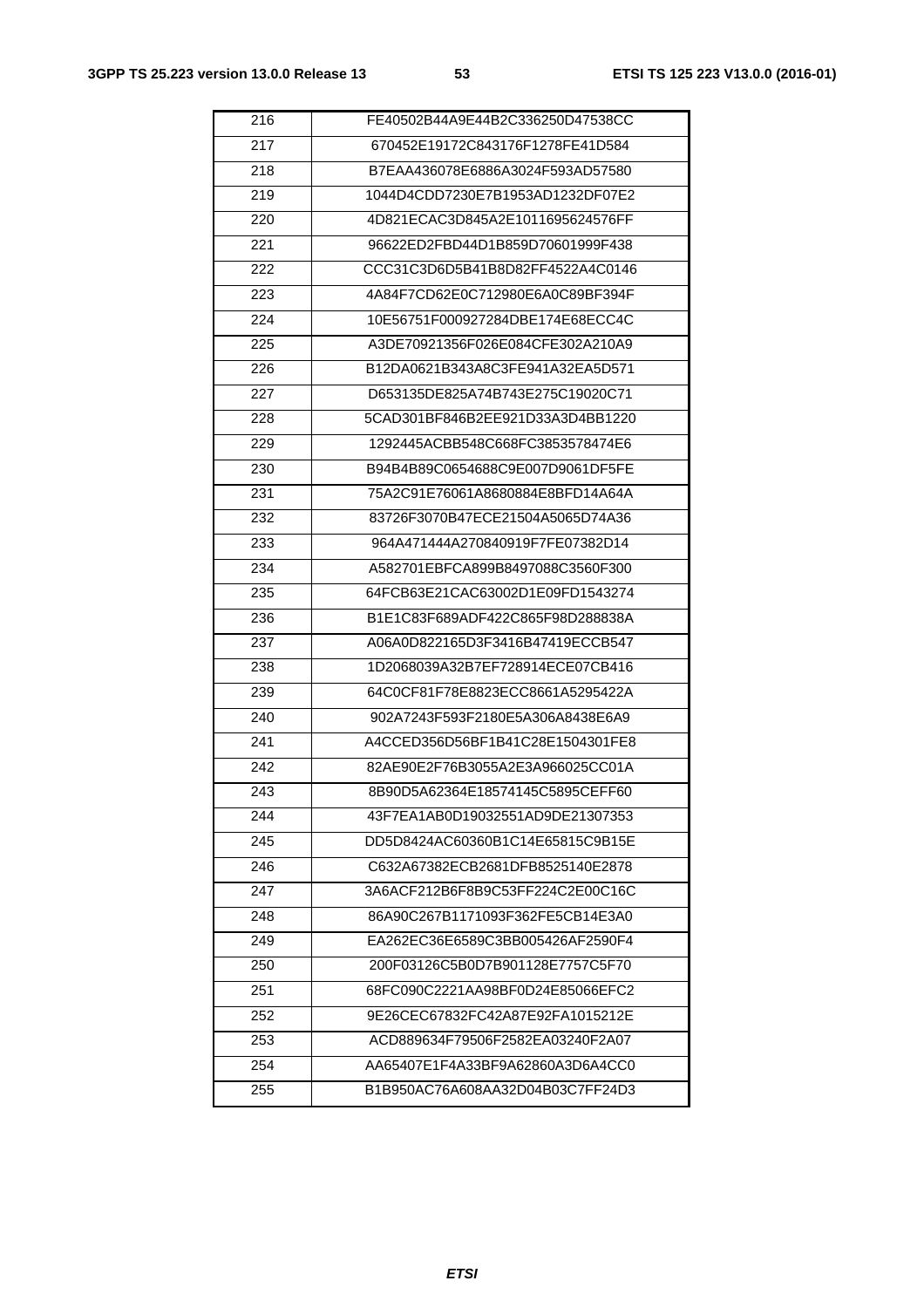| 216 | FE40502B44A9E44B2C336250D47538CC |
|-----|----------------------------------|
| 217 | 670452E19172C843176F1278FE41D584 |
| 218 | B7EAA436078E6886A3024F593AD57580 |
| 219 | 1044D4CDD7230E7B1953AD1232DF07E2 |
| 220 | 4D821ECAC3D845A2E1011695624576FF |
| 221 | 96622ED2FBD44D1B859D70601999F438 |
| 222 | CCC31C3D6D5B41B8D82FF4522A4C0146 |
| 223 | 4A84F7CD62E0C712980E6A0C89BF394F |
| 224 | 10E56751F000927284DBE174E68ECC4C |
| 225 | A3DE70921356F026E084CFE302A210A9 |
| 226 | B12DA0621B343A8C3FE941A32EA5D571 |
| 227 | D653135DE825A74B743E275C19020C71 |
| 228 | 5CAD301BF846B2EE921D33A3D4BB1220 |
| 229 | 1292445ACBB548C668FC3853578474E6 |
| 230 | B94B4B89C0654688C9E007D9061DF5FE |
| 231 | 75A2C91E76061A8680884E8BFD14A64A |
| 232 | 83726F3070B47ECE21504A5065D74A36 |
| 233 | 964A471444A270840919F7FE07382D14 |
| 234 | A582701EBFCA899B8497088C3560F300 |
| 235 | 64FCB63E21CAC63002D1E09FD1543274 |
| 236 | B1E1C83F689ADF422C865F98D288838A |
| 237 | A06A0D822165D3F3416B47419ECCB547 |
| 238 | 1D2068039A32B7EF728914ECE07CB416 |
| 239 | 64C0CF81F78E8823ECC8661A5295422A |
| 240 | 902A7243F593F2180E5A306A8438E6A9 |
| 241 | A4CCED356D56BF1B41C28E1504301FE8 |
| 242 | 82AE90E2F76B3055A2E3A966025CC01A |
| 243 | 8B90D5A62364E18574145C5895CEFF60 |
| 244 | 43F7EA1AB0D19032551AD9DE21307353 |
| 245 | DD5D8424AC60360B1C14E65815C9B15E |
| 246 | C632A67382ECB2681DFB8525140E2878 |
| 247 | 3A6ACF212B6F8B9C53FF224C2E00C16C |
| 248 | 86A90C267B1171093F362FE5CB14E3A0 |
| 249 | EA262EC36E6589C3BB005426AF2590F4 |
| 250 | 200F03126C5B0D7B901128E7757C5F70 |
| 251 | 68FC090C2221AA98BF0D24E85066EFC2 |
| 252 | 9E26CEC67832FC42A87E92FA1015212E |
| 253 | ACD889634F79506F2582EA03240F2A07 |
| 254 | AA65407E1F4A33BF9A62860A3D6A4CC0 |
| 255 | B1B950AC76A608AA32D04B03C7FF24D3 |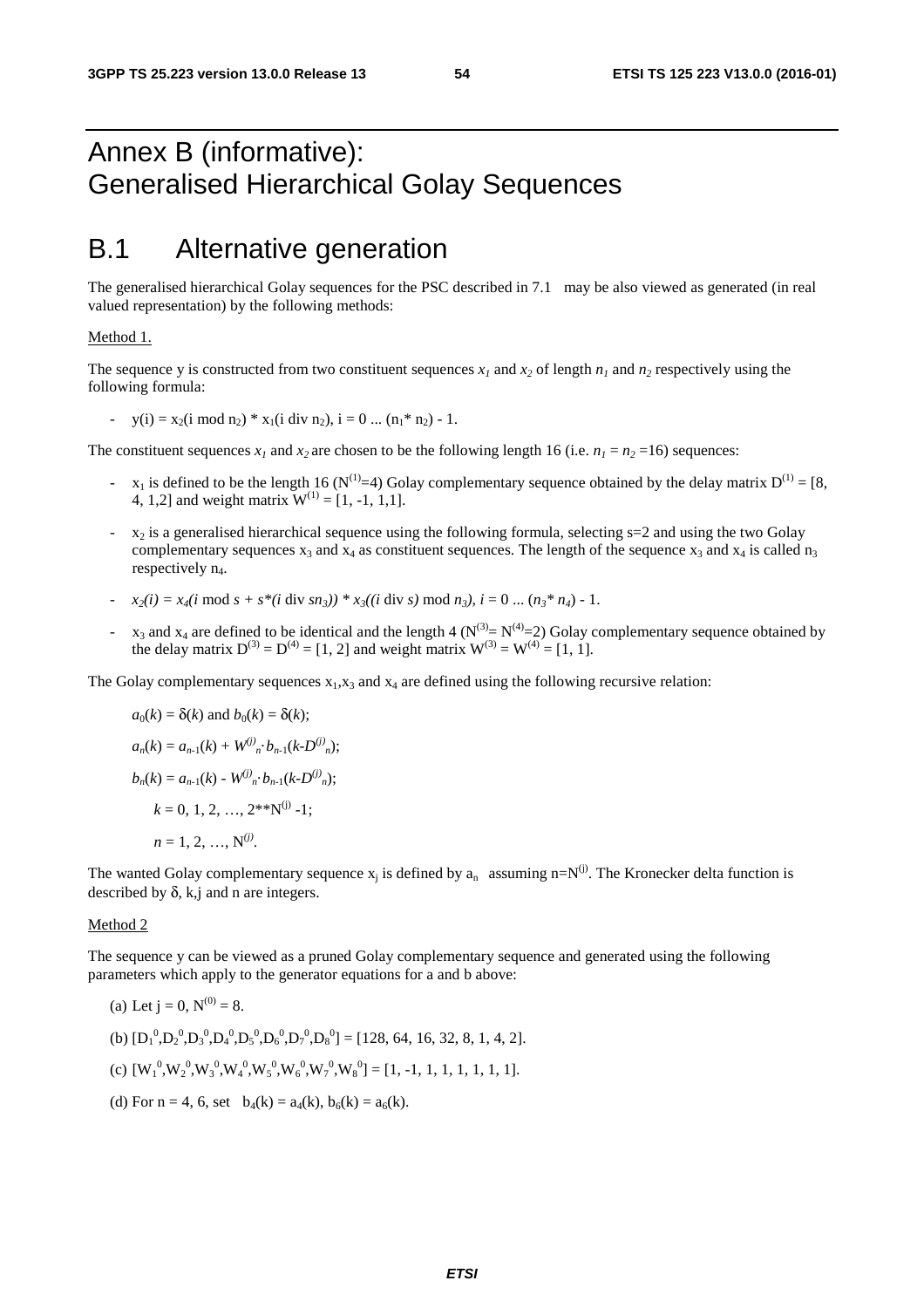# Annex B (informative): Generalised Hierarchical Golay Sequences

# B.1 Alternative generation

The generalised hierarchical Golay sequences for the PSC described in 7.1 may be also viewed as generated (in real valued representation) by the following methods:

#### Method 1.

The sequence y is constructed from two constituent sequences  $x_1$  and  $x_2$  of length  $n_1$  and  $n_2$  respectively using the following formula:

-  $y(i) = x_2(i \mod n_2) * x_1(i \dim n_2), i = 0 ... (n_1 * n_2) - 1.$ 

The constituent sequences  $x_1$  and  $x_2$  are chosen to be the following length 16 (i.e.  $n_1 = n_2 = 16$ ) sequences:

- $x_1$  is defined to be the length 16 (N<sup>(1)</sup>=4) Golay complementary sequence obtained by the delay matrix  $D^{(1)} = [8, 1]$ 4, 1,2] and weight matrix  $W^{(1)} = [1, -1, 1, 1].$
- $x_2$  is a generalised hierarchical sequence using the following formula, selecting  $s=2$  and using the two Golay complementary sequences  $x_3$  and  $x_4$  as constituent sequences. The length of the sequence  $x_3$  and  $x_4$  is called n<sub>3</sub> respectively  $n_4$ .
- *-*  $x_2(i) = x_4(i \mod s + s*(i \dim s n_3)) * x_3((i \dim s) \mod n_3), i = 0 \dots (n_3 * n_4) 1.$
- $-$  x<sub>3</sub> and x<sub>4</sub> are defined to be identical and the length 4 ( $N^{(3)} = N^{(4)} = 2$ ) Golay complementary sequence obtained by the delay matrix  $D^{(3)} = D^{(4)} = [1, 2]$  and weight matrix  $W^{(3)} = W^{(4)} = [1, 1]$ .

The Golay complementary sequences  $x_1, x_3$  and  $x_4$  are defined using the following recursive relation:

$$
a_0(k) = \delta(k) \text{ and } b_0(k) = \delta(k);
$$
  
\n
$$
a_n(k) = a_{n-1}(k) + W^{(j)}{}_n \cdot b_{n-1}(k \cdot D^{(j)}{}_n);
$$
  
\n
$$
b_n(k) = a_{n-1}(k) - W^{(j)}{}_n \cdot b_{n-1}(k \cdot D^{(j)}{}_n);
$$
  
\n
$$
k = 0, 1, 2, ..., 2^{**}N^{(j)} - 1;
$$
  
\n
$$
n = 1, 2, ..., N^{(j)}.
$$

The wanted Golay complementary sequence  $x_i$  is defined by  $a_n$  assuming n=N<sup>(j)</sup>. The Kronecker delta function is described by  $\delta$ , k,j and n are integers.

#### Method 2

The sequence y can be viewed as a pruned Golay complementary sequence and generated using the following parameters which apply to the generator equations for a and b above:

(a) Let  $j = 0$ ,  $N^{(0)} = 8$ . (b)  $[D_1^0, D_2^0, D_3^0, D_4^0, D_5^0, D_6^0, D_7^0, D_8^0] = [128, 64, 16, 32, 8, 1, 4, 2].$ (c)  $[W_1^0, W_2^0, W_3^0, W_4^0, W_5^0, W_6^0, W_7^0, W_8^0] = [1, -1, 1, 1, 1, 1, 1, 1].$ (d) For  $n = 4$ , 6, set  $b_4(k) = a_4(k)$ ,  $b_6(k) = a_6(k)$ .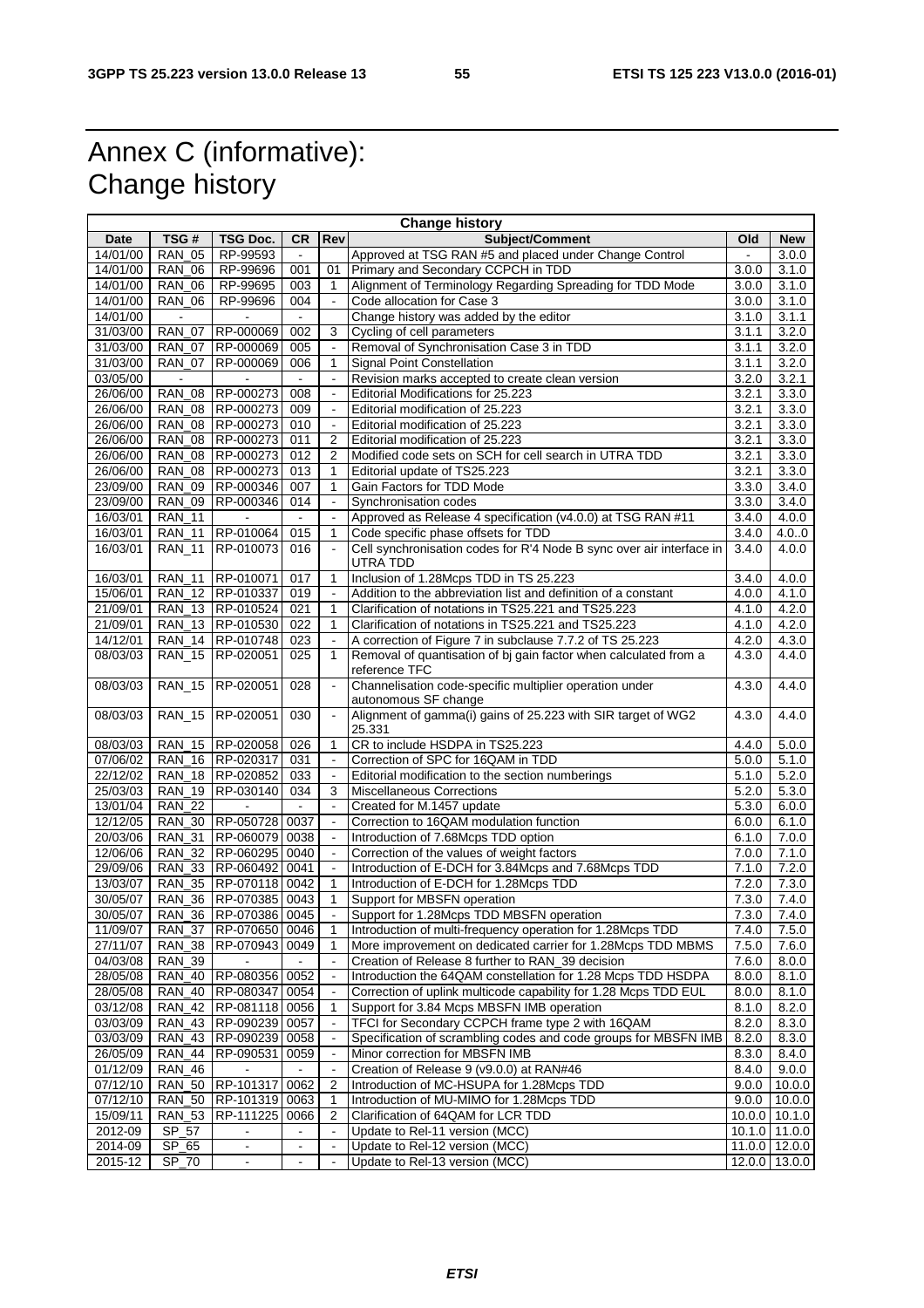# Annex C (informative): Change history

| <b>Change history</b> |                |                           |                |                          |                                                                      |       |                 |
|-----------------------|----------------|---------------------------|----------------|--------------------------|----------------------------------------------------------------------|-------|-----------------|
| Date                  | TSG#           | TSG Doc.                  | <b>CR</b>      | Rev                      | Subject/Comment                                                      | Old   | <b>New</b>      |
| 14/01/00              | <b>RAN 05</b>  | RP-99593                  |                |                          | Approved at TSG RAN #5 and placed under Change Control               |       | 3.0.0           |
| 14/01/00              | <b>RAN 06</b>  | RP-99696                  | 001            | 01                       | Primary and Secondary CCPCH in TDD                                   | 3.0.0 | 3.1.0           |
| 14/01/00              | <b>RAN 06</b>  | RP-99695                  | 003            | 1                        | Alignment of Terminology Regarding Spreading for TDD Mode            | 3.0.0 | 3.1.0           |
| 14/01/00              | <b>RAN_06</b>  | RP-99696                  | 004            |                          | Code allocation for Case 3<br>3.0.0                                  |       | 3.1.0           |
| 14/01/00              | $\blacksquare$ | $\blacksquare$            | $\sim$         |                          | Change history was added by the editor                               | 3.1.0 | 3.1.1           |
| 31/03/00              | <b>RAN 07</b>  | RP-000069                 | 002            | 3                        | Cycling of cell parameters                                           | 3.1.1 | 3.2.0           |
| 31/03/00              | <b>RAN 07</b>  | RP-000069                 | 005            |                          | Removal of Synchronisation Case 3 in TDD                             | 3.1.1 | 3.2.0           |
| 31/03/00              | RAN_07         | RP-000069                 | 006            | $\mathbf{1}$             | Signal Point Constellation<br>3.1.1                                  |       | 3.2.0           |
| 03/05/00              |                |                           |                | $\blacksquare$           | Revision marks accepted to create clean version<br>3.2.0             |       | 3.2.1           |
| 26/06/00              | <b>RAN 08</b>  | RP-000273                 | 008            |                          | Editorial Modifications for 25.223                                   | 3.2.1 | 3.3.0           |
| 26/06/00              | <b>RAN 08</b>  | RP-000273                 | 009            | $\overline{\phantom{a}}$ | Editorial modification of 25.223                                     | 3.2.1 | 3.3.0           |
| 26/06/00              | <b>RAN_08</b>  | RP-000273                 | 010            |                          | Editorial modification of 25.223                                     | 3.2.1 | 3.3.0           |
| 26/06/00              | <b>RAN_08</b>  | RP-000273                 | 011            | 2                        | Editorial modification of 25.223                                     | 3.2.1 | 3.3.0           |
| 26/06/00              | <b>RAN_08</b>  | RP-000273                 | 012            | 2                        | Modified code sets on SCH for cell search in UTRA TDD                | 3.2.1 | 3.3.0           |
| 26/06/00              | <b>RAN_08</b>  | RP-000273                 | 013            | 1                        | Editorial update of TS25.223                                         | 3.2.1 | 3.3.0           |
| 23/09/00              | <b>RAN 09</b>  | RP-000346                 | 007            | $\mathbf{1}$             | Gain Factors for TDD Mode                                            | 3.3.0 | 3.4.0           |
| 23/09/00              | <b>RAN 09</b>  | RP-000346                 | 014            | $\overline{\phantom{a}}$ | Synchronisation codes                                                | 3.3.0 | 3.4.0           |
| 16/03/01              | <b>RAN_11</b>  | $\mathbf{r}$              | $\sim$         | $\blacksquare$           | Approved as Release 4 specification (v4.0.0) at TSG RAN #11          | 3.4.0 | 4.0.0           |
| 16/03/01              | <b>RAN 11</b>  | RP-010064                 | 015            | 1                        | Code specific phase offsets for TDD                                  | 3.4.0 | 4.0.0           |
| 16/03/01              | <b>RAN_11</b>  | RP-010073                 | 016            | $\overline{\phantom{a}}$ | Cell synchronisation codes for R'4 Node B sync over air interface in | 3.4.0 | 4.0.0           |
|                       |                |                           |                |                          | UTRA TDD                                                             |       |                 |
| 16/03/01              | <b>RAN_11</b>  | RP-010071                 | 017            | $\mathbf{1}$             | Inclusion of 1.28Mcps TDD in TS 25.223                               | 3.4.0 | 4.0.0           |
| 15/06/01              |                | RAN 12 RP-010337          | 019            |                          | Addition to the abbreviation list and definition of a constant       | 4.0.0 | 4.1.0           |
| 21/09/01              |                | RAN 13   RP-010524        | 021            | 1                        | Clarification of notations in TS25.221 and TS25.223                  | 4.1.0 | 4.2.0           |
| 21/09/01              |                | RAN 13 RP-010530          | 022            | $\mathbf{1}$             | Clarification of notations in TS25.221 and TS25.223                  | 4.1.0 | 4.2.0           |
| 14/12/01              |                | RAN 14   RP-010748        | 023            | $\blacksquare$           | A correction of Figure 7 in subclause 7.7.2 of TS 25.223             | 4.2.0 | 4.3.0           |
| 08/03/03              | <b>RAN_15</b>  | RP-020051                 | 025            | 1                        | Removal of quantisation of bj gain factor when calculated from a     | 4.3.0 | 4.4.0           |
|                       |                |                           |                |                          | reference TFC                                                        |       |                 |
| 08/03/03              | <b>RAN_15</b>  | RP-020051                 | 028            | $\blacksquare$           | Channelisation code-specific multiplier operation under              | 4.3.0 | 4.4.0           |
|                       |                |                           |                |                          | autonomous SF change                                                 |       |                 |
| 08/03/03              | <b>RAN_15</b>  | RP-020051                 | 030            | $\blacksquare$           | Alignment of gamma(i) gains of 25.223 with SIR target of WG2         | 4.3.0 | 4.4.0           |
|                       |                |                           |                |                          | 25.331                                                               |       |                 |
| 08/03/03              | <b>RAN 15</b>  | RP-020058                 | 026            | $\mathbf{1}$             | CR to include HSDPA in TS25.223                                      | 4.4.0 | 5.0.0           |
| 07/06/02              |                | RAN_16 RP-020317          | 031            |                          | Correction of SPC for 16QAM in TDD                                   | 5.0.0 | 5.1.0           |
| 22/12/02              | <b>RAN 18</b>  | RP-020852                 | 033            |                          | Editorial modification to the section numberings                     | 5.1.0 | 5.2.0           |
| 25/03/03              | <b>RAN 19</b>  | RP-030140                 | 034            | 3                        | <b>Miscellaneous Corrections</b>                                     | 5.2.0 | 5.3.0           |
| 13/01/04              | $RAN_22$       |                           | $\sim$         |                          | Created for M.1457 update                                            | 5.3.0 | 6.0.0           |
| 12/12/05              | <b>RAN_30</b>  | RP-050728                 | 0037           |                          | Correction to 16QAM modulation function                              | 6.0.0 | 6.1.0           |
| 20/03/06              | <b>RAN 31</b>  | RP-060079 0038            |                | $\Box$                   | Introduction of 7.68Mcps TDD option                                  | 6.1.0 | 7.0.0           |
| 12/06/06              | <b>RAN_32</b>  | RP-060295 0040            |                |                          | Correction of the values of weight factors                           | 7.0.0 | 7.1.0           |
| 29/09/06              |                | RAN 33 RP-060492 0041     |                |                          | Introduction of E-DCH for 3.84Mcps and 7.68Mcps TDD                  | 7.1.0 | 7.2.0           |
| 13/03/07              |                | RAN 35 RP-070118 0042     |                | 1                        | Introduction of E-DCH for 1.28Mcps TDD                               | 7.2.0 | 7.3.0           |
| 30/05/07              |                | RAN_36   RP-070385   0043 |                | 1                        | Support for MBSFN operation                                          | 7.3.0 | 7.4.0           |
| 30/05/07              |                | RAN_36 RP-070386 0045     |                |                          | Support for 1.28Mcps TDD MBSFN operation                             | 7.3.0 | 7.4.0           |
| 11/09/07              |                | RAN_37   RP-070650   0046 |                | $\mathbf{1}$             | Introduction of multi-frequency operation for 1.28Mcps TDD           | 7.4.0 | 7.5.0           |
| 27/11/07              | <b>RAN_38</b>  | RP-070943 0049            |                | 1                        | More improvement on dedicated carrier for 1.28Mcps TDD MBMS          | 7.5.0 | 7.6.0           |
| 04/03/08              | <b>RAN_39</b>  |                           |                |                          | Creation of Release 8 further to RAN_39 decision                     | 7.6.0 | 8.0.0           |
| 28/05/08              |                | RAN_40 RP-080356 0052     |                |                          | Introduction the 64QAM constellation for 1.28 Mcps TDD HSDPA         | 8.0.0 | 8.1.0           |
| 28/05/08              | RAN_40         | RP-080347 0054            |                | $\sim$                   | Correction of uplink multicode capability for 1.28 Mcps TDD EUL      | 8.0.0 | 8.1.0           |
| 03/12/08              |                | RAN 42 RP-081118 0056     |                | 1                        | Support for 3.84 Mcps MBSFN IMB operation                            | 8.1.0 | 8.2.0           |
| 03/03/09              |                | RAN_43   RP-090239   0057 |                |                          | TFCI for Secondary CCPCH frame type 2 with 16QAM                     | 8.2.0 | 8.3.0           |
| 03/03/09              | <b>RAN 43</b>  | RP-090239 0058            |                |                          | Specification of scrambling codes and code groups for MBSFN IMB      | 8.2.0 | 8.3.0           |
| 26/05/09              | <b>RAN_44</b>  | RP-090531                 | 0059           |                          | Minor correction for MBSFN IMB                                       | 8.3.0 | 8.4.0           |
| 01/12/09              | <b>RAN_46</b>  |                           |                |                          | Creation of Release 9 (v9.0.0) at RAN#46                             | 8.4.0 | 9.0.0           |
| 07/12/10              | <b>RAN_50</b>  | RP-101317 0062            |                | $\overline{2}$           | Introduction of MC-HSUPA for 1.28Mcps TDD                            | 9.0.0 | 10.0.0          |
| 07/12/10              | <b>RAN_50</b>  | RP-101319 0063            |                | $\mathbf{1}$             | Introduction of MU-MIMO for 1.28Mcps TDD                             | 9.0.0 | 10.0.0          |
| 15/09/11              | <b>RAN_53</b>  | RP-111225                 | 0066           | 2                        | Clarification of 64QAM for LCR TDD                                   |       | $10.0.0$ 10.1.0 |
| 2012-09               | SP_57          |                           |                | $\overline{\phantom{a}}$ | Update to Rel-11 version (MCC)                                       |       | $10.1.0$ 11.0.0 |
| 2014-09               | SP_65          | $\blacksquare$            | $\blacksquare$ | $\blacksquare$           | Update to Rel-12 version (MCC)                                       |       | 11.0.0 12.0.0   |
| 2015-12               | SP_70          | $\blacksquare$            | $\blacksquare$ |                          | Update to Rel-13 version (MCC)                                       |       | 12.0.0 13.0.0   |